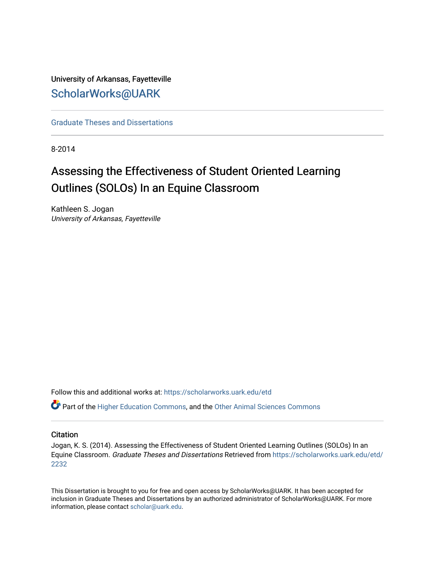University of Arkansas, Fayetteville [ScholarWorks@UARK](https://scholarworks.uark.edu/) 

[Graduate Theses and Dissertations](https://scholarworks.uark.edu/etd) 

8-2014

# Assessing the Effectiveness of Student Oriented Learning Outlines (SOLOs) In an Equine Classroom

Kathleen S. Jogan University of Arkansas, Fayetteville

Follow this and additional works at: [https://scholarworks.uark.edu/etd](https://scholarworks.uark.edu/etd?utm_source=scholarworks.uark.edu%2Fetd%2F2232&utm_medium=PDF&utm_campaign=PDFCoverPages)

**C** Part of the [Higher Education Commons,](http://network.bepress.com/hgg/discipline/1245?utm_source=scholarworks.uark.edu%2Fetd%2F2232&utm_medium=PDF&utm_campaign=PDFCoverPages) and the [Other Animal Sciences Commons](http://network.bepress.com/hgg/discipline/82?utm_source=scholarworks.uark.edu%2Fetd%2F2232&utm_medium=PDF&utm_campaign=PDFCoverPages)

## **Citation**

Jogan, K. S. (2014). Assessing the Effectiveness of Student Oriented Learning Outlines (SOLOs) In an Equine Classroom. Graduate Theses and Dissertations Retrieved from [https://scholarworks.uark.edu/etd/](https://scholarworks.uark.edu/etd/2232?utm_source=scholarworks.uark.edu%2Fetd%2F2232&utm_medium=PDF&utm_campaign=PDFCoverPages) [2232](https://scholarworks.uark.edu/etd/2232?utm_source=scholarworks.uark.edu%2Fetd%2F2232&utm_medium=PDF&utm_campaign=PDFCoverPages)

This Dissertation is brought to you for free and open access by ScholarWorks@UARK. It has been accepted for inclusion in Graduate Theses and Dissertations by an authorized administrator of ScholarWorks@UARK. For more information, please contact [scholar@uark.edu.](mailto:scholar@uark.edu)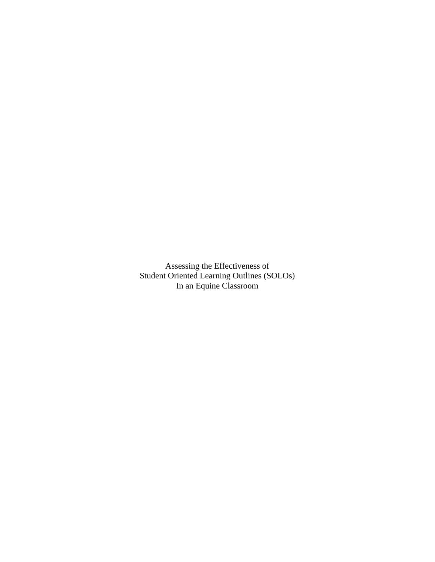Assessing the Effectiveness of Student Oriented Learning Outlines (SOLOs) In an Equine Classroom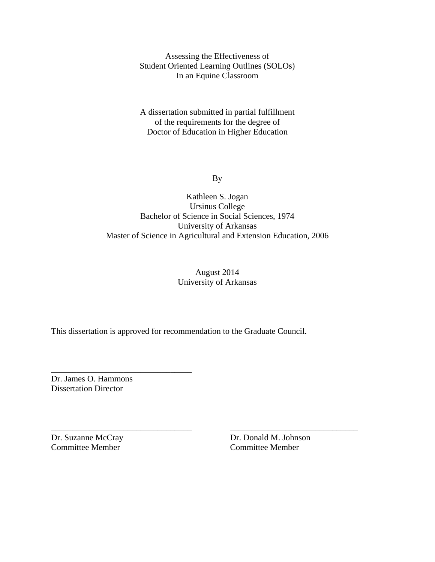Assessing the Effectiveness of Student Oriented Learning Outlines (SOLOs) In an Equine Classroom

A dissertation submitted in partial fulfillment of the requirements for the degree of Doctor of Education in Higher Education

By

# Kathleen S. Jogan Ursinus College Bachelor of Science in Social Sciences, 1974 University of Arkansas Master of Science in Agricultural and Extension Education, 2006

# August 2014 University of Arkansas

\_\_\_\_\_\_\_\_\_\_\_\_\_\_\_\_\_\_\_\_\_\_\_\_\_\_\_\_\_\_\_\_\_ \_\_\_\_\_\_\_\_\_\_\_\_\_\_\_\_\_\_\_\_\_\_\_\_\_\_\_\_\_\_

This dissertation is approved for recommendation to the Graduate Council.

Dr. James O. Hammons Dissertation Director

\_\_\_\_\_\_\_\_\_\_\_\_\_\_\_\_\_\_\_\_\_\_\_\_\_\_\_\_\_\_\_\_\_

Committee Member Committee Member

Dr. Suzanne McCray Dr. Donald M. Johnson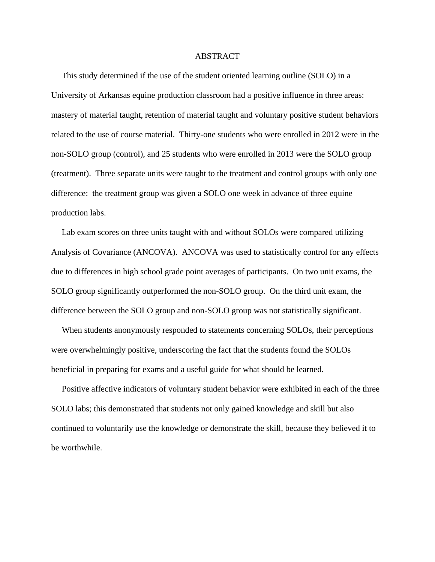#### ABSTRACT

 This study determined if the use of the student oriented learning outline (SOLO) in a University of Arkansas equine production classroom had a positive influence in three areas: mastery of material taught, retention of material taught and voluntary positive student behaviors related to the use of course material. Thirty-one students who were enrolled in 2012 were in the non-SOLO group (control), and 25 students who were enrolled in 2013 were the SOLO group (treatment). Three separate units were taught to the treatment and control groups with only one difference: the treatment group was given a SOLO one week in advance of three equine production labs.

 Lab exam scores on three units taught with and without SOLOs were compared utilizing Analysis of Covariance (ANCOVA). ANCOVA was used to statistically control for any effects due to differences in high school grade point averages of participants. On two unit exams, the SOLO group significantly outperformed the non-SOLO group. On the third unit exam, the difference between the SOLO group and non-SOLO group was not statistically significant.

 When students anonymously responded to statements concerning SOLOs, their perceptions were overwhelmingly positive, underscoring the fact that the students found the SOLOs beneficial in preparing for exams and a useful guide for what should be learned.

 Positive affective indicators of voluntary student behavior were exhibited in each of the three SOLO labs; this demonstrated that students not only gained knowledge and skill but also continued to voluntarily use the knowledge or demonstrate the skill, because they believed it to be worthwhile.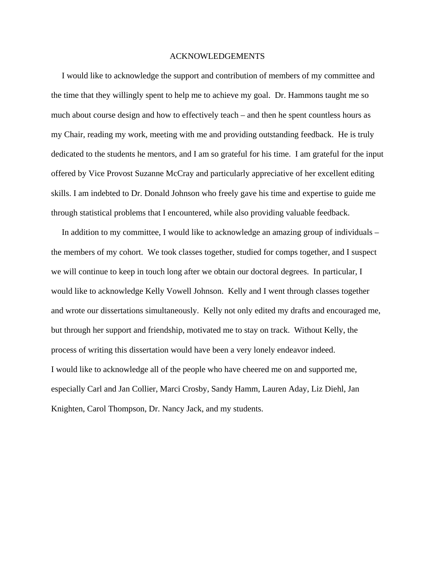#### ACKNOWLEDGEMENTS

 I would like to acknowledge the support and contribution of members of my committee and the time that they willingly spent to help me to achieve my goal. Dr. Hammons taught me so much about course design and how to effectively teach – and then he spent countless hours as my Chair, reading my work, meeting with me and providing outstanding feedback. He is truly dedicated to the students he mentors, and I am so grateful for his time. I am grateful for the input offered by Vice Provost Suzanne McCray and particularly appreciative of her excellent editing skills. I am indebted to Dr. Donald Johnson who freely gave his time and expertise to guide me through statistical problems that I encountered, while also providing valuable feedback.

 In addition to my committee, I would like to acknowledge an amazing group of individuals – the members of my cohort. We took classes together, studied for comps together, and I suspect we will continue to keep in touch long after we obtain our doctoral degrees. In particular, I would like to acknowledge Kelly Vowell Johnson. Kelly and I went through classes together and wrote our dissertations simultaneously. Kelly not only edited my drafts and encouraged me, but through her support and friendship, motivated me to stay on track. Without Kelly, the process of writing this dissertation would have been a very lonely endeavor indeed. I would like to acknowledge all of the people who have cheered me on and supported me, especially Carl and Jan Collier, Marci Crosby, Sandy Hamm, Lauren Aday, Liz Diehl, Jan Knighten, Carol Thompson, Dr. Nancy Jack, and my students.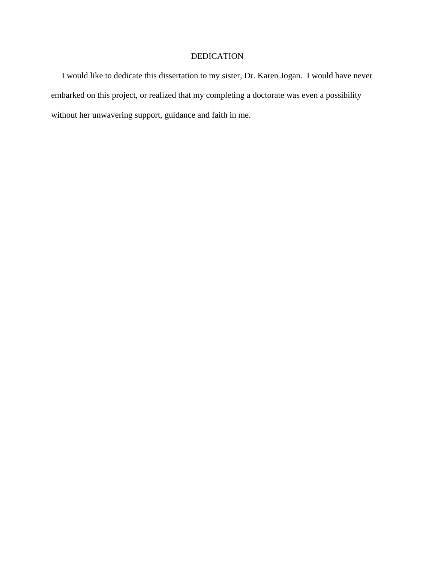# DEDICATION

 I would like to dedicate this dissertation to my sister, Dr. Karen Jogan. I would have never embarked on this project, or realized that my completing a doctorate was even a possibility without her unwavering support, guidance and faith in me.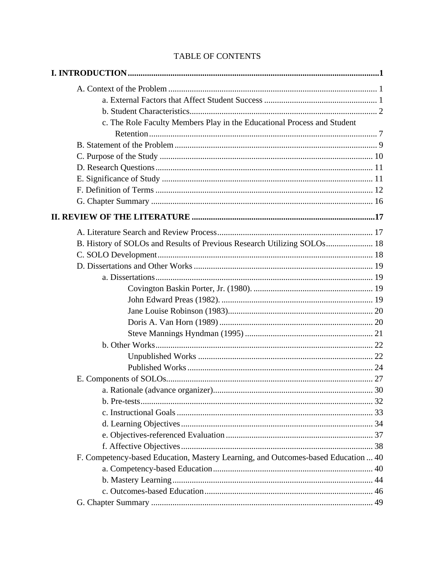| c. The Role Faculty Members Play in the Educational Process and Student           |  |
|-----------------------------------------------------------------------------------|--|
|                                                                                   |  |
|                                                                                   |  |
|                                                                                   |  |
|                                                                                   |  |
|                                                                                   |  |
|                                                                                   |  |
|                                                                                   |  |
|                                                                                   |  |
|                                                                                   |  |
| B. History of SOLOs and Results of Previous Research Utilizing SOLOs 18           |  |
|                                                                                   |  |
|                                                                                   |  |
|                                                                                   |  |
|                                                                                   |  |
|                                                                                   |  |
|                                                                                   |  |
|                                                                                   |  |
|                                                                                   |  |
|                                                                                   |  |
|                                                                                   |  |
|                                                                                   |  |
|                                                                                   |  |
|                                                                                   |  |
|                                                                                   |  |
|                                                                                   |  |
|                                                                                   |  |
|                                                                                   |  |
|                                                                                   |  |
| F. Competency-based Education, Mastery Learning, and Outcomes-based Education  40 |  |
|                                                                                   |  |
|                                                                                   |  |
|                                                                                   |  |
|                                                                                   |  |

# TABLE OF CONTENTS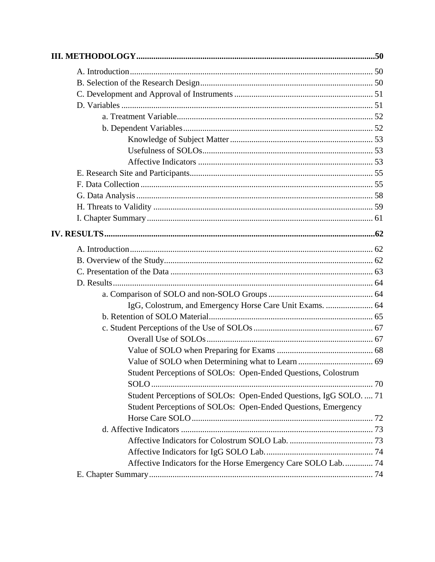| IgG, Colostrum, and Emergency Horse Care Unit Exams.  64          |  |
|-------------------------------------------------------------------|--|
|                                                                   |  |
|                                                                   |  |
|                                                                   |  |
|                                                                   |  |
|                                                                   |  |
| Student Perceptions of SOLOs: Open-Ended Questions, Colostrum     |  |
|                                                                   |  |
| Student Perceptions of SOLOs: Open-Ended Questions, IgG SOLO.  71 |  |
| Student Perceptions of SOLOs: Open-Ended Questions, Emergency     |  |
|                                                                   |  |
|                                                                   |  |
|                                                                   |  |
|                                                                   |  |
| Affective Indicators for the Horse Emergency Care SOLO Lab 74     |  |
|                                                                   |  |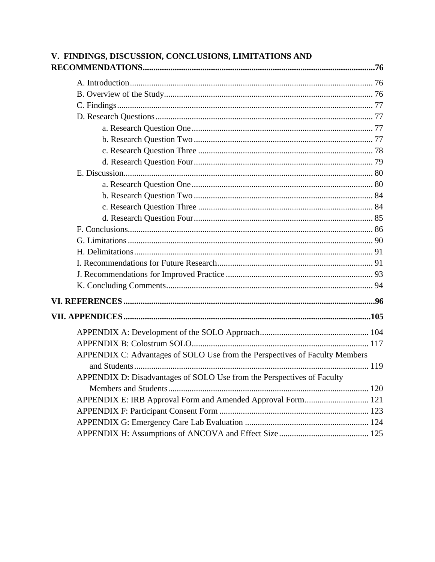| V. FINDINGS, DISCUSSION, CONCLUSIONS, LIMITATIONS AND                       |  |
|-----------------------------------------------------------------------------|--|
|                                                                             |  |
|                                                                             |  |
|                                                                             |  |
|                                                                             |  |
|                                                                             |  |
|                                                                             |  |
|                                                                             |  |
|                                                                             |  |
|                                                                             |  |
|                                                                             |  |
|                                                                             |  |
|                                                                             |  |
|                                                                             |  |
|                                                                             |  |
|                                                                             |  |
|                                                                             |  |
|                                                                             |  |
|                                                                             |  |
|                                                                             |  |
|                                                                             |  |
|                                                                             |  |
|                                                                             |  |
|                                                                             |  |
| APPENDIX C: Advantages of SOLO Use from the Perspectives of Faculty Members |  |
| APPENDIX D: Disadvantages of SOLO Use from the Perspectives of Faculty      |  |
|                                                                             |  |
| APPENDIX E: IRB Approval Form and Amended Approval Form 121                 |  |
|                                                                             |  |
|                                                                             |  |
|                                                                             |  |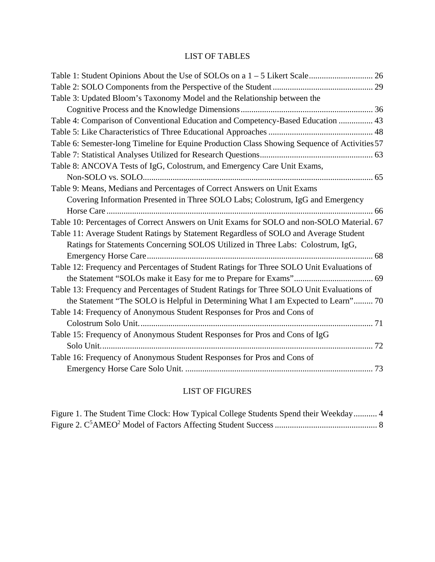# LIST OF TABLES

| Table 3: Updated Bloom's Taxonomy Model and the Relationship between the                      |  |
|-----------------------------------------------------------------------------------------------|--|
|                                                                                               |  |
| Table 4: Comparison of Conventional Education and Competency-Based Education  43              |  |
|                                                                                               |  |
| Table 6: Semester-long Timeline for Equine Production Class Showing Sequence of Activities 57 |  |
|                                                                                               |  |
| Table 8: ANCOVA Tests of IgG, Colostrum, and Emergency Care Unit Exams,                       |  |
|                                                                                               |  |
| Table 9: Means, Medians and Percentages of Correct Answers on Unit Exams                      |  |
| Covering Information Presented in Three SOLO Labs; Colostrum, IgG and Emergency               |  |
|                                                                                               |  |
| Table 10: Percentages of Correct Answers on Unit Exams for SOLO and non-SOLO Material. 67     |  |
| Table 11: Average Student Ratings by Statement Regardless of SOLO and Average Student         |  |
| Ratings for Statements Concerning SOLOS Utilized in Three Labs: Colostrum, IgG,               |  |
|                                                                                               |  |
| Table 12: Frequency and Percentages of Student Ratings for Three SOLO Unit Evaluations of     |  |
|                                                                                               |  |
| Table 13: Frequency and Percentages of Student Ratings for Three SOLO Unit Evaluations of     |  |
| the Statement "The SOLO is Helpful in Determining What I am Expected to Learn" 70             |  |
| Table 14: Frequency of Anonymous Student Responses for Pros and Cons of                       |  |
|                                                                                               |  |
| Table 15: Frequency of Anonymous Student Responses for Pros and Cons of IgG                   |  |
|                                                                                               |  |
| Table 16: Frequency of Anonymous Student Responses for Pros and Cons of                       |  |
|                                                                                               |  |

# LIST OF FIGURES

|  | Figure 1. The Student Time Clock: How Typical College Students Spend their Weekday 4 |  |  |
|--|--------------------------------------------------------------------------------------|--|--|
|  |                                                                                      |  |  |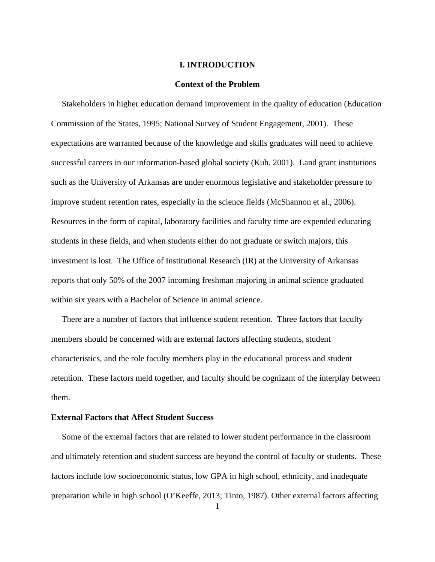#### **I. INTRODUCTION**

#### **Context of the Problem**

 Stakeholders in higher education demand improvement in the quality of education (Education Commission of the States, 1995; National Survey of Student Engagement, 2001). These expectations are warranted because of the knowledge and skills graduates will need to achieve successful careers in our information-based global society (Kuh, 2001). Land grant institutions such as the University of Arkansas are under enormous legislative and stakeholder pressure to improve student retention rates, especially in the science fields (McShannon et al., 2006). Resources in the form of capital, laboratory facilities and faculty time are expended educating students in these fields, and when students either do not graduate or switch majors, this investment is lost. The Office of Institutional Research (IR) at the University of Arkansas reports that only 50% of the 2007 incoming freshman majoring in animal science graduated within six years with a Bachelor of Science in animal science.

 There are a number of factors that influence student retention. Three factors that faculty members should be concerned with are external factors affecting students, student characteristics, and the role faculty members play in the educational process and student retention. These factors meld together, and faculty should be cognizant of the interplay between them.

### **External Factors that Affect Student Success**

 Some of the external factors that are related to lower student performance in the classroom and ultimately retention and student success are beyond the control of faculty or students. These factors include low socioeconomic status, low GPA in high school, ethnicity, and inadequate preparation while in high school (O'Keeffe, 2013; Tinto, 1987). Other external factors affecting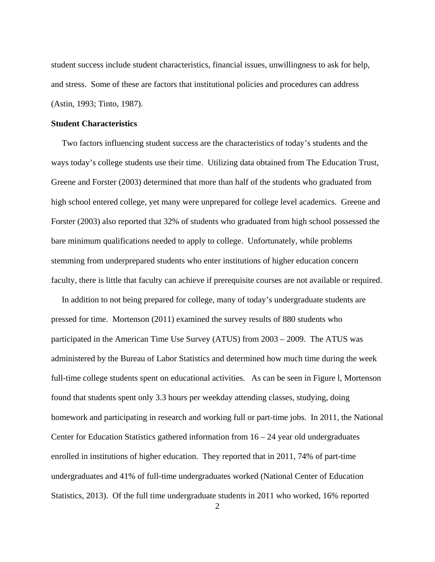student success include student characteristics, financial issues, unwillingness to ask for help, and stress. Some of these are factors that institutional policies and procedures can address (Astin, 1993; Tinto, 1987).

#### **Student Characteristics**

 Two factors influencing student success are the characteristics of today's students and the ways today's college students use their time. Utilizing data obtained from The Education Trust, Greene and Forster (2003) determined that more than half of the students who graduated from high school entered college, yet many were unprepared for college level academics. Greene and Forster (2003) also reported that 32% of students who graduated from high school possessed the bare minimum qualifications needed to apply to college. Unfortunately, while problems stemming from underprepared students who enter institutions of higher education concern faculty, there is little that faculty can achieve if prerequisite courses are not available or required.

 In addition to not being prepared for college, many of today's undergraduate students are pressed for time. Mortenson (2011) examined the survey results of 880 students who participated in the American Time Use Survey (ATUS) from 2003 – 2009. The ATUS was administered by the Bureau of Labor Statistics and determined how much time during the week full-time college students spent on educational activities. As can be seen in Figure l, Mortenson found that students spent only 3.3 hours per weekday attending classes, studying, doing homework and participating in research and working full or part-time jobs. In 2011, the National Center for Education Statistics gathered information from  $16 - 24$  year old undergraduates enrolled in institutions of higher education. They reported that in 2011, 74% of part-time undergraduates and 41% of full-time undergraduates worked (National Center of Education Statistics, 2013). Of the full time undergraduate students in 2011 who worked, 16% reported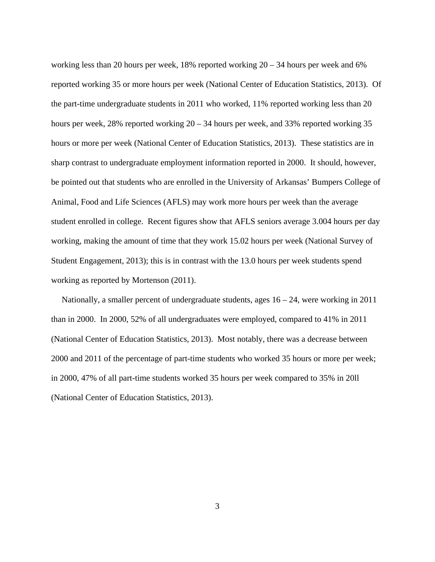working less than 20 hours per week, 18% reported working 20 – 34 hours per week and 6% reported working 35 or more hours per week (National Center of Education Statistics, 2013). Of the part-time undergraduate students in 2011 who worked, 11% reported working less than 20 hours per week, 28% reported working  $20 - 34$  hours per week, and 33% reported working 35 hours or more per week (National Center of Education Statistics, 2013). These statistics are in sharp contrast to undergraduate employment information reported in 2000. It should, however, be pointed out that students who are enrolled in the University of Arkansas' Bumpers College of Animal, Food and Life Sciences (AFLS) may work more hours per week than the average student enrolled in college. Recent figures show that AFLS seniors average 3.004 hours per day working, making the amount of time that they work 15.02 hours per week (National Survey of Student Engagement, 2013); this is in contrast with the 13.0 hours per week students spend working as reported by Mortenson (2011).

 Nationally, a smaller percent of undergraduate students, ages 16 – 24, were working in 2011 than in 2000. In 2000, 52% of all undergraduates were employed, compared to 41% in 2011 (National Center of Education Statistics, 2013). Most notably, there was a decrease between 2000 and 2011 of the percentage of part-time students who worked 35 hours or more per week; in 2000, 47% of all part-time students worked 35 hours per week compared to 35% in 20ll (National Center of Education Statistics, 2013).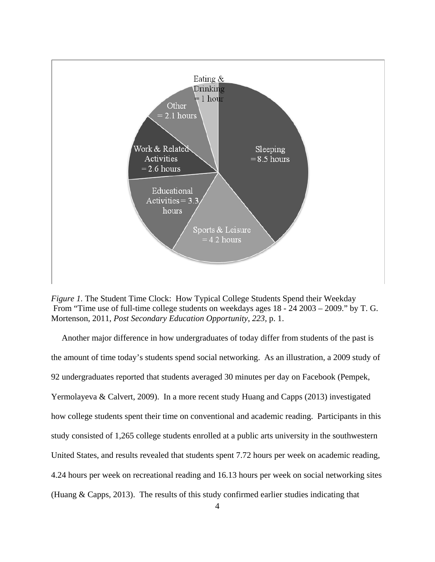

*Figure 1.* The Student Time Clock: How Typical College Students Spend their Weekday From "Time use of full-time college students on weekdays ages 18 - 24 2003 – 2009." by T. G. Mortenson, 2011, *Post Secondary Education Opportunity*, *223*, p. 1.

 Another major difference in how undergraduates of today differ from students of the past is the amount of time today's students spend social networking. As an illustration, a 2009 study of 92 undergraduates reported that students averaged 30 minutes per day on Facebook (Pempek, Yermolayeva & Calvert, 2009). In a more recent study Huang and Capps (2013) investigated how college students spent their time on conventional and academic reading. Participants in this study consisted of 1,265 college students enrolled at a public arts university in the southwestern United States, and results revealed that students spent 7.72 hours per week on academic reading, 4.24 hours per week on recreational reading and 16.13 hours per week on social networking sites (Huang & Capps, 2013). The results of this study confirmed earlier studies indicating that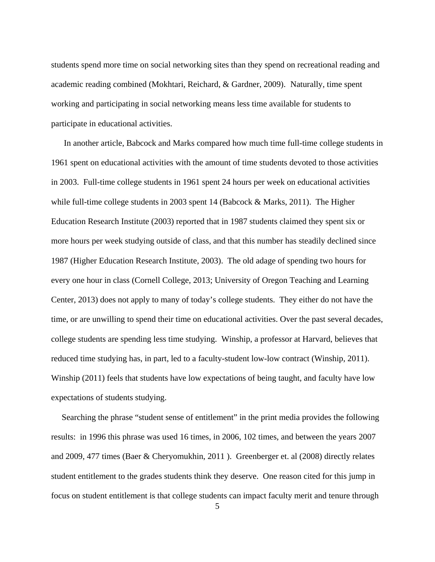students spend more time on social networking sites than they spend on recreational reading and academic reading combined (Mokhtari, Reichard, & Gardner, 2009). Naturally, time spent working and participating in social networking means less time available for students to participate in educational activities.

 In another article, Babcock and Marks compared how much time full-time college students in 1961 spent on educational activities with the amount of time students devoted to those activities in 2003. Full-time college students in 1961 spent 24 hours per week on educational activities while full-time college students in 2003 spent 14 (Babcock & Marks, 2011). The Higher Education Research Institute (2003) reported that in 1987 students claimed they spent six or more hours per week studying outside of class, and that this number has steadily declined since 1987 (Higher Education Research Institute, 2003). The old adage of spending two hours for every one hour in class (Cornell College, 2013; University of Oregon Teaching and Learning Center, 2013) does not apply to many of today's college students. They either do not have the time, or are unwilling to spend their time on educational activities. Over the past several decades, college students are spending less time studying. Winship, a professor at Harvard, believes that reduced time studying has, in part, led to a faculty-student low-low contract (Winship, 2011). Winship (2011) feels that students have low expectations of being taught, and faculty have low expectations of students studying.

 Searching the phrase "student sense of entitlement" in the print media provides the following results: in 1996 this phrase was used 16 times, in 2006, 102 times, and between the years 2007 and 2009, 477 times (Baer & Cheryomukhin, 2011 ). Greenberger et. al (2008) directly relates student entitlement to the grades students think they deserve. One reason cited for this jump in focus on student entitlement is that college students can impact faculty merit and tenure through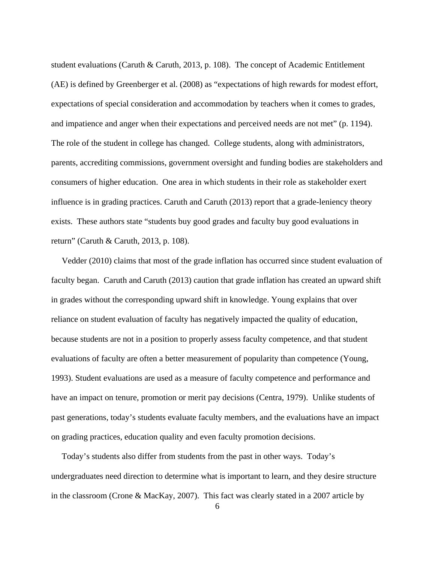student evaluations (Caruth & Caruth, 2013, p. 108). The concept of Academic Entitlement (AE) is defined by Greenberger et al. (2008) as "expectations of high rewards for modest effort, expectations of special consideration and accommodation by teachers when it comes to grades, and impatience and anger when their expectations and perceived needs are not met" (p. 1194). The role of the student in college has changed. College students, along with administrators, parents, accrediting commissions, government oversight and funding bodies are stakeholders and consumers of higher education. One area in which students in their role as stakeholder exert influence is in grading practices. Caruth and Caruth (2013) report that a grade-leniency theory exists. These authors state "students buy good grades and faculty buy good evaluations in return" (Caruth & Caruth, 2013, p. 108).

 Vedder (2010) claims that most of the grade inflation has occurred since student evaluation of faculty began. Caruth and Caruth (2013) caution that grade inflation has created an upward shift in grades without the corresponding upward shift in knowledge. Young explains that over reliance on student evaluation of faculty has negatively impacted the quality of education, because students are not in a position to properly assess faculty competence, and that student evaluations of faculty are often a better measurement of popularity than competence (Young, 1993). Student evaluations are used as a measure of faculty competence and performance and have an impact on tenure, promotion or merit pay decisions (Centra, 1979). Unlike students of past generations, today's students evaluate faculty members, and the evaluations have an impact on grading practices, education quality and even faculty promotion decisions.

 Today's students also differ from students from the past in other ways. Today's undergraduates need direction to determine what is important to learn, and they desire structure in the classroom (Crone & MacKay, 2007). This fact was clearly stated in a 2007 article by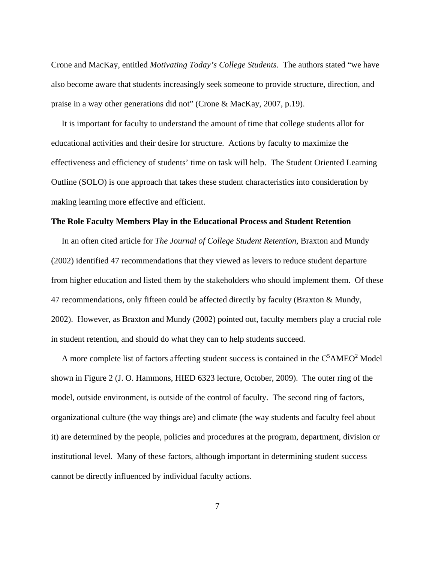Crone and MacKay, entitled *Motivating Today's College Students*. The authors stated "we have also become aware that students increasingly seek someone to provide structure, direction, and praise in a way other generations did not" (Crone & MacKay, 2007, p.19).

 It is important for faculty to understand the amount of time that college students allot for educational activities and their desire for structure. Actions by faculty to maximize the effectiveness and efficiency of students' time on task will help. The Student Oriented Learning Outline (SOLO) is one approach that takes these student characteristics into consideration by making learning more effective and efficient.

#### **The Role Faculty Members Play in the Educational Process and Student Retention**

 In an often cited article for *The Journal of College Student Retention*, Braxton and Mundy (2002) identified 47 recommendations that they viewed as levers to reduce student departure from higher education and listed them by the stakeholders who should implement them. Of these 47 recommendations, only fifteen could be affected directly by faculty (Braxton & Mundy, 2002). However, as Braxton and Mundy (2002) pointed out, faculty members play a crucial role in student retention, and should do what they can to help students succeed.

A more complete list of factors affecting student success is contained in the  $C<sup>5</sup>AMEO<sup>2</sup> Model$ shown in Figure 2 (J. O. Hammons, HIED 6323 lecture, October, 2009). The outer ring of the model, outside environment, is outside of the control of faculty. The second ring of factors, organizational culture (the way things are) and climate (the way students and faculty feel about it) are determined by the people, policies and procedures at the program, department, division or institutional level. Many of these factors, although important in determining student success cannot be directly influenced by individual faculty actions.

7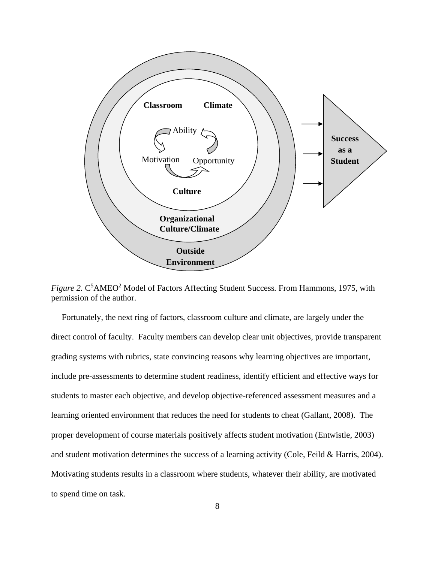

Figure 2. C<sup>5</sup>AMEO<sup>2</sup> Model of Factors Affecting Student Success. From Hammons, 1975, with permission of the author.

 Fortunately, the next ring of factors, classroom culture and climate, are largely under the direct control of faculty. Faculty members can develop clear unit objectives, provide transparent grading systems with rubrics, state convincing reasons why learning objectives are important, include pre-assessments to determine student readiness, identify efficient and effective ways for students to master each objective, and develop objective-referenced assessment measures and a learning oriented environment that reduces the need for students to cheat (Gallant, 2008). The proper development of course materials positively affects student motivation (Entwistle, 2003) and student motivation determines the success of a learning activity (Cole, Feild & Harris, 2004). Motivating students results in a classroom where students, whatever their ability, are motivated to spend time on task.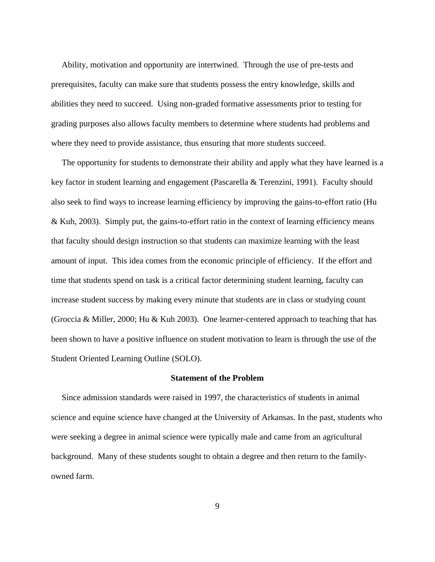Ability, motivation and opportunity are intertwined. Through the use of pre-tests and prerequisites, faculty can make sure that students possess the entry knowledge, skills and abilities they need to succeed. Using non-graded formative assessments prior to testing for grading purposes also allows faculty members to determine where students had problems and where they need to provide assistance, thus ensuring that more students succeed.

 The opportunity for students to demonstrate their ability and apply what they have learned is a key factor in student learning and engagement (Pascarella & Terenzini, 1991). Faculty should also seek to find ways to increase learning efficiency by improving the gains-to-effort ratio (Hu & Kuh, 2003). Simply put, the gains-to-effort ratio in the context of learning efficiency means that faculty should design instruction so that students can maximize learning with the least amount of input. This idea comes from the economic principle of efficiency. If the effort and time that students spend on task is a critical factor determining student learning, faculty can increase student success by making every minute that students are in class or studying count (Groccia & Miller, 2000; Hu & Kuh 2003). One learner-centered approach to teaching that has been shown to have a positive influence on student motivation to learn is through the use of the Student Oriented Learning Outline (SOLO).

#### **Statement of the Problem**

 Since admission standards were raised in 1997, the characteristics of students in animal science and equine science have changed at the University of Arkansas. In the past, students who were seeking a degree in animal science were typically male and came from an agricultural background. Many of these students sought to obtain a degree and then return to the familyowned farm.

9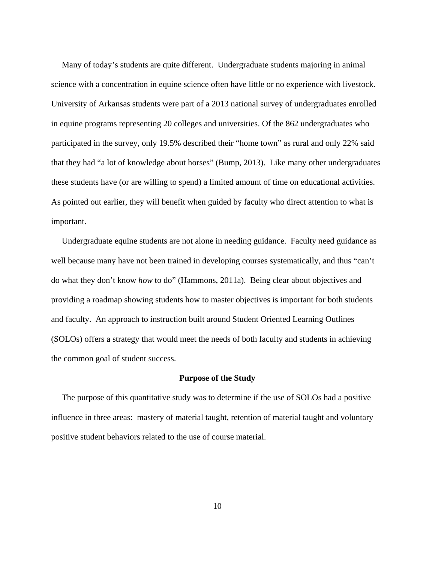Many of today's students are quite different. Undergraduate students majoring in animal science with a concentration in equine science often have little or no experience with livestock. University of Arkansas students were part of a 2013 national survey of undergraduates enrolled in equine programs representing 20 colleges and universities. Of the 862 undergraduates who participated in the survey, only 19.5% described their "home town" as rural and only 22% said that they had "a lot of knowledge about horses" (Bump, 2013). Like many other undergraduates these students have (or are willing to spend) a limited amount of time on educational activities. As pointed out earlier, they will benefit when guided by faculty who direct attention to what is important.

 Undergraduate equine students are not alone in needing guidance. Faculty need guidance as well because many have not been trained in developing courses systematically, and thus "can't do what they don't know *how* to do" (Hammons, 2011a). Being clear about objectives and providing a roadmap showing students how to master objectives is important for both students and faculty. An approach to instruction built around Student Oriented Learning Outlines (SOLOs) offers a strategy that would meet the needs of both faculty and students in achieving the common goal of student success.

#### **Purpose of the Study**

 The purpose of this quantitative study was to determine if the use of SOLOs had a positive influence in three areas: mastery of material taught, retention of material taught and voluntary positive student behaviors related to the use of course material.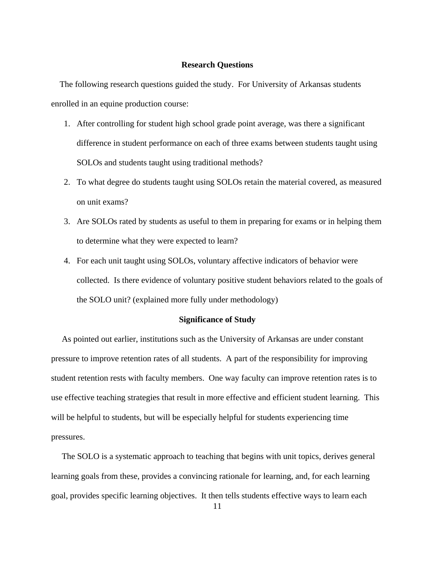### **Research Questions**

 The following research questions guided the study. For University of Arkansas students enrolled in an equine production course:

- 1. After controlling for student high school grade point average, was there a significant difference in student performance on each of three exams between students taught using SOLOs and students taught using traditional methods?
- 2. To what degree do students taught using SOLOs retain the material covered, as measured on unit exams?
- 3. Are SOLOs rated by students as useful to them in preparing for exams or in helping them to determine what they were expected to learn?
- 4. For each unit taught using SOLOs, voluntary affective indicators of behavior were collected. Is there evidence of voluntary positive student behaviors related to the goals of the SOLO unit? (explained more fully under methodology)

### **Significance of Study**

As pointed out earlier, institutions such as the University of Arkansas are under constant pressure to improve retention rates of all students. A part of the responsibility for improving student retention rests with faculty members. One way faculty can improve retention rates is to use effective teaching strategies that result in more effective and efficient student learning. This will be helpful to students, but will be especially helpful for students experiencing time pressures.

 The SOLO is a systematic approach to teaching that begins with unit topics, derives general learning goals from these, provides a convincing rationale for learning, and, for each learning goal, provides specific learning objectives. It then tells students effective ways to learn each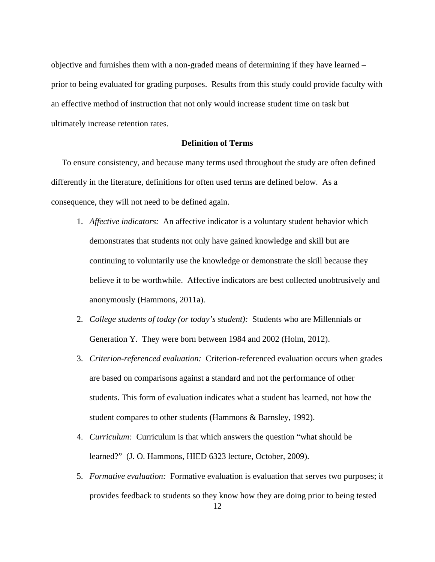objective and furnishes them with a non-graded means of determining if they have learned – prior to being evaluated for grading purposes. Results from this study could provide faculty with an effective method of instruction that not only would increase student time on task but ultimately increase retention rates.

#### **Definition of Terms**

To ensure consistency, and because many terms used throughout the study are often defined differently in the literature, definitions for often used terms are defined below. As a consequence, they will not need to be defined again.

- 1. *Affective indicators:* An affective indicator is a voluntary student behavior which demonstrates that students not only have gained knowledge and skill but are continuing to voluntarily use the knowledge or demonstrate the skill because they believe it to be worthwhile. Affective indicators are best collected unobtrusively and anonymously (Hammons, 2011a).
- 2. *College students of today (or today's student):* Students who are Millennials or Generation Y. They were born between 1984 and 2002 (Holm, 2012).
- 3. *Criterion-referenced evaluation:* Criterion-referenced evaluation occurs when grades are based on comparisons against a standard and not the performance of other students. This form of evaluation indicates what a student has learned, not how the student compares to other students (Hammons & Barnsley, 1992).
- 4. *Curriculum:* Curriculum is that which answers the question "what should be learned?" (J. O. Hammons, HIED 6323 lecture, October, 2009).
- 5. *Formative evaluation:* Formative evaluation is evaluation that serves two purposes; it provides feedback to students so they know how they are doing prior to being tested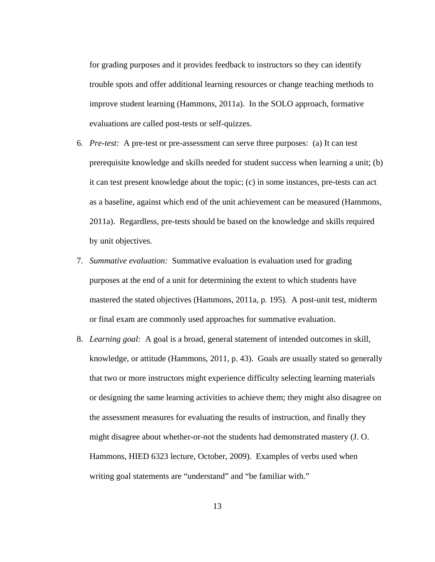for grading purposes and it provides feedback to instructors so they can identify trouble spots and offer additional learning resources or change teaching methods to improve student learning (Hammons, 2011a). In the SOLO approach, formative evaluations are called post-tests or self-quizzes.

- 6. *Pre-test:* A pre-test or pre-assessment can serve three purposes: (a) It can test prerequisite knowledge and skills needed for student success when learning a unit; (b) it can test present knowledge about the topic; (c) in some instances, pre-tests can act as a baseline, against which end of the unit achievement can be measured (Hammons, 2011a). Regardless, pre-tests should be based on the knowledge and skills required by unit objectives.
- 7. *Summative evaluation:* Summative evaluation is evaluation used for grading purposes at the end of a unit for determining the extent to which students have mastered the stated objectives (Hammons, 2011a, p. 195). A post-unit test, midterm or final exam are commonly used approaches for summative evaluation.
- 8. *Learning goal:* A goal is a broad, general statement of intended outcomes in skill, knowledge, or attitude (Hammons, 2011, p. 43). Goals are usually stated so generally that two or more instructors might experience difficulty selecting learning materials or designing the same learning activities to achieve them; they might also disagree on the assessment measures for evaluating the results of instruction, and finally they might disagree about whether-or-not the students had demonstrated mastery (J. O. Hammons, HIED 6323 lecture, October, 2009). Examples of verbs used when writing goal statements are "understand" and "be familiar with."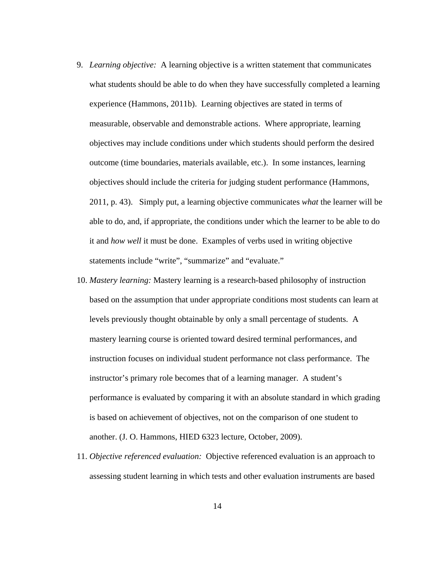- 9. *Learning objective:* A learning objective is a written statement that communicates what students should be able to do when they have successfully completed a learning experience (Hammons, 2011b). Learning objectives are stated in terms of measurable, observable and demonstrable actions. Where appropriate, learning objectives may include conditions under which students should perform the desired outcome (time boundaries, materials available, etc.). In some instances, learning objectives should include the criteria for judging student performance (Hammons, 2011, p. 43). Simply put, a learning objective communicates *what* the learner will be able to do, and, if appropriate, the conditions under which the learner to be able to do it and *how well* it must be done.Examples of verbs used in writing objective statements include "write", "summarize" and "evaluate."
- 10. *Mastery learning:* Mastery learning is a research-based philosophy of instruction based on the assumption that under appropriate conditions most students can learn at levels previously thought obtainable by only a small percentage of students. A mastery learning course is oriented toward desired terminal performances, and instruction focuses on individual student performance not class performance. The instructor's primary role becomes that of a learning manager. A student's performance is evaluated by comparing it with an absolute standard in which grading is based on achievement of objectives, not on the comparison of one student to another. (J. O. Hammons, HIED 6323 lecture, October, 2009).
- 11. *Objective referenced evaluation:* Objective referenced evaluation is an approach to assessing student learning in which tests and other evaluation instruments are based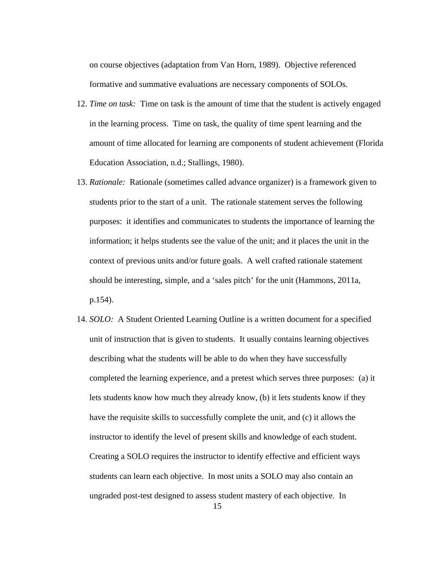on course objectives (adaptation from Van Horn, 1989). Objective referenced formative and summative evaluations are necessary components of SOLOs.

- 12. *Time on task:* Time on task is the amount of time that the student is actively engaged in the learning process. Time on task, the quality of time spent learning and the amount of time allocated for learning are components of student achievement (Florida Education Association, n.d.; Stallings, 1980).
- 13. *Rationale:*Rationale (sometimes called advance organizer) is a framework given to students prior to the start of a unit. The rationale statement serves the following purposes: it identifies and communicates to students the importance of learning the information; it helps students see the value of the unit; and it places the unit in the context of previous units and/or future goals. A well crafted rationale statement should be interesting, simple, and a 'sales pitch' for the unit (Hammons, 2011a, p.154).
- 14. *SOLO:* A Student Oriented Learning Outline is a written document for a specified unit of instruction that is given to students. It usually contains learning objectives describing what the students will be able to do when they have successfully completed the learning experience, and a pretest which serves three purposes: (a) it lets students know how much they already know, (b) it lets students know if they have the requisite skills to successfully complete the unit, and (c) it allows the instructor to identify the level of present skills and knowledge of each student. Creating a SOLO requires the instructor to identify effective and efficient ways students can learn each objective. In most units a SOLO may also contain an ungraded post-test designed to assess student mastery of each objective. In

15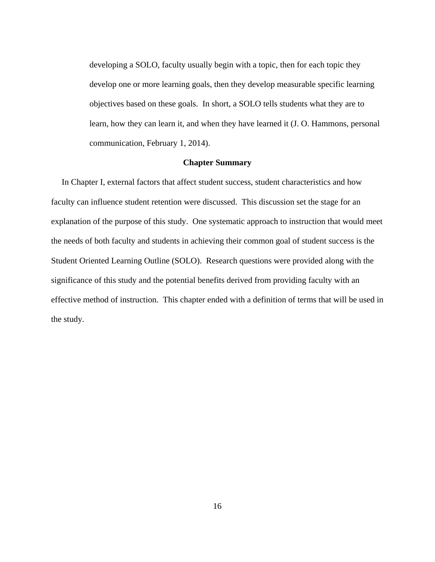developing a SOLO, faculty usually begin with a topic, then for each topic they develop one or more learning goals, then they develop measurable specific learning objectives based on these goals. In short, a SOLO tells students what they are to learn, how they can learn it, and when they have learned it (J. O. Hammons, personal communication, February 1, 2014).

### **Chapter Summary**

 In Chapter I, external factors that affect student success, student characteristics and how faculty can influence student retention were discussed. This discussion set the stage for an explanation of the purpose of this study. One systematic approach to instruction that would meet the needs of both faculty and students in achieving their common goal of student success is the Student Oriented Learning Outline (SOLO). Research questions were provided along with the significance of this study and the potential benefits derived from providing faculty with an effective method of instruction. This chapter ended with a definition of terms that will be used in the study.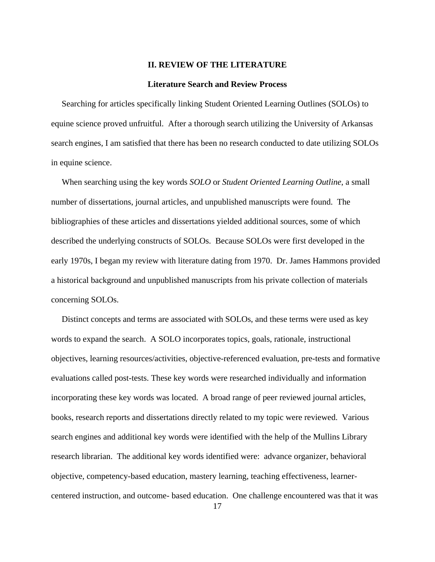#### **II. REVIEW OF THE LITERATURE**

#### **Literature Search and Review Process**

 Searching for articles specifically linking Student Oriented Learning Outlines (SOLOs) to equine science proved unfruitful. After a thorough search utilizing the University of Arkansas search engines, I am satisfied that there has been no research conducted to date utilizing SOLOs in equine science.

 When searching using the key words *SOLO* or *Student Oriented Learning Outline*, a small number of dissertations, journal articles, and unpublished manuscripts were found. The bibliographies of these articles and dissertations yielded additional sources, some of which described the underlying constructs of SOLOs. Because SOLOs were first developed in the early 1970s, I began my review with literature dating from 1970. Dr. James Hammons provided a historical background and unpublished manuscripts from his private collection of materials concerning SOLOs.

 Distinct concepts and terms are associated with SOLOs, and these terms were used as key words to expand the search. A SOLO incorporates topics, goals, rationale, instructional objectives, learning resources/activities, objective-referenced evaluation, pre-tests and formative evaluations called post-tests. These key words were researched individually and information incorporating these key words was located. A broad range of peer reviewed journal articles, books, research reports and dissertations directly related to my topic were reviewed. Various search engines and additional key words were identified with the help of the Mullins Library research librarian. The additional key words identified were: advance organizer, behavioral objective, competency-based education, mastery learning, teaching effectiveness, learnercentered instruction, and outcome- based education. One challenge encountered was that it was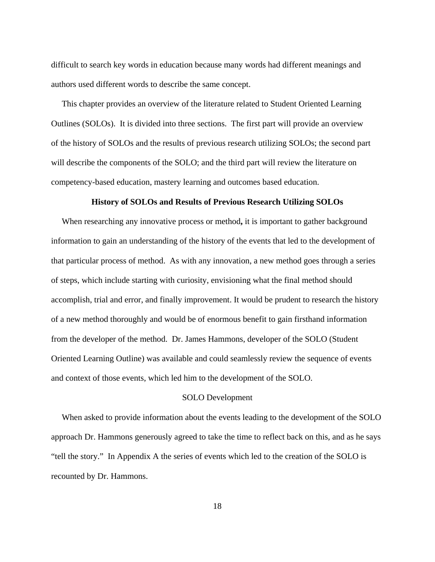difficult to search key words in education because many words had different meanings and authors used different words to describe the same concept.

 This chapter provides an overview of the literature related to Student Oriented Learning Outlines (SOLOs). It is divided into three sections. The first part will provide an overview of the history of SOLOs and the results of previous research utilizing SOLOs; the second part will describe the components of the SOLO; and the third part will review the literature on competency-based education, mastery learning and outcomes based education.

#### **History of SOLOs and Results of Previous Research Utilizing SOLOs**

 When researching any innovative process or method**,** it is important to gather background information to gain an understanding of the history of the events that led to the development of that particular process of method. As with any innovation, a new method goes through a series of steps, which include starting with curiosity, envisioning what the final method should accomplish, trial and error, and finally improvement. It would be prudent to research the history of a new method thoroughly and would be of enormous benefit to gain firsthand information from the developer of the method. Dr. James Hammons, developer of the SOLO (Student Oriented Learning Outline) was available and could seamlessly review the sequence of events and context of those events, which led him to the development of the SOLO.

## SOLO Development

 When asked to provide information about the events leading to the development of the SOLO approach Dr. Hammons generously agreed to take the time to reflect back on this, and as he says "tell the story." In Appendix A the series of events which led to the creation of the SOLO is recounted by Dr. Hammons.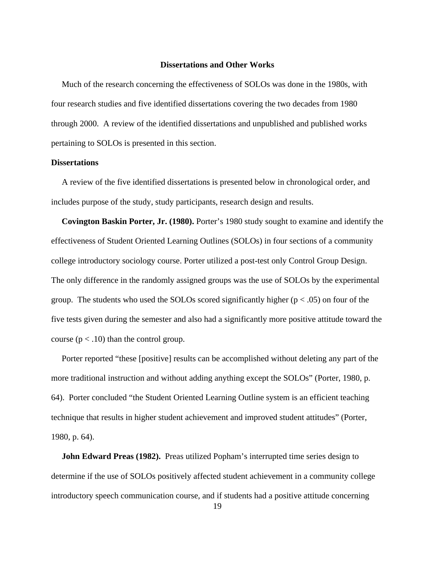#### **Dissertations and Other Works**

Much of the research concerning the effectiveness of SOLOs was done in the 1980s, with four research studies and five identified dissertations covering the two decades from 1980 through 2000. A review of the identified dissertations and unpublished and published works pertaining to SOLOs is presented in this section.

#### **Dissertations**

 A review of the five identified dissertations is presented below in chronological order, and includes purpose of the study, study participants, research design and results.

 **Covington Baskin Porter, Jr. (1980).** Porter's 1980 study sought to examine and identify the effectiveness of Student Oriented Learning Outlines (SOLOs) in four sections of a community college introductory sociology course. Porter utilized a post-test only Control Group Design. The only difference in the randomly assigned groups was the use of SOLOs by the experimental group. The students who used the SOLOs scored significantly higher  $(p < .05)$  on four of the five tests given during the semester and also had a significantly more positive attitude toward the course  $(p < .10)$  than the control group.

 Porter reported "these [positive] results can be accomplished without deleting any part of the more traditional instruction and without adding anything except the SOLOs" (Porter, 1980, p. 64). Porter concluded "the Student Oriented Learning Outline system is an efficient teaching technique that results in higher student achievement and improved student attitudes" (Porter, 1980, p. 64).

**John Edward Preas (1982).** Preas utilized Popham's interrupted time series design to determine if the use of SOLOs positively affected student achievement in a community college introductory speech communication course, and if students had a positive attitude concerning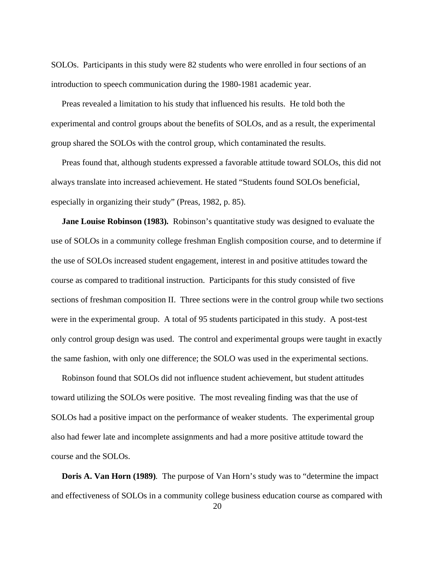SOLOs. Participants in this study were 82 students who were enrolled in four sections of an introduction to speech communication during the 1980-1981 academic year.

 Preas revealed a limitation to his study that influenced his results. He told both the experimental and control groups about the benefits of SOLOs, and as a result, the experimental group shared the SOLOs with the control group, which contaminated the results.

 Preas found that, although students expressed a favorable attitude toward SOLOs, this did not always translate into increased achievement. He stated "Students found SOLOs beneficial, especially in organizing their study" (Preas, 1982, p. 85).

 **Jane Louise Robinson (1983)***.*Robinson's quantitative study was designed to evaluate the use of SOLOs in a community college freshman English composition course, and to determine if the use of SOLOs increased student engagement, interest in and positive attitudes toward the course as compared to traditional instruction. Participants for this study consisted of five sections of freshman composition II. Three sections were in the control group while two sections were in the experimental group. A total of 95 students participated in this study. A post-test only control group design was used. The control and experimental groups were taught in exactly the same fashion, with only one difference; the SOLO was used in the experimental sections.

 Robinson found that SOLOs did not influence student achievement, but student attitudes toward utilizing the SOLOs were positive. The most revealing finding was that the use of SOLOs had a positive impact on the performance of weaker students. The experimental group also had fewer late and incomplete assignments and had a more positive attitude toward the course and the SOLOs.

 **Doris A. Van Horn (1989)***.* The purpose of Van Horn's study was to "determine the impact and effectiveness of SOLOs in a community college business education course as compared with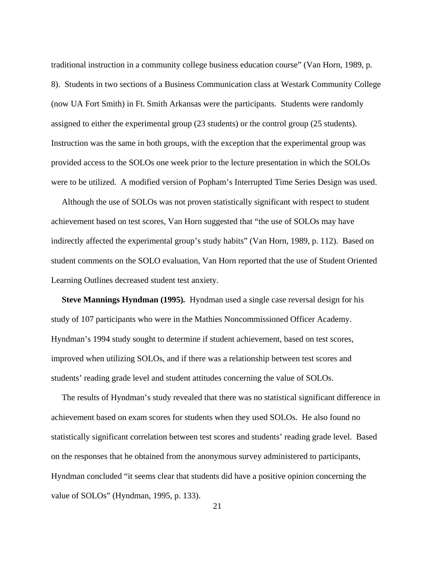traditional instruction in a community college business education course" (Van Horn, 1989, p. 8). Students in two sections of a Business Communication class at Westark Community College (now UA Fort Smith) in Ft. Smith Arkansas were the participants. Students were randomly assigned to either the experimental group (23 students) or the control group (25 students). Instruction was the same in both groups, with the exception that the experimental group was provided access to the SOLOs one week prior to the lecture presentation in which the SOLOs were to be utilized. A modified version of Popham's Interrupted Time Series Design was used.

Although the use of SOLOs was not proven statistically significant with respect to student achievement based on test scores, Van Horn suggested that "the use of SOLOs may have indirectly affected the experimental group's study habits" (Van Horn, 1989, p. 112). Based on student comments on the SOLO evaluation, Van Horn reported that the use of Student Oriented Learning Outlines decreased student test anxiety.

 **Steve Mannings Hyndman (1995)***.*Hyndman used a single case reversal design for his study of 107 participants who were in the Mathies Noncommissioned Officer Academy. Hyndman's 1994 study sought to determine if student achievement, based on test scores, improved when utilizing SOLOs, and if there was a relationship between test scores and students' reading grade level and student attitudes concerning the value of SOLOs.

 The results of Hyndman's study revealed that there was no statistical significant difference in achievement based on exam scores for students when they used SOLOs. He also found no statistically significant correlation between test scores and students' reading grade level. Based on the responses that he obtained from the anonymous survey administered to participants, Hyndman concluded "it seems clear that students did have a positive opinion concerning the value of SOLOs" (Hyndman, 1995, p. 133).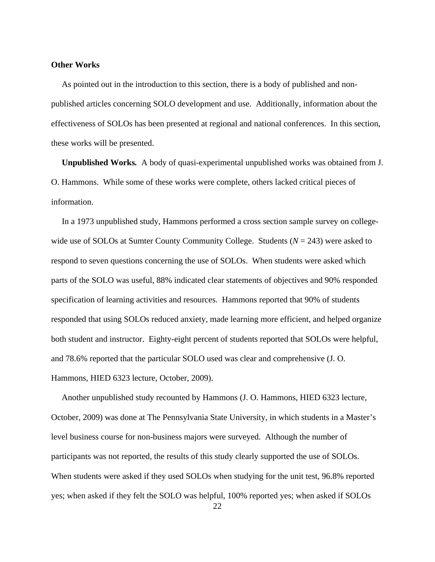#### **Other Works**

As pointed out in the introduction to this section, there is a body of published and nonpublished articles concerning SOLO development and use. Additionally, information about the effectiveness of SOLOs has been presented at regional and national conferences. In this section, these works will be presented.

 **Unpublished Works***.* A body of quasi-experimental unpublished works was obtained from J. O. Hammons. While some of these works were complete, others lacked critical pieces of information.

 In a 1973 unpublished study, Hammons performed a cross section sample survey on collegewide use of SOLOs at Sumter County Community College. Students (*N* = 243) were asked to respond to seven questions concerning the use of SOLOs. When students were asked which parts of the SOLO was useful, 88% indicated clear statements of objectives and 90% responded specification of learning activities and resources. Hammons reported that 90% of students responded that using SOLOs reduced anxiety, made learning more efficient, and helped organize both student and instructor. Eighty-eight percent of students reported that SOLOs were helpful, and 78.6% reported that the particular SOLO used was clear and comprehensive (J. O. Hammons, HIED 6323 lecture, October, 2009).

 Another unpublished study recounted by Hammons (J. O. Hammons, HIED 6323 lecture, October, 2009) was done at The Pennsylvania State University, in which students in a Master's level business course for non-business majors were surveyed. Although the number of participants was not reported, the results of this study clearly supported the use of SOLOs. When students were asked if they used SOLOs when studying for the unit test, 96.8% reported yes; when asked if they felt the SOLO was helpful, 100% reported yes; when asked if SOLOs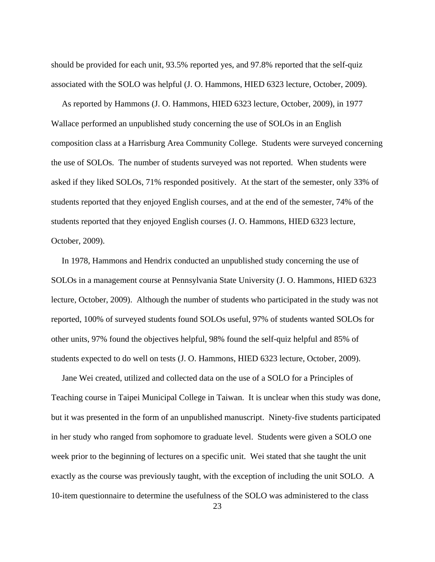should be provided for each unit, 93.5% reported yes, and 97.8% reported that the self-quiz associated with the SOLO was helpful (J. O. Hammons, HIED 6323 lecture, October, 2009).

 As reported by Hammons (J. O. Hammons, HIED 6323 lecture, October, 2009), in 1977 Wallace performed an unpublished study concerning the use of SOLOs in an English composition class at a Harrisburg Area Community College. Students were surveyed concerning the use of SOLOs. The number of students surveyed was not reported. When students were asked if they liked SOLOs, 71% responded positively. At the start of the semester, only 33% of students reported that they enjoyed English courses, and at the end of the semester, 74% of the students reported that they enjoyed English courses (J. O. Hammons, HIED 6323 lecture, October, 2009).

 In 1978, Hammons and Hendrix conducted an unpublished study concerning the use of SOLOs in a management course at Pennsylvania State University (J. O. Hammons, HIED 6323 lecture, October, 2009). Although the number of students who participated in the study was not reported, 100% of surveyed students found SOLOs useful, 97% of students wanted SOLOs for other units, 97% found the objectives helpful, 98% found the self-quiz helpful and 85% of students expected to do well on tests (J. O. Hammons, HIED 6323 lecture, October, 2009).

 Jane Wei created, utilized and collected data on the use of a SOLO for a Principles of Teaching course in Taipei Municipal College in Taiwan. It is unclear when this study was done, but it was presented in the form of an unpublished manuscript. Ninety-five students participated in her study who ranged from sophomore to graduate level. Students were given a SOLO one week prior to the beginning of lectures on a specific unit. Wei stated that she taught the unit exactly as the course was previously taught, with the exception of including the unit SOLO. A 10-item questionnaire to determine the usefulness of the SOLO was administered to the class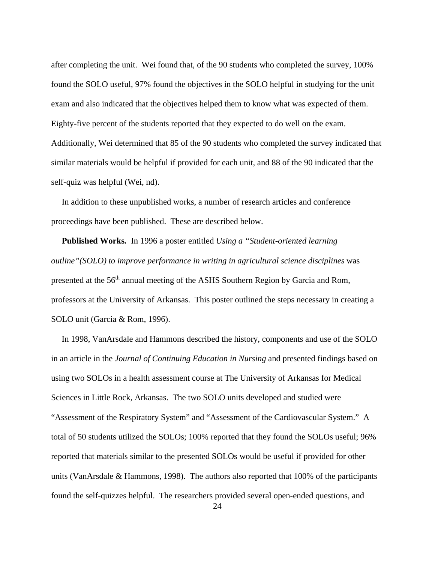after completing the unit. Wei found that, of the 90 students who completed the survey, 100% found the SOLO useful, 97% found the objectives in the SOLO helpful in studying for the unit exam and also indicated that the objectives helped them to know what was expected of them. Eighty-five percent of the students reported that they expected to do well on the exam. Additionally, Wei determined that 85 of the 90 students who completed the survey indicated that similar materials would be helpful if provided for each unit, and 88 of the 90 indicated that the self-quiz was helpful (Wei, nd).

 In addition to these unpublished works, a number of research articles and conference proceedings have been published. These are described below.

 **Published Works***.* In 1996 a poster entitled *Using a "Student-oriented learning outline"(SOLO) to improve performance in writing in agricultural science disciplines* was presented at the 56th annual meeting of the ASHS Southern Region by Garcia and Rom, professors at the University of Arkansas. This poster outlined the steps necessary in creating a SOLO unit (Garcia & Rom, 1996).

 In 1998, VanArsdale and Hammons described the history, components and use of the SOLO in an article in the *Journal of Continuing Education in Nursing* and presented findings based on using two SOLOs in a health assessment course at The University of Arkansas for Medical Sciences in Little Rock, Arkansas. The two SOLO units developed and studied were "Assessment of the Respiratory System" and "Assessment of the Cardiovascular System." A total of 50 students utilized the SOLOs; 100% reported that they found the SOLOs useful; 96% reported that materials similar to the presented SOLOs would be useful if provided for other units (VanArsdale & Hammons, 1998). The authors also reported that 100% of the participants found the self-quizzes helpful. The researchers provided several open-ended questions, and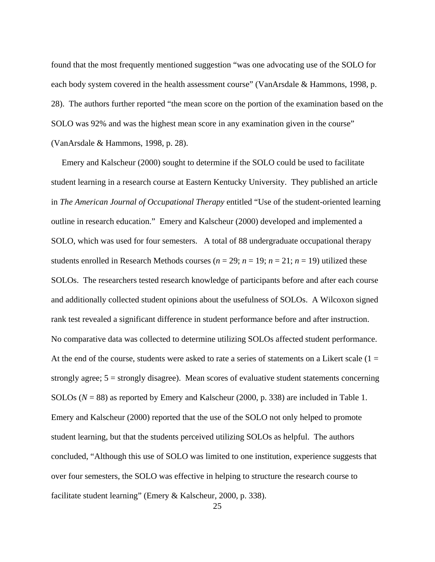found that the most frequently mentioned suggestion "was one advocating use of the SOLO for each body system covered in the health assessment course" (VanArsdale & Hammons, 1998, p. 28). The authors further reported "the mean score on the portion of the examination based on the SOLO was 92% and was the highest mean score in any examination given in the course" (VanArsdale & Hammons, 1998, p. 28).

 Emery and Kalscheur (2000) sought to determine if the SOLO could be used to facilitate student learning in a research course at Eastern Kentucky University. They published an article in *The American Journal of Occupational Therapy* entitled "Use of the student-oriented learning outline in research education." Emery and Kalscheur (2000) developed and implemented a SOLO, which was used for four semesters. A total of 88 undergraduate occupational therapy students enrolled in Research Methods courses  $(n = 29; n = 19; n = 21; n = 19)$  utilized these SOLOs. The researchers tested research knowledge of participants before and after each course and additionally collected student opinions about the usefulness of SOLOs. A Wilcoxon signed rank test revealed a significant difference in student performance before and after instruction. No comparative data was collected to determine utilizing SOLOs affected student performance. At the end of the course, students were asked to rate a series of statements on a Likert scale  $(1 =$ strongly agree;  $5 =$  strongly disagree). Mean scores of evaluative student statements concerning SOLOs (*N* = 88) as reported by Emery and Kalscheur (2000, p. 338) are included in Table 1. Emery and Kalscheur (2000) reported that the use of the SOLO not only helped to promote student learning, but that the students perceived utilizing SOLOs as helpful. The authors concluded, "Although this use of SOLO was limited to one institution, experience suggests that over four semesters, the SOLO was effective in helping to structure the research course to facilitate student learning" (Emery & Kalscheur, 2000, p. 338).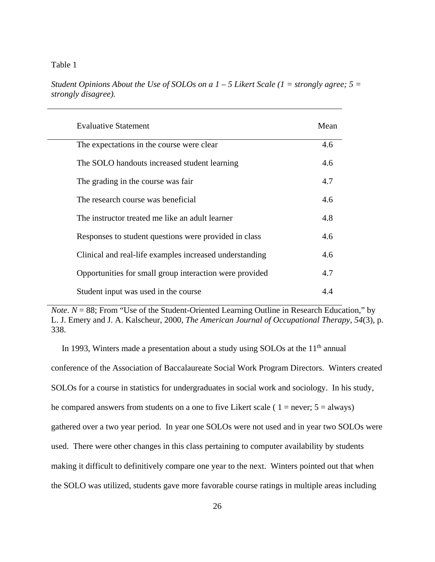### Table 1

*Student Opinions About the Use of SOLOs on a 1 – 5 Likert Scale (1 = strongly agree; 5 = strongly disagree).* 

| <b>Evaluative Statement</b>                             | Mean |
|---------------------------------------------------------|------|
| The expectations in the course were clear               | 4.6  |
| The SOLO handouts increased student learning            | 4.6  |
| The grading in the course was fair                      | 4.7  |
| The research course was beneficial                      | 4.6  |
| The instructor treated me like an adult learner         | 4.8  |
| Responses to student questions were provided in class   | 4.6  |
| Clinical and real-life examples increased understanding | 4.6  |
| Opportunities for small group interaction were provided | 4.7  |
| Student input was used in the course                    | 4.4  |

*Note*.  $N = 88$ ; From "Use of the Student-Oriented Learning Outline in Research Education," by L. J. Emery and J. A. Kalscheur, 2000, *The American Journal of Occupational Therapy, 54*(3), p. 338.

In 1993, Winters made a presentation about a study using SOLOs at the  $11<sup>th</sup>$  annual conference of the Association of Baccalaureate Social Work Program Directors. Winters created SOLOs for a course in statistics for undergraduates in social work and sociology. In his study, he compared answers from students on a one to five Likert scale (  $1 =$  never;  $5 =$  always) gathered over a two year period. In year one SOLOs were not used and in year two SOLOs were used. There were other changes in this class pertaining to computer availability by students making it difficult to definitively compare one year to the next. Winters pointed out that when the SOLO was utilized, students gave more favorable course ratings in multiple areas including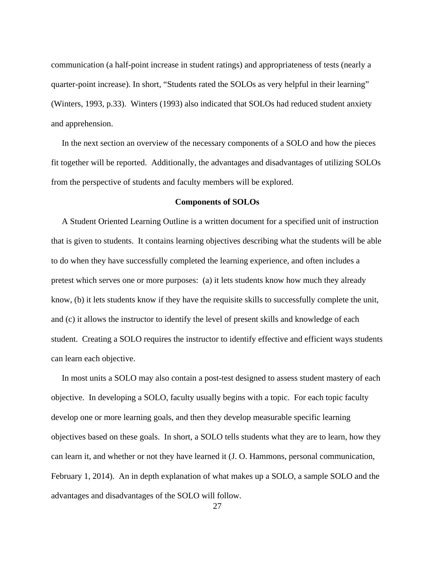communication (a half-point increase in student ratings) and appropriateness of tests (nearly a quarter-point increase). In short, "Students rated the SOLOs as very helpful in their learning" (Winters, 1993, p.33). Winters (1993) also indicated that SOLOs had reduced student anxiety and apprehension.

 In the next section an overview of the necessary components of a SOLO and how the pieces fit together will be reported. Additionally, the advantages and disadvantages of utilizing SOLOs from the perspective of students and faculty members will be explored.

#### **Components of SOLOs**

 A Student Oriented Learning Outline is a written document for a specified unit of instruction that is given to students. It contains learning objectives describing what the students will be able to do when they have successfully completed the learning experience, and often includes a pretest which serves one or more purposes: (a) it lets students know how much they already know, (b) it lets students know if they have the requisite skills to successfully complete the unit, and (c) it allows the instructor to identify the level of present skills and knowledge of each student. Creating a SOLO requires the instructor to identify effective and efficient ways students can learn each objective.

 In most units a SOLO may also contain a post-test designed to assess student mastery of each objective. In developing a SOLO, faculty usually begins with a topic. For each topic faculty develop one or more learning goals, and then they develop measurable specific learning objectives based on these goals. In short, a SOLO tells students what they are to learn, how they can learn it, and whether or not they have learned it (J. O. Hammons, personal communication, February 1, 2014). An in depth explanation of what makes up a SOLO, a sample SOLO and the advantages and disadvantages of the SOLO will follow.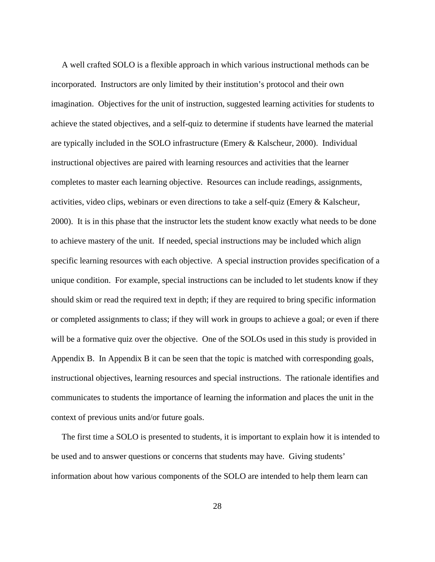A well crafted SOLO is a flexible approach in which various instructional methods can be incorporated. Instructors are only limited by their institution's protocol and their own imagination. Objectives for the unit of instruction, suggested learning activities for students to achieve the stated objectives, and a self-quiz to determine if students have learned the material are typically included in the SOLO infrastructure (Emery & Kalscheur, 2000). Individual instructional objectives are paired with learning resources and activities that the learner completes to master each learning objective. Resources can include readings, assignments, activities, video clips, webinars or even directions to take a self-quiz (Emery & Kalscheur, 2000). It is in this phase that the instructor lets the student know exactly what needs to be done to achieve mastery of the unit. If needed, special instructions may be included which align specific learning resources with each objective. A special instruction provides specification of a unique condition. For example, special instructions can be included to let students know if they should skim or read the required text in depth; if they are required to bring specific information or completed assignments to class; if they will work in groups to achieve a goal; or even if there will be a formative quiz over the objective. One of the SOLOs used in this study is provided in Appendix B. In Appendix B it can be seen that the topic is matched with corresponding goals, instructional objectives, learning resources and special instructions. The rationale identifies and communicates to students the importance of learning the information and places the unit in the context of previous units and/or future goals.

 The first time a SOLO is presented to students, it is important to explain how it is intended to be used and to answer questions or concerns that students may have. Giving students' information about how various components of the SOLO are intended to help them learn can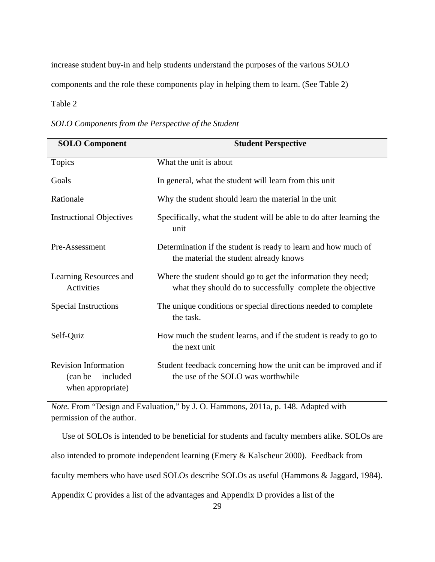increase student buy-in and help students understand the purposes of the various SOLO components and the role these components play in helping them to learn. (See Table 2)

Table 2

| <b>SOLO Component</b>                                                    | <b>Student Perspective</b>                                                                                                  |  |  |  |
|--------------------------------------------------------------------------|-----------------------------------------------------------------------------------------------------------------------------|--|--|--|
| Topics                                                                   | What the unit is about                                                                                                      |  |  |  |
| Goals                                                                    | In general, what the student will learn from this unit                                                                      |  |  |  |
| Rationale                                                                | Why the student should learn the material in the unit                                                                       |  |  |  |
| <b>Instructional Objectives</b>                                          | Specifically, what the student will be able to do after learning the<br>unit                                                |  |  |  |
| Pre-Assessment                                                           | Determination if the student is ready to learn and how much of<br>the material the student already knows                    |  |  |  |
| Learning Resources and<br>Activities                                     | Where the student should go to get the information they need;<br>what they should do to successfully complete the objective |  |  |  |
| <b>Special Instructions</b>                                              | The unique conditions or special directions needed to complete<br>the task.                                                 |  |  |  |
| Self-Quiz                                                                | How much the student learns, and if the student is ready to go to<br>the next unit                                          |  |  |  |
| <b>Revision Information</b><br>included<br>(can be)<br>when appropriate) | Student feedback concerning how the unit can be improved and if<br>the use of the SOLO was worthwhile                       |  |  |  |

*Note.* From "Design and Evaluation," by J. O. Hammons, 2011a, p. 148. Adapted with permission of the author.

 Use of SOLOs is intended to be beneficial for students and faculty members alike. SOLOs are also intended to promote independent learning (Emery & Kalscheur 2000). Feedback from faculty members who have used SOLOs describe SOLOs as useful (Hammons & Jaggard, 1984). Appendix C provides a list of the advantages and Appendix D provides a list of the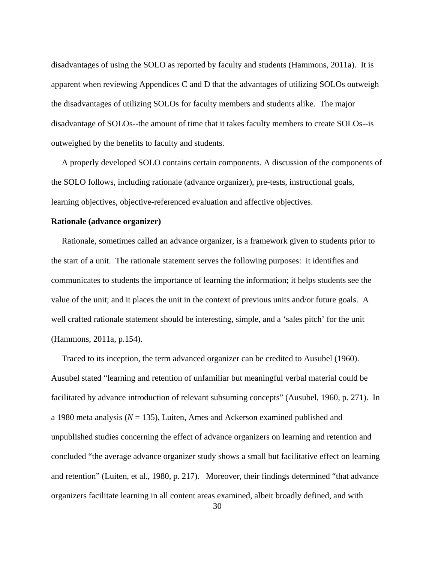disadvantages of using the SOLO as reported by faculty and students (Hammons, 2011a). It is apparent when reviewing Appendices C and D that the advantages of utilizing SOLOs outweigh the disadvantages of utilizing SOLOs for faculty members and students alike. The major disadvantage of SOLOs--the amount of time that it takes faculty members to create SOLOs--is outweighed by the benefits to faculty and students.

 A properly developed SOLO contains certain components. A discussion of the components of the SOLO follows, including rationale (advance organizer), pre-tests, instructional goals, learning objectives, objective-referenced evaluation and affective objectives.

## **Rationale (advance organizer)**

 Rationale, sometimes called an advance organizer, is a framework given to students prior to the start of a unit. The rationale statement serves the following purposes: it identifies and communicates to students the importance of learning the information; it helps students see the value of the unit; and it places the unit in the context of previous units and/or future goals. A well crafted rationale statement should be interesting, simple, and a 'sales pitch' for the unit (Hammons, 2011a, p.154).

 Traced to its inception, the term advanced organizer can be credited to Ausubel (1960). Ausubel stated "learning and retention of unfamiliar but meaningful verbal material could be facilitated by advance introduction of relevant subsuming concepts" (Ausubel, 1960, p. 271). In a 1980 meta analysis (*N* = 135), Luiten, Ames and Ackerson examined published and unpublished studies concerning the effect of advance organizers on learning and retention and concluded "the average advance organizer study shows a small but facilitative effect on learning and retention" (Luiten, et al., 1980, p. 217). Moreover, their findings determined "that advance organizers facilitate learning in all content areas examined, albeit broadly defined, and with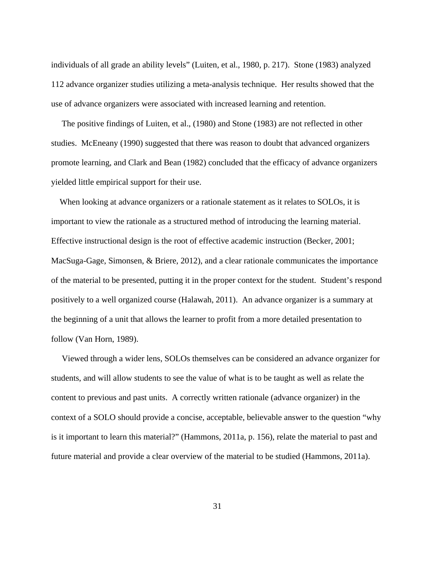individuals of all grade an ability levels" (Luiten, et al., 1980, p. 217). Stone (1983) analyzed 112 advance organizer studies utilizing a meta-analysis technique. Her results showed that the use of advance organizers were associated with increased learning and retention.

 The positive findings of Luiten, et al., (1980) and Stone (1983) are not reflected in other studies. McEneany (1990) suggested that there was reason to doubt that advanced organizers promote learning, and Clark and Bean (1982) concluded that the efficacy of advance organizers yielded little empirical support for their use.

 When looking at advance organizers or a rationale statement as it relates to SOLOs, it is important to view the rationale as a structured method of introducing the learning material. Effective instructional design is the root of effective academic instruction (Becker, 2001; MacSuga-Gage, Simonsen, & Briere, 2012), and a clear rationale communicates the importance of the material to be presented, putting it in the proper context for the student. Student's respond positively to a well organized course (Halawah, 2011). An advance organizer is a summary at the beginning of a unit that allows the learner to profit from a more detailed presentation to follow (Van Horn, 1989).

 Viewed through a wider lens, SOLOs themselves can be considered an advance organizer for students, and will allow students to see the value of what is to be taught as well as relate the content to previous and past units. A correctly written rationale (advance organizer) in the context of a SOLO should provide a concise, acceptable, believable answer to the question "why is it important to learn this material?" (Hammons, 2011a, p. 156), relate the material to past and future material and provide a clear overview of the material to be studied (Hammons, 2011a).

31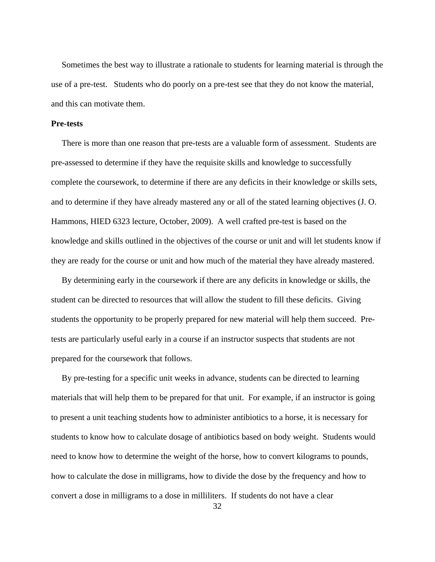Sometimes the best way to illustrate a rationale to students for learning material is through the use of a pre-test. Students who do poorly on a pre-test see that they do not know the material, and this can motivate them.

#### **Pre-tests**

 There is more than one reason that pre-tests are a valuable form of assessment. Students are pre-assessed to determine if they have the requisite skills and knowledge to successfully complete the coursework, to determine if there are any deficits in their knowledge or skills sets, and to determine if they have already mastered any or all of the stated learning objectives (J. O. Hammons, HIED 6323 lecture, October, 2009). A well crafted pre-test is based on the knowledge and skills outlined in the objectives of the course or unit and will let students know if they are ready for the course or unit and how much of the material they have already mastered.

 By determining early in the coursework if there are any deficits in knowledge or skills, the student can be directed to resources that will allow the student to fill these deficits. Giving students the opportunity to be properly prepared for new material will help them succeed. Pretests are particularly useful early in a course if an instructor suspects that students are not prepared for the coursework that follows.

 By pre-testing for a specific unit weeks in advance, students can be directed to learning materials that will help them to be prepared for that unit. For example, if an instructor is going to present a unit teaching students how to administer antibiotics to a horse, it is necessary for students to know how to calculate dosage of antibiotics based on body weight. Students would need to know how to determine the weight of the horse, how to convert kilograms to pounds, how to calculate the dose in milligrams, how to divide the dose by the frequency and how to convert a dose in milligrams to a dose in milliliters. If students do not have a clear

32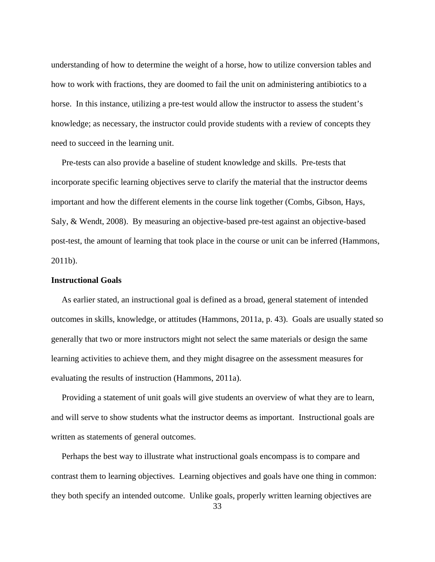understanding of how to determine the weight of a horse, how to utilize conversion tables and how to work with fractions, they are doomed to fail the unit on administering antibiotics to a horse. In this instance, utilizing a pre-test would allow the instructor to assess the student's knowledge; as necessary, the instructor could provide students with a review of concepts they need to succeed in the learning unit.

 Pre-tests can also provide a baseline of student knowledge and skills. Pre-tests that incorporate specific learning objectives serve to clarify the material that the instructor deems important and how the different elements in the course link together (Combs, Gibson, Hays, Saly, & Wendt, 2008). By measuring an objective-based pre-test against an objective-based post-test, the amount of learning that took place in the course or unit can be inferred (Hammons, 2011b).

### **Instructional Goals**

 As earlier stated, an instructional goal is defined as a broad, general statement of intended outcomes in skills, knowledge, or attitudes (Hammons, 2011a, p. 43). Goals are usually stated so generally that two or more instructors might not select the same materials or design the same learning activities to achieve them, and they might disagree on the assessment measures for evaluating the results of instruction (Hammons, 2011a).

 Providing a statement of unit goals will give students an overview of what they are to learn, and will serve to show students what the instructor deems as important. Instructional goals are written as statements of general outcomes.

 Perhaps the best way to illustrate what instructional goals encompass is to compare and contrast them to learning objectives. Learning objectives and goals have one thing in common: they both specify an intended outcome. Unlike goals, properly written learning objectives are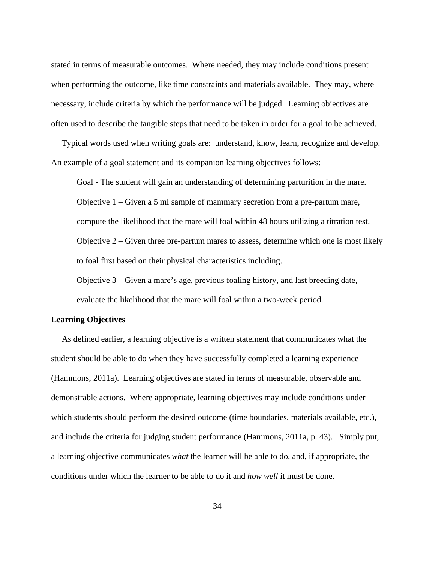stated in terms of measurable outcomes. Where needed, they may include conditions present when performing the outcome, like time constraints and materials available. They may, where necessary, include criteria by which the performance will be judged. Learning objectives are often used to describe the tangible steps that need to be taken in order for a goal to be achieved.

 Typical words used when writing goals are: understand, know, learn, recognize and develop. An example of a goal statement and its companion learning objectives follows:

Goal - The student will gain an understanding of determining parturition in the mare. Objective 1 – Given a 5 ml sample of mammary secretion from a pre-partum mare, compute the likelihood that the mare will foal within 48 hours utilizing a titration test. Objective 2 – Given three pre-partum mares to assess, determine which one is most likely to foal first based on their physical characteristics including.

Objective 3 – Given a mare's age, previous foaling history, and last breeding date, evaluate the likelihood that the mare will foal within a two-week period.

## **Learning Objectives**

As defined earlier, a learning objective is a written statement that communicates what the student should be able to do when they have successfully completed a learning experience (Hammons, 2011a). Learning objectives are stated in terms of measurable, observable and demonstrable actions. Where appropriate, learning objectives may include conditions under which students should perform the desired outcome (time boundaries, materials available, etc.), and include the criteria for judging student performance (Hammons, 2011a, p. 43). Simply put, a learning objective communicates *what* the learner will be able to do, and, if appropriate, the conditions under which the learner to be able to do it and *how well* it must be done.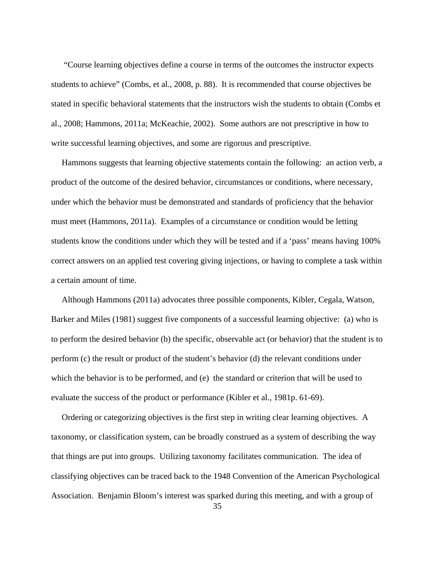"Course learning objectives define a course in terms of the outcomes the instructor expects students to achieve" (Combs, et al., 2008, p. 88). It is recommended that course objectives be stated in specific behavioral statements that the instructors wish the students to obtain (Combs et al., 2008; Hammons, 2011a; McKeachie, 2002). Some authors are not prescriptive in how to write successful learning objectives, and some are rigorous and prescriptive.

 Hammons suggests that learning objective statements contain the following: an action verb, a product of the outcome of the desired behavior, circumstances or conditions, where necessary, under which the behavior must be demonstrated and standards of proficiency that the behavior must meet (Hammons, 2011a). Examples of a circumstance or condition would be letting students know the conditions under which they will be tested and if a 'pass' means having 100% correct answers on an applied test covering giving injections, or having to complete a task within a certain amount of time.

 Although Hammons (2011a) advocates three possible components, Kibler, Cegala, Watson, Barker and Miles (1981) suggest five components of a successful learning objective: (a) who is to perform the desired behavior (b) the specific, observable act (or behavior) that the student is to perform (c) the result or product of the student's behavior (d) the relevant conditions under which the behavior is to be performed, and (e) the standard or criterion that will be used to evaluate the success of the product or performance (Kibler et al., 1981p. 61-69).

 Ordering or categorizing objectives is the first step in writing clear learning objectives. A taxonomy, or classification system, can be broadly construed as a system of describing the way that things are put into groups. Utilizing taxonomy facilitates communication. The idea of classifying objectives can be traced back to the 1948 Convention of the American Psychological Association. Benjamin Bloom's interest was sparked during this meeting, and with a group of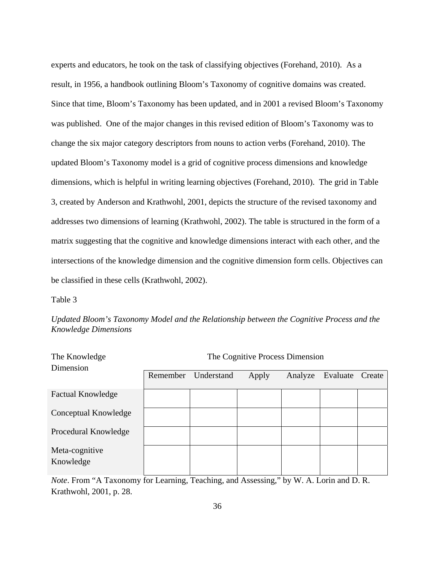experts and educators, he took on the task of classifying objectives (Forehand, 2010). As a result, in 1956, a handbook outlining Bloom's Taxonomy of cognitive domains was created. Since that time, Bloom's Taxonomy has been updated, and in 2001 a revised Bloom's Taxonomy was published. One of the major changes in this revised edition of Bloom's Taxonomy was to change the six major category descriptors from nouns to action verbs (Forehand, 2010). The updated Bloom's Taxonomy model is a grid of cognitive process dimensions and knowledge dimensions, which is helpful in writing learning objectives (Forehand, 2010). The grid in Table 3, created by Anderson and Krathwohl, 2001, depicts the structure of the revised taxonomy and addresses two dimensions of learning (Krathwohl, 2002). The table is structured in the form of a matrix suggesting that the cognitive and knowledge dimensions interact with each other, and the intersections of the knowledge dimension and the cognitive dimension form cells. Objectives can be classified in these cells (Krathwohl, 2002).

Table 3

*Updated Bloom's Taxonomy Model and the Relationship between the Cognitive Process and the Knowledge Dimensions* 

| The Knowledge<br>Dimension  | The Cognitive Process Dimension |            |       |         |          |        |
|-----------------------------|---------------------------------|------------|-------|---------|----------|--------|
|                             | Remember                        | Understand | Apply | Analyze | Evaluate | Create |
| <b>Factual Knowledge</b>    |                                 |            |       |         |          |        |
| Conceptual Knowledge        |                                 |            |       |         |          |        |
| Procedural Knowledge        |                                 |            |       |         |          |        |
| Meta-cognitive<br>Knowledge |                                 |            |       |         |          |        |

*Note*. From "A Taxonomy for Learning, Teaching, and Assessing," by W. A. Lorin and D. R. Krathwohl, 2001, p. 28.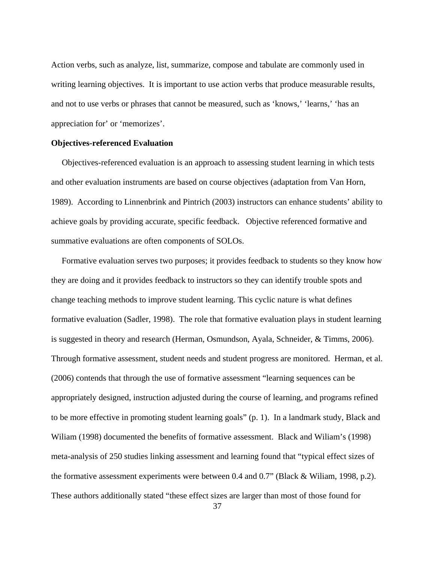Action verbs, such as analyze, list, summarize, compose and tabulate are commonly used in writing learning objectives. It is important to use action verbs that produce measurable results, and not to use verbs or phrases that cannot be measured, such as 'knows,' 'learns,' 'has an appreciation for' or 'memorizes'.

### **Objectives-referenced Evaluation**

 Objectives-referenced evaluation is an approach to assessing student learning in which tests and other evaluation instruments are based on course objectives (adaptation from Van Horn, 1989). According to Linnenbrink and Pintrich (2003) instructors can enhance students' ability to achieve goals by providing accurate, specific feedback. Objective referenced formative and summative evaluations are often components of SOLOs.

 Formative evaluation serves two purposes; it provides feedback to students so they know how they are doing and it provides feedback to instructors so they can identify trouble spots and change teaching methods to improve student learning. This cyclic nature is what defines formative evaluation (Sadler, 1998). The role that formative evaluation plays in student learning is suggested in theory and research (Herman, Osmundson, Ayala, Schneider, & Timms, 2006). Through formative assessment, student needs and student progress are monitored. Herman, et al. (2006) contends that through the use of formative assessment "learning sequences can be appropriately designed, instruction adjusted during the course of learning, and programs refined to be more effective in promoting student learning goals" (p. 1). In a landmark study, Black and Wiliam (1998) documented the benefits of formative assessment. Black and Wiliam's (1998) meta-analysis of 250 studies linking assessment and learning found that "typical effect sizes of the formative assessment experiments were between 0.4 and 0.7" (Black & Wiliam, 1998, p.2). These authors additionally stated "these effect sizes are larger than most of those found for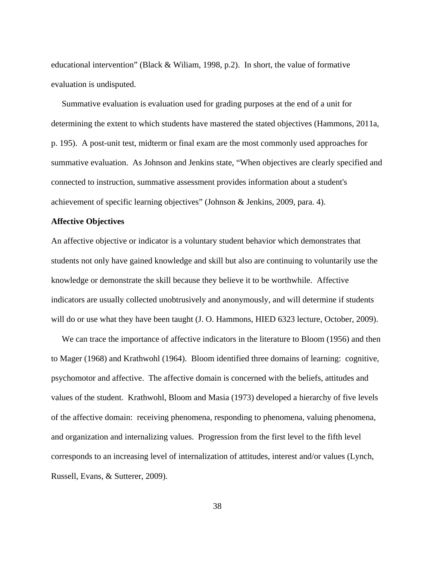educational intervention" (Black & Wiliam, 1998, p.2). In short, the value of formative evaluation is undisputed.

 Summative evaluation is evaluation used for grading purposes at the end of a unit for determining the extent to which students have mastered the stated objectives (Hammons, 2011a, p. 195). A post-unit test, midterm or final exam are the most commonly used approaches for summative evaluation. As Johnson and Jenkins state, "When objectives are clearly specified and connected to instruction, summative assessment provides information about a student's achievement of specific learning objectives" (Johnson & Jenkins, 2009, para. 4).

### **Affective Objectives**

An affective objective or indicator is a voluntary student behavior which demonstrates that students not only have gained knowledge and skill but also are continuing to voluntarily use the knowledge or demonstrate the skill because they believe it to be worthwhile. Affective indicators are usually collected unobtrusively and anonymously, and will determine if students will do or use what they have been taught (J. O. Hammons, HIED 6323 lecture, October, 2009).

 We can trace the importance of affective indicators in the literature to Bloom (1956) and then to Mager (1968) and Krathwohl (1964). Bloom identified three domains of learning: cognitive, psychomotor and affective. The affective domain is concerned with the beliefs, attitudes and values of the student. Krathwohl, Bloom and Masia (1973) developed a hierarchy of five levels of the affective domain: receiving phenomena, responding to phenomena, valuing phenomena, and organization and internalizing values. Progression from the first level to the fifth level corresponds to an increasing level of internalization of attitudes, interest and/or values (Lynch, Russell, Evans, & Sutterer, 2009).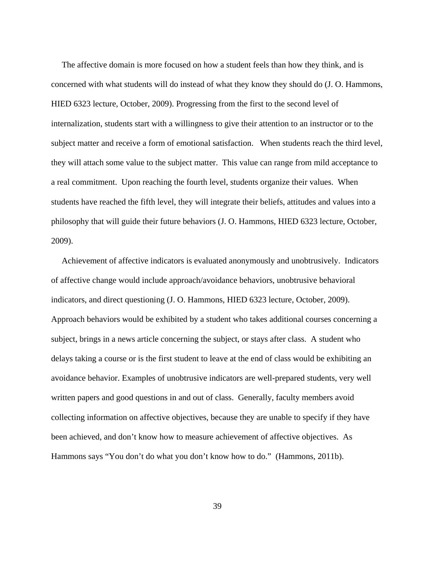The affective domain is more focused on how a student feels than how they think, and is concerned with what students will do instead of what they know they should do (J. O. Hammons, HIED 6323 lecture, October, 2009). Progressing from the first to the second level of internalization, students start with a willingness to give their attention to an instructor or to the subject matter and receive a form of emotional satisfaction. When students reach the third level, they will attach some value to the subject matter. This value can range from mild acceptance to a real commitment. Upon reaching the fourth level, students organize their values. When students have reached the fifth level, they will integrate their beliefs, attitudes and values into a philosophy that will guide their future behaviors (J. O. Hammons, HIED 6323 lecture, October, 2009).

 Achievement of affective indicators is evaluated anonymously and unobtrusively. Indicators of affective change would include approach/avoidance behaviors, unobtrusive behavioral indicators, and direct questioning (J. O. Hammons, HIED 6323 lecture, October, 2009). Approach behaviors would be exhibited by a student who takes additional courses concerning a subject, brings in a news article concerning the subject, or stays after class. A student who delays taking a course or is the first student to leave at the end of class would be exhibiting an avoidance behavior. Examples of unobtrusive indicators are well-prepared students, very well written papers and good questions in and out of class. Generally, faculty members avoid collecting information on affective objectives, because they are unable to specify if they have been achieved, and don't know how to measure achievement of affective objectives. As Hammons says "You don't do what you don't know how to do." (Hammons, 2011b).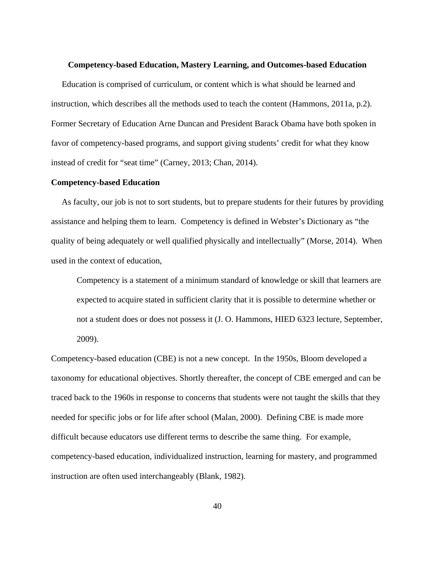#### **Competency-based Education, Mastery Learning, and Outcomes-based Education**

Education is comprised of curriculum, or content which is what should be learned and instruction, which describes all the methods used to teach the content (Hammons, 2011a, p.2). Former Secretary of Education Arne Duncan and President Barack Obama have both spoken in favor of competency-based programs, and support giving students' credit for what they know instead of credit for "seat time" (Carney, 2013; Chan, 2014).

## **Competency-based Education**

 As faculty, our job is not to sort students, but to prepare students for their futures by providing assistance and helping them to learn. Competency is defined in Webster's Dictionary as "the quality of being adequately or well qualified physically and intellectually" (Morse, 2014). When used in the context of education,

Competency is a statement of a minimum standard of knowledge or skill that learners are expected to acquire stated in sufficient clarity that it is possible to determine whether or not a student does or does not possess it (J. O. Hammons, HIED 6323 lecture, September, 2009).

Competency-based education (CBE) is not a new concept. In the 1950s, Bloom developed a taxonomy for educational objectives. Shortly thereafter, the concept of CBE emerged and can be traced back to the 1960s in response to concerns that students were not taught the skills that they needed for specific jobs or for life after school (Malan, 2000). Defining CBE is made more difficult because educators use different terms to describe the same thing. For example, competency-based education, individualized instruction, learning for mastery, and programmed instruction are often used interchangeably (Blank, 1982).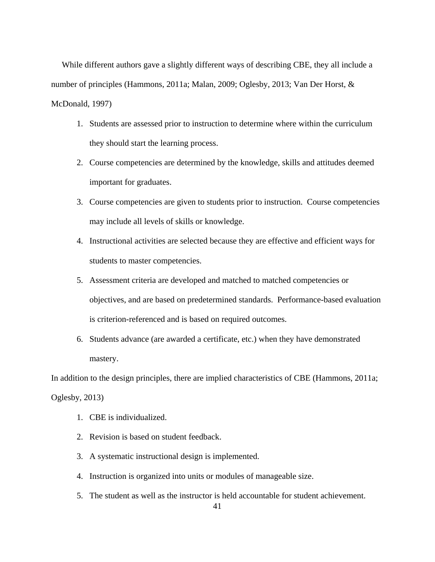While different authors gave a slightly different ways of describing CBE, they all include a number of principles (Hammons, 2011a; Malan, 2009; Oglesby, 2013; Van Der Horst, & McDonald, 1997)

- 1. Students are assessed prior to instruction to determine where within the curriculum they should start the learning process.
- 2. Course competencies are determined by the knowledge, skills and attitudes deemed important for graduates.
- 3. Course competencies are given to students prior to instruction. Course competencies may include all levels of skills or knowledge.
- 4. Instructional activities are selected because they are effective and efficient ways for students to master competencies.
- 5. Assessment criteria are developed and matched to matched competencies or objectives, and are based on predetermined standards. Performance-based evaluation is criterion-referenced and is based on required outcomes.
- 6. Students advance (are awarded a certificate, etc.) when they have demonstrated mastery.

In addition to the design principles, there are implied characteristics of CBE (Hammons, 2011a; Oglesby, 2013)

- 1. CBE is individualized.
- 2. Revision is based on student feedback.
- 3. A systematic instructional design is implemented.
- 4. Instruction is organized into units or modules of manageable size.
- 5. The student as well as the instructor is held accountable for student achievement.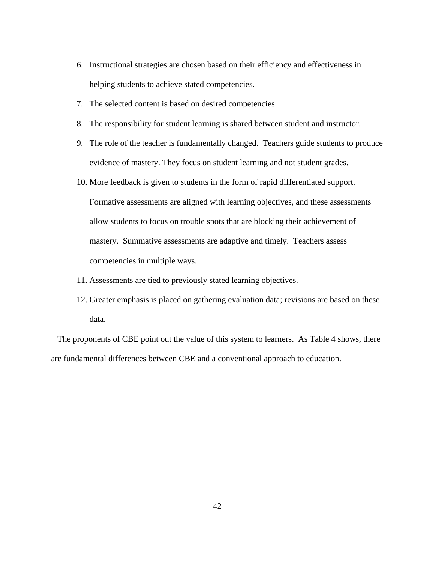- 6. Instructional strategies are chosen based on their efficiency and effectiveness in helping students to achieve stated competencies.
- 7. The selected content is based on desired competencies.
- 8. The responsibility for student learning is shared between student and instructor.
- 9. The role of the teacher is fundamentally changed. Teachers guide students to produce evidence of mastery. They focus on student learning and not student grades.
- 10. More feedback is given to students in the form of rapid differentiated support.

Formative assessments are aligned with learning objectives, and these assessments allow students to focus on trouble spots that are blocking their achievement of mastery. Summative assessments are adaptive and timely. Teachers assess competencies in multiple ways.

- 11. Assessments are tied to previously stated learning objectives.
- 12. Greater emphasis is placed on gathering evaluation data; revisions are based on these data.

 The proponents of CBE point out the value of this system to learners. As Table 4 shows, there are fundamental differences between CBE and a conventional approach to education.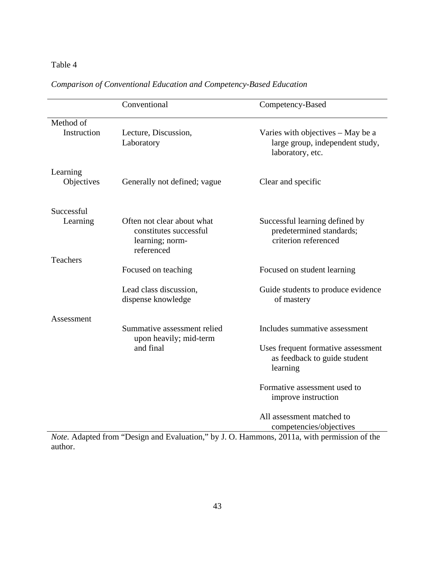# Table 4

|                 | Conventional                                                                          | Competency-Based                                                                         |  |  |
|-----------------|---------------------------------------------------------------------------------------|------------------------------------------------------------------------------------------|--|--|
| Method of       |                                                                                       |                                                                                          |  |  |
| Instruction     | Lecture, Discussion,<br>Laboratory                                                    | Varies with objectives – May be a<br>large group, independent study,<br>laboratory, etc. |  |  |
| Learning        |                                                                                       |                                                                                          |  |  |
| Objectives      | Generally not defined; vague                                                          | Clear and specific                                                                       |  |  |
| Successful      |                                                                                       |                                                                                          |  |  |
| Learning        | Often not clear about what<br>constitutes successful<br>learning; norm-<br>referenced | Successful learning defined by<br>predetermined standards;<br>criterion referenced       |  |  |
| <b>Teachers</b> |                                                                                       |                                                                                          |  |  |
|                 | Focused on teaching                                                                   | Focused on student learning                                                              |  |  |
|                 | Lead class discussion,<br>dispense knowledge                                          | Guide students to produce evidence<br>of mastery                                         |  |  |
| Assessment      |                                                                                       |                                                                                          |  |  |
|                 | Summative assessment relied<br>upon heavily; mid-term                                 | Includes summative assessment                                                            |  |  |
|                 | and final                                                                             | Uses frequent formative assessment<br>as feedback to guide student<br>learning           |  |  |
|                 |                                                                                       | Formative assessment used to<br>improve instruction                                      |  |  |
|                 |                                                                                       | All assessment matched to<br>competencies/objectives                                     |  |  |

# *Comparison of Conventional Education and Competency-Based Education*

*Note.* Adapted from "Design and Evaluation," by J. O. Hammons, 2011a, with permission of the author.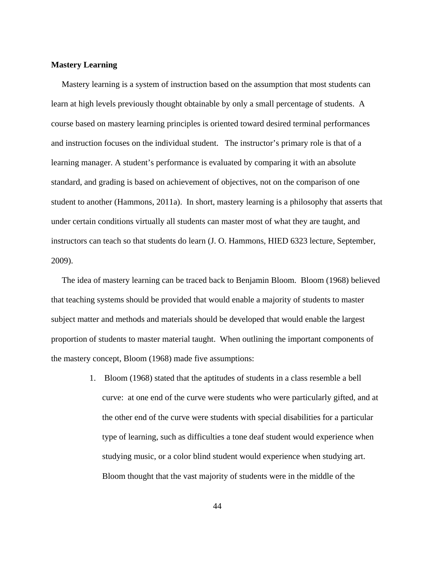## **Mastery Learning**

 Mastery learning is a system of instruction based on the assumption that most students can learn at high levels previously thought obtainable by only a small percentage of students. A course based on mastery learning principles is oriented toward desired terminal performances and instruction focuses on the individual student. The instructor's primary role is that of a learning manager. A student's performance is evaluated by comparing it with an absolute standard, and grading is based on achievement of objectives, not on the comparison of one student to another (Hammons, 2011a). In short, mastery learning is a philosophy that asserts that under certain conditions virtually all students can master most of what they are taught, and instructors can teach so that students do learn (J. O. Hammons, HIED 6323 lecture, September, 2009).

 The idea of mastery learning can be traced back to Benjamin Bloom. Bloom (1968) believed that teaching systems should be provided that would enable a majority of students to master subject matter and methods and materials should be developed that would enable the largest proportion of students to master material taught. When outlining the important components of the mastery concept, Bloom (1968) made five assumptions:

> 1. Bloom (1968) stated that the aptitudes of students in a class resemble a bell curve: at one end of the curve were students who were particularly gifted, and at the other end of the curve were students with special disabilities for a particular type of learning, such as difficulties a tone deaf student would experience when studying music, or a color blind student would experience when studying art. Bloom thought that the vast majority of students were in the middle of the

> > 44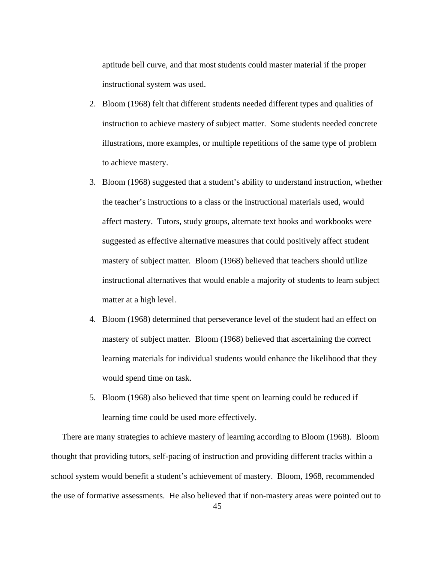aptitude bell curve, and that most students could master material if the proper instructional system was used.

- 2. Bloom (1968) felt that different students needed different types and qualities of instruction to achieve mastery of subject matter. Some students needed concrete illustrations, more examples, or multiple repetitions of the same type of problem to achieve mastery.
- 3. Bloom (1968) suggested that a student's ability to understand instruction, whether the teacher's instructions to a class or the instructional materials used, would affect mastery. Tutors, study groups, alternate text books and workbooks were suggested as effective alternative measures that could positively affect student mastery of subject matter. Bloom (1968) believed that teachers should utilize instructional alternatives that would enable a majority of students to learn subject matter at a high level.
- 4. Bloom (1968) determined that perseverance level of the student had an effect on mastery of subject matter. Bloom (1968) believed that ascertaining the correct learning materials for individual students would enhance the likelihood that they would spend time on task.
- 5. Bloom (1968) also believed that time spent on learning could be reduced if learning time could be used more effectively.

 There are many strategies to achieve mastery of learning according to Bloom (1968). Bloom thought that providing tutors, self-pacing of instruction and providing different tracks within a school system would benefit a student's achievement of mastery. Bloom, 1968, recommended the use of formative assessments. He also believed that if non-mastery areas were pointed out to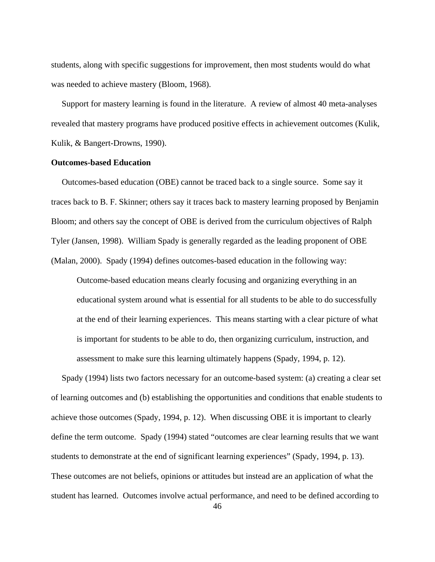students, along with specific suggestions for improvement, then most students would do what was needed to achieve mastery (Bloom, 1968).

 Support for mastery learning is found in the literature. A review of almost 40 meta-analyses revealed that mastery programs have produced positive effects in achievement outcomes (Kulik, Kulik, & Bangert-Drowns, 1990).

## **Outcomes-based Education**

Outcomes-based education (OBE) cannot be traced back to a single source. Some say it traces back to B. F. Skinner; others say it traces back to mastery learning proposed by Benjamin Bloom; and others say the concept of OBE is derived from the curriculum objectives of Ralph Tyler (Jansen, 1998). William Spady is generally regarded as the leading proponent of OBE (Malan, 2000). Spady (1994) defines outcomes-based education in the following way:

Outcome-based education means clearly focusing and organizing everything in an educational system around what is essential for all students to be able to do successfully at the end of their learning experiences. This means starting with a clear picture of what is important for students to be able to do, then organizing curriculum, instruction, and assessment to make sure this learning ultimately happens (Spady, 1994, p. 12).

 Spady (1994) lists two factors necessary for an outcome-based system: (a) creating a clear set of learning outcomes and (b) establishing the opportunities and conditions that enable students to achieve those outcomes (Spady, 1994, p. 12). When discussing OBE it is important to clearly define the term outcome. Spady (1994) stated "outcomes are clear learning results that we want students to demonstrate at the end of significant learning experiences" (Spady, 1994, p. 13). These outcomes are not beliefs, opinions or attitudes but instead are an application of what the student has learned. Outcomes involve actual performance, and need to be defined according to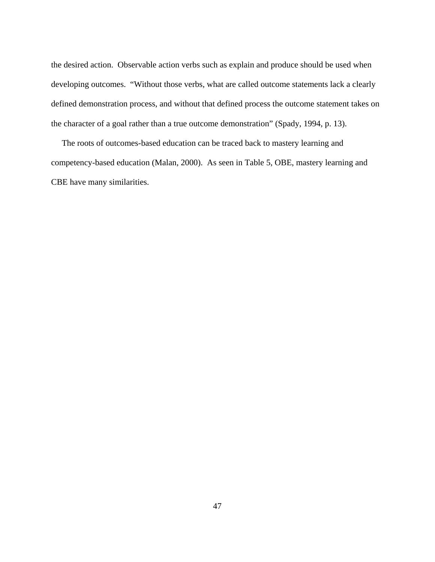the desired action. Observable action verbs such as explain and produce should be used when developing outcomes. "Without those verbs, what are called outcome statements lack a clearly defined demonstration process, and without that defined process the outcome statement takes on the character of a goal rather than a true outcome demonstration" (Spady, 1994, p. 13).

 The roots of outcomes-based education can be traced back to mastery learning and competency-based education (Malan, 2000). As seen in Table 5, OBE, mastery learning and CBE have many similarities.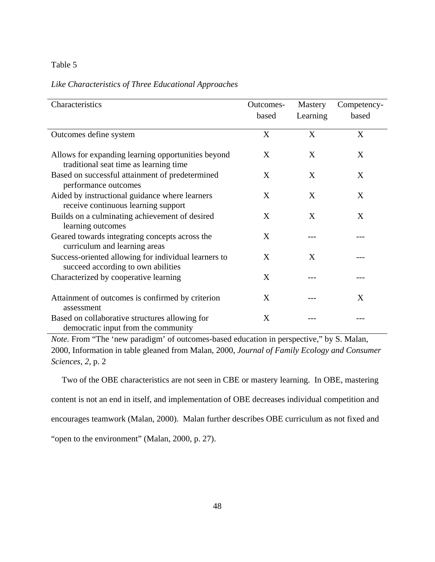## Table 5

## *Like Characteristics of Three Educational Approaches*

| Characteristics                                                                              | Outcomes-<br>based | <b>Mastery</b><br>Learning | Competency-<br>based |
|----------------------------------------------------------------------------------------------|--------------------|----------------------------|----------------------|
| Outcomes define system                                                                       | X                  | X                          | X                    |
| Allows for expanding learning opportunities beyond<br>traditional seat time as learning time | X                  | X                          | X                    |
| Based on successful attainment of predetermined<br>performance outcomes                      | X                  | X                          | X                    |
| Aided by instructional guidance where learners<br>receive continuous learning support        | X                  | X                          | X                    |
| Builds on a culminating achievement of desired<br>learning outcomes                          | X                  | X                          | X                    |
| Geared towards integrating concepts across the<br>curriculum and learning areas              | X                  |                            |                      |
| Success-oriented allowing for individual learners to<br>succeed according to own abilities   | X                  | X                          |                      |
| Characterized by cooperative learning                                                        | X                  |                            |                      |
| Attainment of outcomes is confirmed by criterion<br>assessment                               | X                  |                            | X                    |
| Based on collaborative structures allowing for<br>democratic input from the community        | X                  |                            |                      |

*Note.* From "The 'new paradigm' of outcomes-based education in perspective," by S. Malan, 2000, Information in table gleaned from Malan, 2000, *Journal of Family Ecology and Consumer Sciences*, *2*, p. 2

 Two of the OBE characteristics are not seen in CBE or mastery learning. In OBE, mastering content is not an end in itself, and implementation of OBE decreases individual competition and encourages teamwork (Malan, 2000). Malan further describes OBE curriculum as not fixed and "open to the environment" (Malan, 2000, p. 27).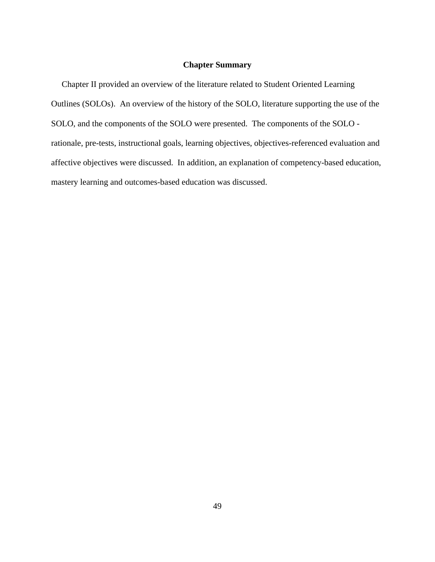## **Chapter Summary**

 Chapter II provided an overview of the literature related to Student Oriented Learning Outlines (SOLOs). An overview of the history of the SOLO, literature supporting the use of the SOLO, and the components of the SOLO were presented. The components of the SOLO rationale, pre-tests, instructional goals, learning objectives, objectives-referenced evaluation and affective objectives were discussed. In addition, an explanation of competency-based education, mastery learning and outcomes-based education was discussed.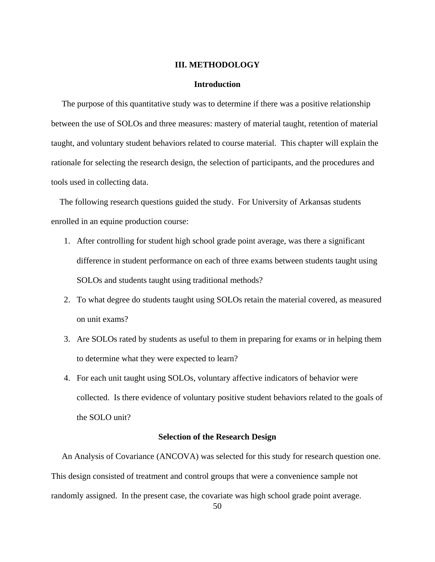#### **III. METHODOLOGY**

#### **Introduction**

 The purpose of this quantitative study was to determine if there was a positive relationship between the use of SOLOs and three measures: mastery of material taught, retention of material taught, and voluntary student behaviors related to course material. This chapter will explain the rationale for selecting the research design, the selection of participants, and the procedures and tools used in collecting data.

 The following research questions guided the study. For University of Arkansas students enrolled in an equine production course:

- 1. After controlling for student high school grade point average, was there a significant difference in student performance on each of three exams between students taught using SOLOs and students taught using traditional methods?
- 2. To what degree do students taught using SOLOs retain the material covered, as measured on unit exams?
- 3. Are SOLOs rated by students as useful to them in preparing for exams or in helping them to determine what they were expected to learn?
- 4. For each unit taught using SOLOs, voluntary affective indicators of behavior were collected. Is there evidence of voluntary positive student behaviors related to the goals of the SOLO unit?

## **Selection of the Research Design**

 An Analysis of Covariance (ANCOVA) was selected for this study for research question one. This design consisted of treatment and control groups that were a convenience sample not randomly assigned. In the present case, the covariate was high school grade point average.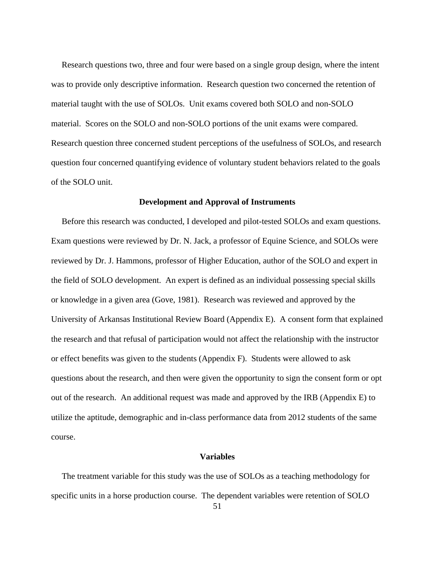Research questions two, three and four were based on a single group design, where the intent was to provide only descriptive information. Research question two concerned the retention of material taught with the use of SOLOs. Unit exams covered both SOLO and non-SOLO material. Scores on the SOLO and non-SOLO portions of the unit exams were compared. Research question three concerned student perceptions of the usefulness of SOLOs, and research question four concerned quantifying evidence of voluntary student behaviors related to the goals of the SOLO unit.

#### **Development and Approval of Instruments**

 Before this research was conducted, I developed and pilot-tested SOLOs and exam questions. Exam questions were reviewed by Dr. N. Jack, a professor of Equine Science, and SOLOs were reviewed by Dr. J. Hammons, professor of Higher Education, author of the SOLO and expert in the field of SOLO development. An expert is defined as an individual possessing special skills or knowledge in a given area (Gove, 1981). Research was reviewed and approved by the University of Arkansas Institutional Review Board (Appendix E). A consent form that explained the research and that refusal of participation would not affect the relationship with the instructor or effect benefits was given to the students (Appendix F). Students were allowed to ask questions about the research, and then were given the opportunity to sign the consent form or opt out of the research. An additional request was made and approved by the IRB (Appendix E) to utilize the aptitude, demographic and in-class performance data from 2012 students of the same course.

## **Variables**

The treatment variable for this study was the use of SOLOs as a teaching methodology for specific units in a horse production course. The dependent variables were retention of SOLO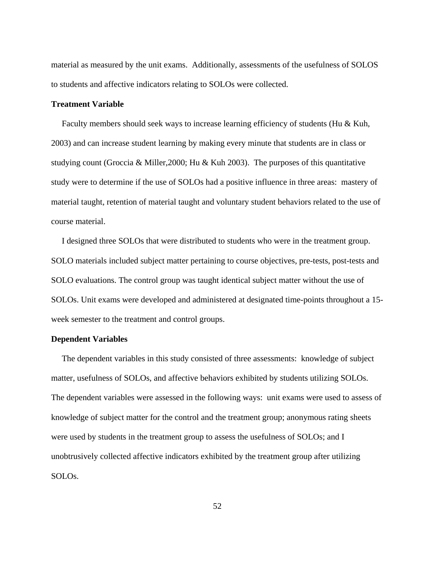material as measured by the unit exams. Additionally, assessments of the usefulness of SOLOS to students and affective indicators relating to SOLOs were collected.

## **Treatment Variable**

Faculty members should seek ways to increase learning efficiency of students (Hu & Kuh, 2003) and can increase student learning by making every minute that students are in class or studying count (Groccia & Miller, 2000; Hu & Kuh 2003). The purposes of this quantitative study were to determine if the use of SOLOs had a positive influence in three areas: mastery of material taught, retention of material taught and voluntary student behaviors related to the use of course material.

 I designed three SOLOs that were distributed to students who were in the treatment group. SOLO materials included subject matter pertaining to course objectives, pre-tests, post-tests and SOLO evaluations. The control group was taught identical subject matter without the use of SOLOs. Unit exams were developed and administered at designated time-points throughout a 15 week semester to the treatment and control groups.

## **Dependent Variables**

The dependent variables in this study consisted of three assessments: knowledge of subject matter, usefulness of SOLOs, and affective behaviors exhibited by students utilizing SOLOs. The dependent variables were assessed in the following ways: unit exams were used to assess of knowledge of subject matter for the control and the treatment group; anonymous rating sheets were used by students in the treatment group to assess the usefulness of SOLOs; and I unobtrusively collected affective indicators exhibited by the treatment group after utilizing SOLOs.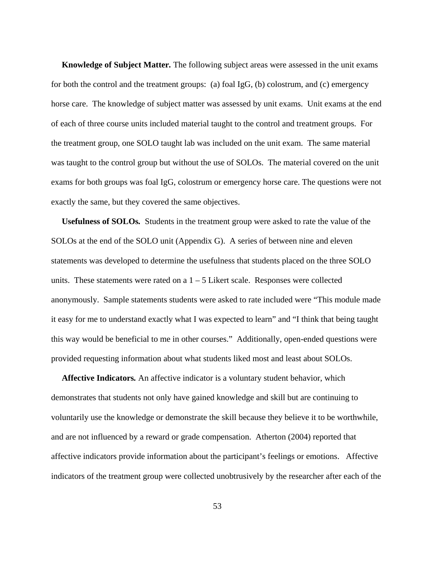**Knowledge of Subject Matter***.* The following subject areas were assessed in the unit exams for both the control and the treatment groups: (a) foal IgG, (b) colostrum, and (c) emergency horse care. The knowledge of subject matter was assessed by unit exams. Unit exams at the end of each of three course units included material taught to the control and treatment groups. For the treatment group, one SOLO taught lab was included on the unit exam. The same material was taught to the control group but without the use of SOLOs. The material covered on the unit exams for both groups was foal IgG, colostrum or emergency horse care. The questions were not exactly the same, but they covered the same objectives.

 **Usefulness of SOLOs***.* Students in the treatment group were asked to rate the value of the SOLOs at the end of the SOLO unit (Appendix G). A series of between nine and eleven statements was developed to determine the usefulness that students placed on the three SOLO units. These statements were rated on a  $1 - 5$  Likert scale. Responses were collected anonymously. Sample statements students were asked to rate included were "This module made it easy for me to understand exactly what I was expected to learn" and "I think that being taught this way would be beneficial to me in other courses." Additionally, open-ended questions were provided requesting information about what students liked most and least about SOLOs.

 **Affective Indicators***.* An affective indicator is a voluntary student behavior, which demonstrates that students not only have gained knowledge and skill but are continuing to voluntarily use the knowledge or demonstrate the skill because they believe it to be worthwhile, and are not influenced by a reward or grade compensation. Atherton (2004) reported that affective indicators provide information about the participant's feelings or emotions. Affective indicators of the treatment group were collected unobtrusively by the researcher after each of the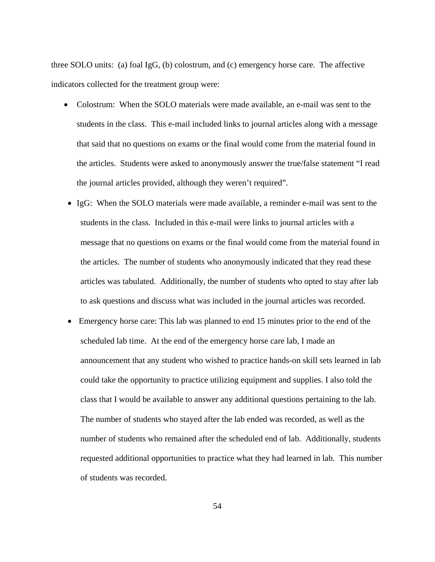three SOLO units: (a) foal IgG, (b) colostrum, and (c) emergency horse care. The affective indicators collected for the treatment group were:

- Colostrum: When the SOLO materials were made available, an e-mail was sent to the students in the class. This e-mail included links to journal articles along with a message that said that no questions on exams or the final would come from the material found in the articles. Students were asked to anonymously answer the true/false statement "I read the journal articles provided, although they weren't required".
- IgG: When the SOLO materials were made available, a reminder e-mail was sent to the students in the class. Included in this e-mail were links to journal articles with a message that no questions on exams or the final would come from the material found in the articles. The number of students who anonymously indicated that they read these articles was tabulated. Additionally, the number of students who opted to stay after lab to ask questions and discuss what was included in the journal articles was recorded.
- Emergency horse care: This lab was planned to end 15 minutes prior to the end of the scheduled lab time. At the end of the emergency horse care lab, I made an announcement that any student who wished to practice hands-on skill sets learned in lab could take the opportunity to practice utilizing equipment and supplies. I also told the class that I would be available to answer any additional questions pertaining to the lab. The number of students who stayed after the lab ended was recorded, as well as the number of students who remained after the scheduled end of lab. Additionally, students requested additional opportunities to practice what they had learned in lab. This number of students was recorded.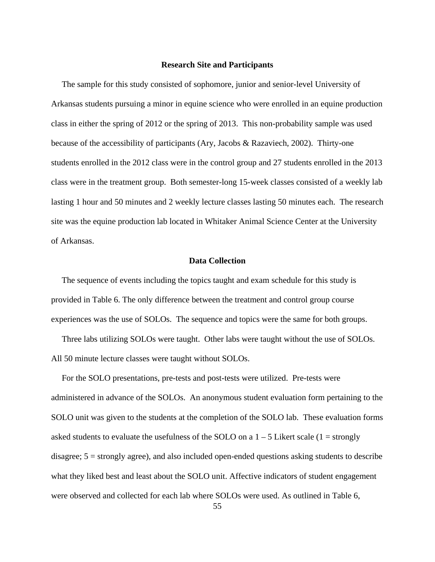#### **Research Site and Participants**

 The sample for this study consisted of sophomore, junior and senior-level University of Arkansas students pursuing a minor in equine science who were enrolled in an equine production class in either the spring of 2012 or the spring of 2013. This non-probability sample was used because of the accessibility of participants (Ary, Jacobs & Razaviech, 2002). Thirty-one students enrolled in the 2012 class were in the control group and 27 students enrolled in the 2013 class were in the treatment group. Both semester-long 15-week classes consisted of a weekly lab lasting 1 hour and 50 minutes and 2 weekly lecture classes lasting 50 minutes each. The research site was the equine production lab located in Whitaker Animal Science Center at the University of Arkansas.

## **Data Collection**

 The sequence of events including the topics taught and exam schedule for this study is provided in Table 6. The only difference between the treatment and control group course experiences was the use of SOLOs. The sequence and topics were the same for both groups.

 Three labs utilizing SOLOs were taught. Other labs were taught without the use of SOLOs. All 50 minute lecture classes were taught without SOLOs.

 For the SOLO presentations, pre-tests and post-tests were utilized. Pre-tests were administered in advance of the SOLOs. An anonymous student evaluation form pertaining to the SOLO unit was given to the students at the completion of the SOLO lab. These evaluation forms asked students to evaluate the usefulness of the SOLO on a  $1 - 5$  Likert scale (1 = strongly disagree; 5 = strongly agree), and also included open-ended questions asking students to describe what they liked best and least about the SOLO unit. Affective indicators of student engagement were observed and collected for each lab where SOLOs were used. As outlined in Table 6,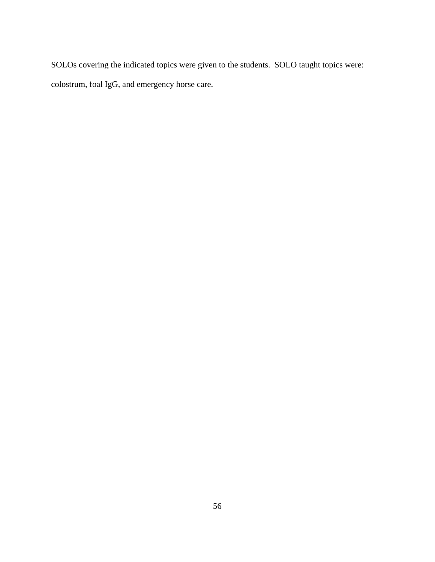SOLOs covering the indicated topics were given to the students. SOLO taught topics were: colostrum, foal IgG, and emergency horse care.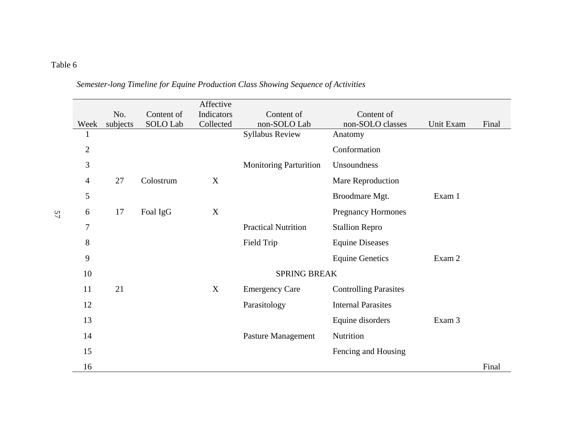#### Table 6

|                |          |            | Affective   |                               |                              |           |       |
|----------------|----------|------------|-------------|-------------------------------|------------------------------|-----------|-------|
|                | No.      | Content of | Indicators  | Content of                    | Content of                   |           |       |
| Week           | subjects | SOLO Lab   | Collected   | non-SOLO Lab                  | non-SOLO classes             | Unit Exam | Final |
| 1              |          |            |             | <b>Syllabus Review</b>        | Anatomy                      |           |       |
| $\overline{2}$ |          |            |             |                               | Conformation                 |           |       |
| 3              |          |            |             | <b>Monitoring Parturition</b> | Unsoundness                  |           |       |
| 4              | 27       | Colostrum  | $\mathbf X$ |                               | Mare Reproduction            |           |       |
| 5              |          |            |             |                               | Broodmare Mgt.               | Exam 1    |       |
| 6              | 17       | Foal IgG   | $\mathbf X$ |                               | <b>Pregnancy Hormones</b>    |           |       |
| $\overline{7}$ |          |            |             | <b>Practical Nutrition</b>    | <b>Stallion Repro</b>        |           |       |
| 8              |          |            |             | Field Trip                    | <b>Equine Diseases</b>       |           |       |
| 9              |          |            |             |                               | <b>Equine Genetics</b>       | Exam 2    |       |
| 10             |          |            |             | <b>SPRING BREAK</b>           |                              |           |       |
| 11             | 21       |            | $\mathbf X$ | <b>Emergency Care</b>         | <b>Controlling Parasites</b> |           |       |
| 12             |          |            |             | Parasitology                  | <b>Internal Parasites</b>    |           |       |
| 13             |          |            |             |                               | Equine disorders             | Exam 3    |       |
| 14             |          |            |             | <b>Pasture Management</b>     | Nutrition                    |           |       |
| 15             |          |            |             |                               | Fencing and Housing          |           |       |
| 16             |          |            |             |                               |                              |           | Final |

# *Semester-long Timeline for Equine Production Class Showing Sequence of Activities*

57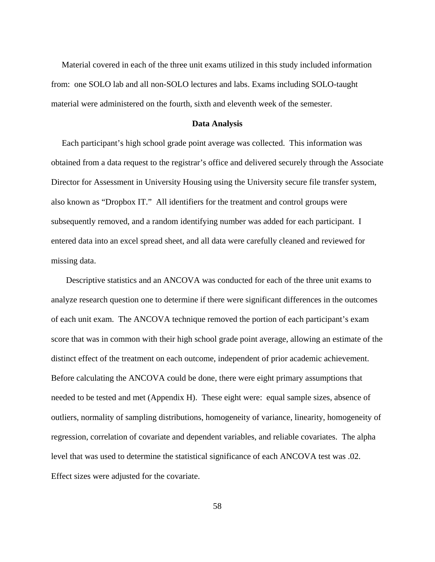Material covered in each of the three unit exams utilized in this study included information from: one SOLO lab and all non-SOLO lectures and labs. Exams including SOLO-taught material were administered on the fourth, sixth and eleventh week of the semester.

#### **Data Analysis**

 Each participant's high school grade point average was collected. This information was obtained from a data request to the registrar's office and delivered securely through the Associate Director for Assessment in University Housing using the University secure file transfer system, also known as "Dropbox IT." All identifiers for the treatment and control groups were subsequently removed, and a random identifying number was added for each participant. I entered data into an excel spread sheet, and all data were carefully cleaned and reviewed for missing data.

 Descriptive statistics and an ANCOVA was conducted for each of the three unit exams to analyze research question one to determine if there were significant differences in the outcomes of each unit exam. The ANCOVA technique removed the portion of each participant's exam score that was in common with their high school grade point average, allowing an estimate of the distinct effect of the treatment on each outcome, independent of prior academic achievement. Before calculating the ANCOVA could be done, there were eight primary assumptions that needed to be tested and met (Appendix H). These eight were: equal sample sizes, absence of outliers, normality of sampling distributions, homogeneity of variance, linearity, homogeneity of regression, correlation of covariate and dependent variables, and reliable covariates. The alpha level that was used to determine the statistical significance of each ANCOVA test was .02. Effect sizes were adjusted for the covariate.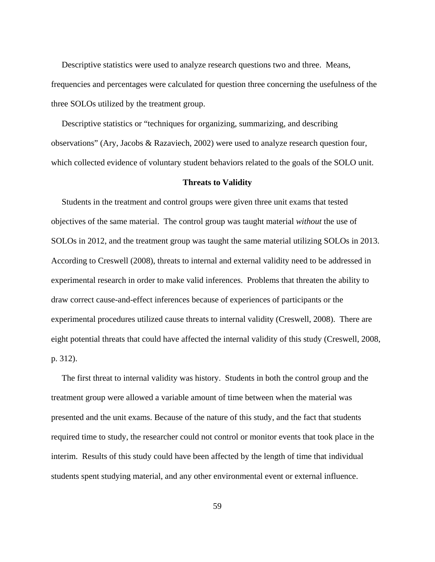Descriptive statistics were used to analyze research questions two and three. Means, frequencies and percentages were calculated for question three concerning the usefulness of the three SOLOs utilized by the treatment group.

 Descriptive statistics or "techniques for organizing, summarizing, and describing observations" (Ary, Jacobs & Razaviech, 2002) were used to analyze research question four, which collected evidence of voluntary student behaviors related to the goals of the SOLO unit.

#### **Threats to Validity**

 Students in the treatment and control groups were given three unit exams that tested objectives of the same material. The control group was taught material *without* the use of SOLOs in 2012, and the treatment group was taught the same material utilizing SOLOs in 2013. According to Creswell (2008), threats to internal and external validity need to be addressed in experimental research in order to make valid inferences. Problems that threaten the ability to draw correct cause-and-effect inferences because of experiences of participants or the experimental procedures utilized cause threats to internal validity (Creswell, 2008). There are eight potential threats that could have affected the internal validity of this study (Creswell, 2008, p. 312).

 The first threat to internal validity was history. Students in both the control group and the treatment group were allowed a variable amount of time between when the material was presented and the unit exams. Because of the nature of this study, and the fact that students required time to study, the researcher could not control or monitor events that took place in the interim. Results of this study could have been affected by the length of time that individual students spent studying material, and any other environmental event or external influence.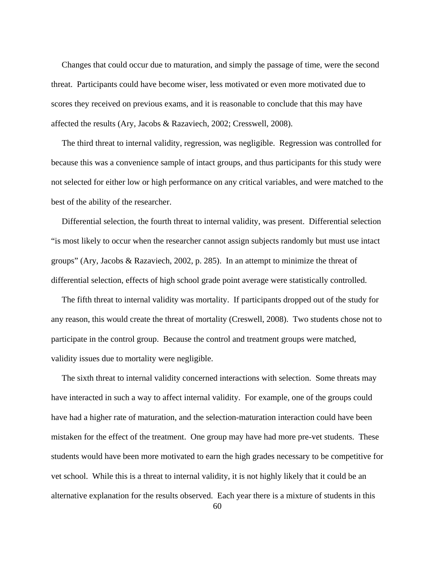Changes that could occur due to maturation, and simply the passage of time, were the second threat. Participants could have become wiser, less motivated or even more motivated due to scores they received on previous exams, and it is reasonable to conclude that this may have affected the results (Ary, Jacobs & Razaviech, 2002; Cresswell, 2008).

 The third threat to internal validity, regression, was negligible. Regression was controlled for because this was a convenience sample of intact groups, and thus participants for this study were not selected for either low or high performance on any critical variables, and were matched to the best of the ability of the researcher.

 Differential selection, the fourth threat to internal validity, was present. Differential selection "is most likely to occur when the researcher cannot assign subjects randomly but must use intact groups" (Ary, Jacobs & Razaviech, 2002, p. 285). In an attempt to minimize the threat of differential selection, effects of high school grade point average were statistically controlled.

 The fifth threat to internal validity was mortality. If participants dropped out of the study for any reason, this would create the threat of mortality (Creswell, 2008). Two students chose not to participate in the control group. Because the control and treatment groups were matched, validity issues due to mortality were negligible.

 The sixth threat to internal validity concerned interactions with selection. Some threats may have interacted in such a way to affect internal validity. For example, one of the groups could have had a higher rate of maturation, and the selection-maturation interaction could have been mistaken for the effect of the treatment. One group may have had more pre-vet students. These students would have been more motivated to earn the high grades necessary to be competitive for vet school. While this is a threat to internal validity, it is not highly likely that it could be an alternative explanation for the results observed. Each year there is a mixture of students in this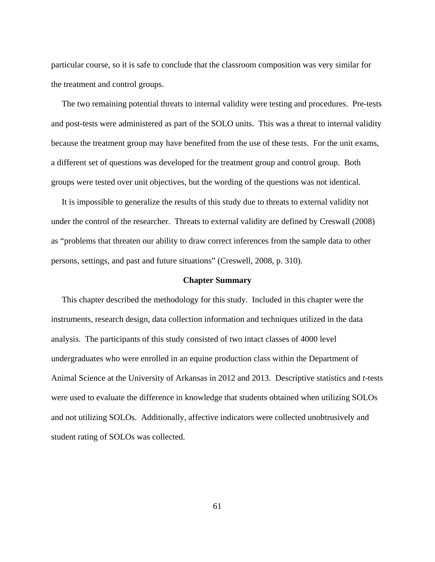particular course, so it is safe to conclude that the classroom composition was very similar for the treatment and control groups.

 The two remaining potential threats to internal validity were testing and procedures. Pre-tests and post-tests were administered as part of the SOLO units. This was a threat to internal validity because the treatment group may have benefited from the use of these tests. For the unit exams, a different set of questions was developed for the treatment group and control group. Both groups were tested over unit objectives, but the wording of the questions was not identical.

 It is impossible to generalize the results of this study due to threats to external validity not under the control of the researcher. Threats to external validity are defined by Creswall (2008) as "problems that threaten our ability to draw correct inferences from the sample data to other persons, settings, and past and future situations" (Creswell, 2008, p. 310).

## **Chapter Summary**

 This chapter described the methodology for this study. Included in this chapter were the instruments, research design, data collection information and techniques utilized in the data analysis. The participants of this study consisted of two intact classes of 4000 level undergraduates who were enrolled in an equine production class within the Department of Animal Science at the University of Arkansas in 2012 and 2013. Descriptive statistics and *t*-tests were used to evaluate the difference in knowledge that students obtained when utilizing SOLOs and not utilizing SOLOs. Additionally, affective indicators were collected unobtrusively and student rating of SOLOs was collected.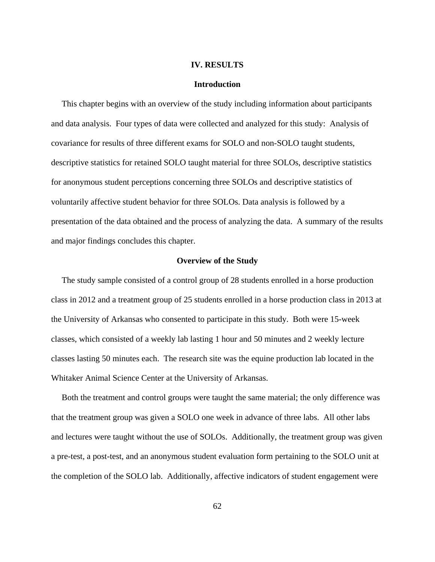#### **IV. RESULTS**

#### **Introduction**

 This chapter begins with an overview of the study including information about participants and data analysis. Four types of data were collected and analyzed for this study: Analysis of covariance for results of three different exams for SOLO and non-SOLO taught students, descriptive statistics for retained SOLO taught material for three SOLOs, descriptive statistics for anonymous student perceptions concerning three SOLOs and descriptive statistics of voluntarily affective student behavior for three SOLOs. Data analysis is followed by a presentation of the data obtained and the process of analyzing the data. A summary of the results and major findings concludes this chapter.

#### **Overview of the Study**

 The study sample consisted of a control group of 28 students enrolled in a horse production class in 2012 and a treatment group of 25 students enrolled in a horse production class in 2013 at the University of Arkansas who consented to participate in this study. Both were 15-week classes, which consisted of a weekly lab lasting 1 hour and 50 minutes and 2 weekly lecture classes lasting 50 minutes each. The research site was the equine production lab located in the Whitaker Animal Science Center at the University of Arkansas.

 Both the treatment and control groups were taught the same material; the only difference was that the treatment group was given a SOLO one week in advance of three labs. All other labs and lectures were taught without the use of SOLOs. Additionally, the treatment group was given a pre-test, a post-test, and an anonymous student evaluation form pertaining to the SOLO unit at the completion of the SOLO lab. Additionally, affective indicators of student engagement were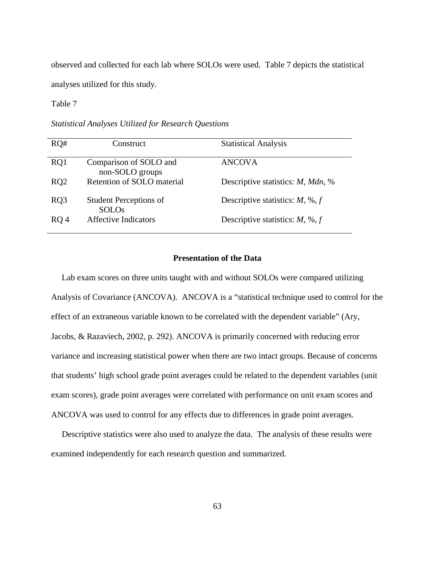observed and collected for each lab where SOLOs were used. Table 7 depicts the statistical analyses utilized for this study.

Table 7

*Statistical Analyses Utilized for Research Questions* 

| RO#             | Construct                                     | <b>Statistical Analysis</b>              |
|-----------------|-----------------------------------------------|------------------------------------------|
| RQ1             | Comparison of SOLO and<br>non-SOLO groups     | <b>ANCOVA</b>                            |
| RQ <sub>2</sub> | Retention of SOLO material                    | Descriptive statistics: <i>M, Mdn,</i> % |
| RQ3             | <b>Student Perceptions of</b><br><b>SOLOs</b> | Descriptive statistics: $M$ , %, $f$     |
| RO <sub>4</sub> | <b>Affective Indicators</b>                   | Descriptive statistics: $M$ , %, $f$     |

# **Presentation of the Data**

 Lab exam scores on three units taught with and without SOLOs were compared utilizing Analysis of Covariance (ANCOVA). ANCOVA is a "statistical technique used to control for the effect of an extraneous variable known to be correlated with the dependent variable" (Ary, Jacobs, & Razaviech, 2002, p. 292). ANCOVA is primarily concerned with reducing error variance and increasing statistical power when there are two intact groups. Because of concerns that students' high school grade point averages could be related to the dependent variables (unit exam scores), grade point averages were correlated with performance on unit exam scores and ANCOVA was used to control for any effects due to differences in grade point averages.

Descriptive statistics were also used to analyze the data. The analysis of these results were examined independently for each research question and summarized.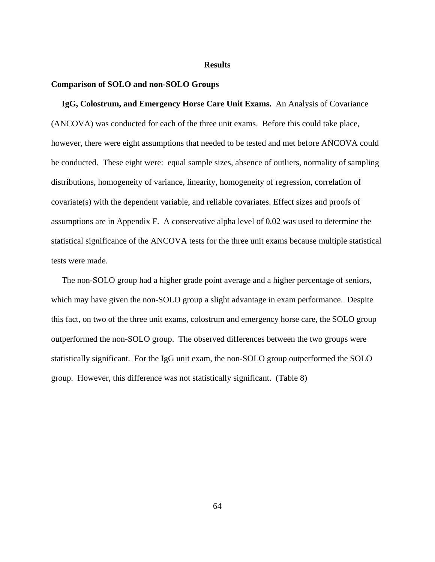#### **Results**

#### **Comparison of SOLO and non-SOLO Groups**

 **IgG, Colostrum, and Emergency Horse Care Unit Exams.**An Analysis of Covariance (ANCOVA) was conducted for each of the three unit exams. Before this could take place, however, there were eight assumptions that needed to be tested and met before ANCOVA could be conducted. These eight were: equal sample sizes, absence of outliers, normality of sampling distributions, homogeneity of variance, linearity, homogeneity of regression, correlation of covariate(s) with the dependent variable, and reliable covariates. Effect sizes and proofs of assumptions are in Appendix F. A conservative alpha level of 0.02 was used to determine the statistical significance of the ANCOVA tests for the three unit exams because multiple statistical tests were made.

 The non-SOLO group had a higher grade point average and a higher percentage of seniors, which may have given the non-SOLO group a slight advantage in exam performance. Despite this fact, on two of the three unit exams, colostrum and emergency horse care, the SOLO group outperformed the non-SOLO group. The observed differences between the two groups were statistically significant. For the IgG unit exam, the non-SOLO group outperformed the SOLO group. However, this difference was not statistically significant. (Table 8)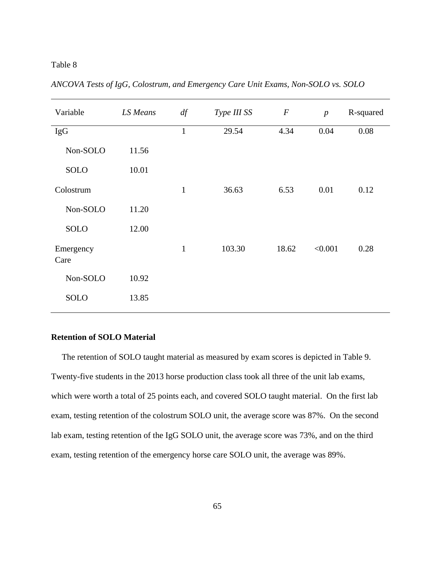| Variable          | LS Means | df           | Type III SS | $\boldsymbol{F}$ | $\boldsymbol{p}$ | R-squared |
|-------------------|----------|--------------|-------------|------------------|------------------|-----------|
| IgG               |          | $\mathbf{1}$ | 29.54       | 4.34             | 0.04             | 0.08      |
| Non-SOLO          | 11.56    |              |             |                  |                  |           |
| <b>SOLO</b>       | 10.01    |              |             |                  |                  |           |
| Colostrum         |          | $\mathbf{1}$ | 36.63       | 6.53             | 0.01             | 0.12      |
| Non-SOLO          | 11.20    |              |             |                  |                  |           |
| SOLO              | 12.00    |              |             |                  |                  |           |
| Emergency<br>Care |          | $\mathbf{1}$ | 103.30      | 18.62            | < 0.001          | 0.28      |
| Non-SOLO          | 10.92    |              |             |                  |                  |           |
| <b>SOLO</b>       | 13.85    |              |             |                  |                  |           |

*ANCOVA Tests of IgG, Colostrum, and Emergency Care Unit Exams, Non-SOLO vs. SOLO* 

# **Retention of SOLO Material**

 The retention of SOLO taught material as measured by exam scores is depicted in Table 9. Twenty-five students in the 2013 horse production class took all three of the unit lab exams, which were worth a total of 25 points each, and covered SOLO taught material. On the first lab exam, testing retention of the colostrum SOLO unit, the average score was 87%. On the second lab exam, testing retention of the IgG SOLO unit, the average score was 73%, and on the third exam, testing retention of the emergency horse care SOLO unit, the average was 89%.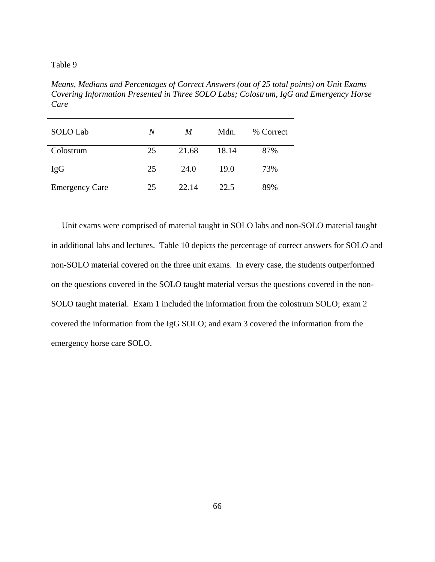*Means, Medians and Percentages of Correct Answers (out of 25 total points) on Unit Exams Covering Information Presented in Three SOLO Labs; Colostrum, IgG and Emergency Horse Care* 

| SOLO Lab              | N  | M     | Mdn.  | % Correct |
|-----------------------|----|-------|-------|-----------|
| Colostrum             | 25 | 21.68 | 18.14 | 87%       |
| <b>IgG</b>            | 25 | 24.0  | 19.0  | 73%       |
| <b>Emergency Care</b> | 25 | 22.14 | 22.5  | 89%       |

 Unit exams were comprised of material taught in SOLO labs and non-SOLO material taught in additional labs and lectures. Table 10 depicts the percentage of correct answers for SOLO and non-SOLO material covered on the three unit exams. In every case, the students outperformed on the questions covered in the SOLO taught material versus the questions covered in the non-SOLO taught material. Exam 1 included the information from the colostrum SOLO; exam 2 covered the information from the IgG SOLO; and exam 3 covered the information from the emergency horse care SOLO.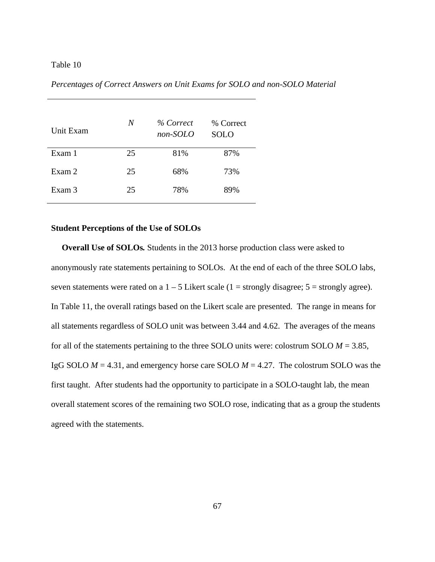| Unit Exam | N  | % Correct<br>non-SOLO | % Correct<br><b>SOLO</b> |
|-----------|----|-----------------------|--------------------------|
| Exam 1    | 25 | 81%                   | 87%                      |
| Exam 2    | 25 | 68%                   | 73%                      |
| Exam 3    | 25 | 78%                   | 89%                      |

*Percentages of Correct Answers on Unit Exams for SOLO and non-SOLO Material* 

# **Student Perceptions of the Use of SOLOs**

**Overall Use of SOLOs.** Students in the 2013 horse production class were asked to anonymously rate statements pertaining to SOLOs. At the end of each of the three SOLO labs, seven statements were rated on a  $1 - 5$  Likert scale (1 = strongly disagree; 5 = strongly agree). In Table 11, the overall ratings based on the Likert scale are presented. The range in means for all statements regardless of SOLO unit was between 3.44 and 4.62. The averages of the means for all of the statements pertaining to the three SOLO units were: colostrum SOLO  $M = 3.85$ , IgG SOLO *M* = 4.31, and emergency horse care SOLO *M* = 4.27. The colostrum SOLO was the first taught. After students had the opportunity to participate in a SOLO-taught lab, the mean overall statement scores of the remaining two SOLO rose, indicating that as a group the students agreed with the statements.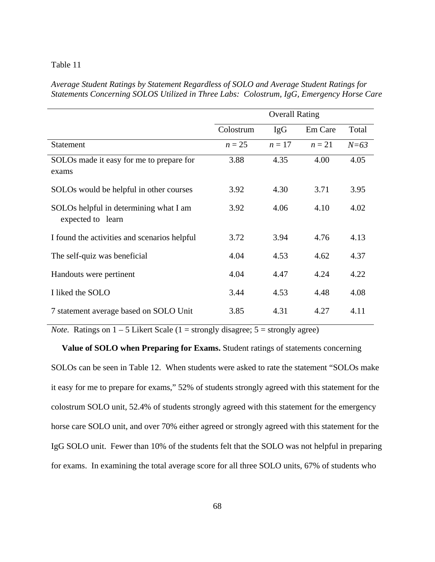*Average Student Ratings by Statement Regardless of SOLO and Average Student Ratings for Statements Concerning SOLOS Utilized in Three Labs: Colostrum, IgG, Emergency Horse Care* 

|                                                             | <b>Overall Rating</b> |        |         |        |  |
|-------------------------------------------------------------|-----------------------|--------|---------|--------|--|
|                                                             | Colostrum             | IgG    | Em Care | Total  |  |
| <b>Statement</b>                                            | $n=25$                | $n=17$ | $n=21$  | $N=63$ |  |
| SOLOs made it easy for me to prepare for<br>exams           | 3.88                  | 4.35   | 4.00    | 4.05   |  |
| SOLOs would be helpful in other courses                     | 3.92                  | 4.30   | 3.71    | 3.95   |  |
| SOLOs helpful in determining what I am<br>expected to learn | 3.92                  | 4.06   | 4.10    | 4.02   |  |
| I found the activities and scenarios helpful                | 3.72                  | 3.94   | 4.76    | 4.13   |  |
| The self-quiz was beneficial                                | 4.04                  | 4.53   | 4.62    | 4.37   |  |
| Handouts were pertinent                                     | 4.04                  | 4.47   | 4.24    | 4.22   |  |
| I liked the SOLO                                            | 3.44                  | 4.53   | 4.48    | 4.08   |  |
| 7 statement average based on SOLO Unit                      | 3.85                  | 4.31   | 4.27    | 4.11   |  |

*Note.* Ratings on  $1 - 5$  Likert Scale ( $1 =$  strongly disagree;  $5 =$  strongly agree)

 **Value of SOLO when Preparing for Exams.** Student ratings of statements concerning SOLOs can be seen in Table 12. When students were asked to rate the statement "SOLOs make it easy for me to prepare for exams," 52% of students strongly agreed with this statement for the colostrum SOLO unit, 52.4% of students strongly agreed with this statement for the emergency horse care SOLO unit, and over 70% either agreed or strongly agreed with this statement for the IgG SOLO unit. Fewer than 10% of the students felt that the SOLO was not helpful in preparing for exams. In examining the total average score for all three SOLO units, 67% of students who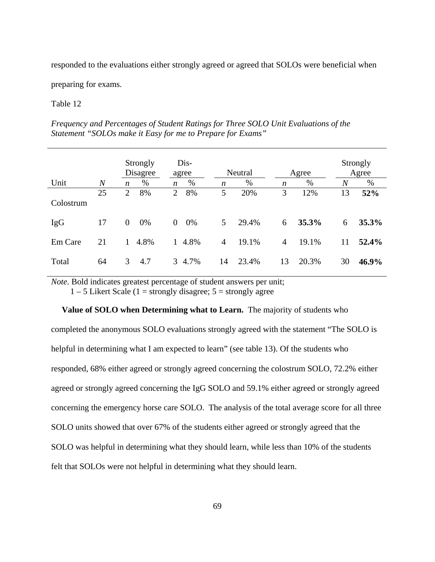responded to the evaluations either strongly agreed or agreed that SOLOs were beneficial when

preparing for exams.

# Table 12

| Frequency and Percentages of Student Katings for Three SOLO Unit Evaluations of the |  |
|-------------------------------------------------------------------------------------|--|
| Statement "SOLOs make it Easy for me to Prepare for Exams"                          |  |
|                                                                                     |  |

*Frequency and Percentages of Student Ratings for Three SOLO Unit Evaluations of the* 

|            |                  |                | Strongly<br>Disagree |                | Dis-<br>agree |                | Neutral |                | Agree |    | Strongly<br>Agree |
|------------|------------------|----------------|----------------------|----------------|---------------|----------------|---------|----------------|-------|----|-------------------|
| Unit       | $\boldsymbol{N}$ | n              | %                    | n              | $\%$          | n              | %       | n              | %     | N  | %                 |
| Colostrum  | 25               | $\overline{2}$ | 8%                   | $\overline{2}$ | 8%            | 5              | 20%     | 3              | 12%   | 13 | 52%               |
| <b>IgG</b> | 17               | $\mathbf{0}$   | 0%                   | $\overline{0}$ | 0%            | 5 <sup>5</sup> | 29.4%   | 6              | 35.3% | 6  | 35.3%             |
| Em Care    | 21               |                | 4.8%                 | $\mathbf{1}$   | 4.8%          | 4              | 19.1%   | $\overline{4}$ | 19.1% | 11 | 52.4%             |
| Total      | 64               | 3              | 4.7                  |                | 3 4.7%        | 14             | 23.4%   | 13             | 20.3% | 30 | 46.9%             |

*Note.* Bold indicates greatest percentage of student answers per unit;

 $1 - 5$  Likert Scale (1 = strongly disagree;  $5 =$  strongly agree

 **Value of SOLO when Determining what to Learn.** The majority of students who completed the anonymous SOLO evaluations strongly agreed with the statement "The SOLO is helpful in determining what I am expected to learn" (see table 13). Of the students who responded, 68% either agreed or strongly agreed concerning the colostrum SOLO, 72.2% either agreed or strongly agreed concerning the IgG SOLO and 59.1% either agreed or strongly agreed concerning the emergency horse care SOLO. The analysis of the total average score for all three SOLO units showed that over 67% of the students either agreed or strongly agreed that the SOLO was helpful in determining what they should learn, while less than 10% of the students felt that SOLOs were not helpful in determining what they should learn.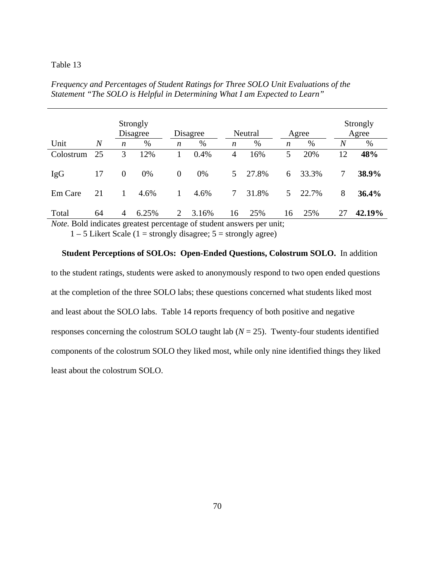|            |                |                  | Strongly<br>Disagree |          | Disagree |                  | Neutral |                  | Agree |                  | Strongly<br>Agree |
|------------|----------------|------------------|----------------------|----------|----------|------------------|---------|------------------|-------|------------------|-------------------|
| Unit       | $\overline{N}$ | $\boldsymbol{n}$ | %                    | n        | %        | $\boldsymbol{n}$ | %       | $\boldsymbol{n}$ | %     | $\boldsymbol{N}$ | $\%$              |
| Colostrum  | 25             | 3                | 12%                  |          | 0.4%     | 4                | 16%     | 5                | 20%   | 12               | 48%               |
| <b>IgG</b> | 17             | $\boldsymbol{0}$ | 0%                   | $\theta$ | 0%       | 5 <sup>1</sup>   | 27.8%   | 6                | 33.3% | 7                | 38.9%             |
| Em Care    | 21             | 1                | 4.6%                 | 1        | 4.6%     | 7                | 31.8%   | 5                | 22.7% | 8                | 36.4%             |
| Total      | 64             | 4                | 6.25%                | 2        | 3.16%    | 16               | 25%     | 16               | 25%   | 27               | 42.19%            |

*Frequency and Percentages of Student Ratings for Three SOLO Unit Evaluations of the Statement "The SOLO is Helpful in Determining What I am Expected to Learn"* 

*Note.* Bold indicates greatest percentage of student answers per unit;

 $1 - 5$  Likert Scale (1 = strongly disagree;  $5 =$  strongly agree)

# **Student Perceptions of SOLOs: Open-Ended Questions, Colostrum SOLO.** In addition to the student ratings, students were asked to anonymously respond to two open ended questions at the completion of the three SOLO labs; these questions concerned what students liked most and least about the SOLO labs. Table 14 reports frequency of both positive and negative responses concerning the colostrum SOLO taught lab  $(N = 25)$ . Twenty-four students identified components of the colostrum SOLO they liked most, while only nine identified things they liked least about the colostrum SOLO.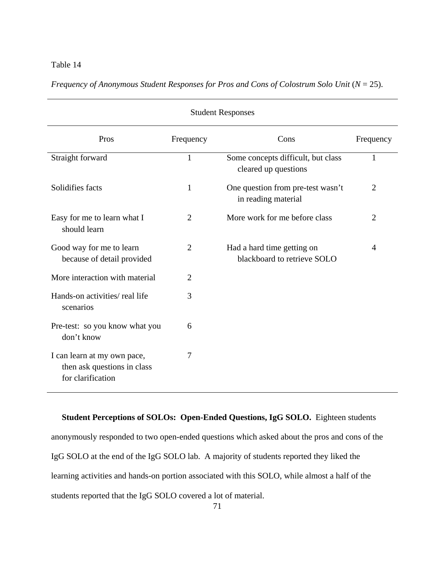| <b>Student Responses</b>                                                        |                |                                                            |                |  |  |  |
|---------------------------------------------------------------------------------|----------------|------------------------------------------------------------|----------------|--|--|--|
| Pros                                                                            | Frequency      | Cons                                                       | Frequency      |  |  |  |
| Straight forward                                                                | $\mathbf{1}$   | Some concepts difficult, but class<br>cleared up questions | 1              |  |  |  |
| Solidifies facts                                                                | $\mathbf{1}$   | One question from pre-test wasn't<br>in reading material   | $\overline{2}$ |  |  |  |
| Easy for me to learn what I<br>should learn                                     | $\overline{2}$ | More work for me before class                              | $\overline{2}$ |  |  |  |
| Good way for me to learn<br>because of detail provided                          | $\overline{2}$ | Had a hard time getting on<br>blackboard to retrieve SOLO  | $\overline{A}$ |  |  |  |
| More interaction with material                                                  | $\overline{2}$ |                                                            |                |  |  |  |
| Hands-on activities/real life<br>scenarios                                      | 3              |                                                            |                |  |  |  |
| Pre-test: so you know what you<br>don't know                                    | 6              |                                                            |                |  |  |  |
| I can learn at my own pace,<br>then ask questions in class<br>for clarification | 7              |                                                            |                |  |  |  |

*Frequency of Anonymous Student Responses for Pros and Cons of Colostrum Solo Unit* ( $N = 25$ ).

 **Student Perceptions of SOLOs: Open-Ended Questions, IgG SOLO.** Eighteen students anonymously responded to two open-ended questions which asked about the pros and cons of the IgG SOLO at the end of the IgG SOLO lab. A majority of students reported they liked the learning activities and hands-on portion associated with this SOLO, while almost a half of the students reported that the IgG SOLO covered a lot of material.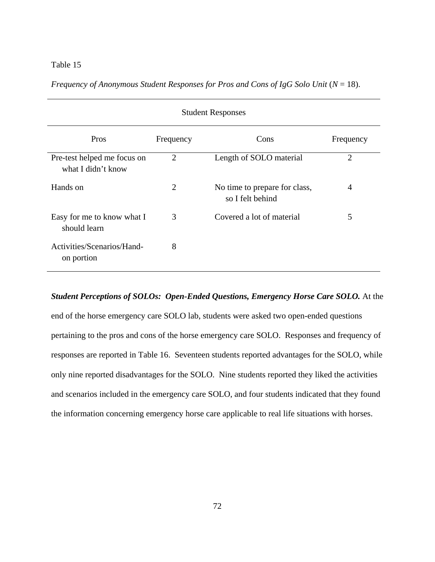| <b>Student Responses</b>                          |                |                                                   |                |  |  |  |
|---------------------------------------------------|----------------|---------------------------------------------------|----------------|--|--|--|
| Pros                                              | Frequency      | Cons                                              | Frequency      |  |  |  |
| Pre-test helped me focus on<br>what I didn't know | $\overline{2}$ | Length of SOLO material                           | $\overline{2}$ |  |  |  |
| Hands on                                          | $\overline{2}$ | No time to prepare for class,<br>so I felt behind | 4              |  |  |  |
| Easy for me to know what I<br>should learn        | 3              | Covered a lot of material                         | 5              |  |  |  |
| Activities/Scenarios/Hand-<br>on portion          | 8              |                                                   |                |  |  |  |

*Frequency of Anonymous Student Responses for Pros and Cons of IgG Solo Unit* ( $N = 18$ ).

# *Student Perceptions of SOLOs: Open-Ended Questions, Emergency Horse Care SOLO.* At the

end of the horse emergency care SOLO lab, students were asked two open-ended questions pertaining to the pros and cons of the horse emergency care SOLO. Responses and frequency of responses are reported in Table 16. Seventeen students reported advantages for the SOLO, while only nine reported disadvantages for the SOLO. Nine students reported they liked the activities and scenarios included in the emergency care SOLO, and four students indicated that they found the information concerning emergency horse care applicable to real life situations with horses.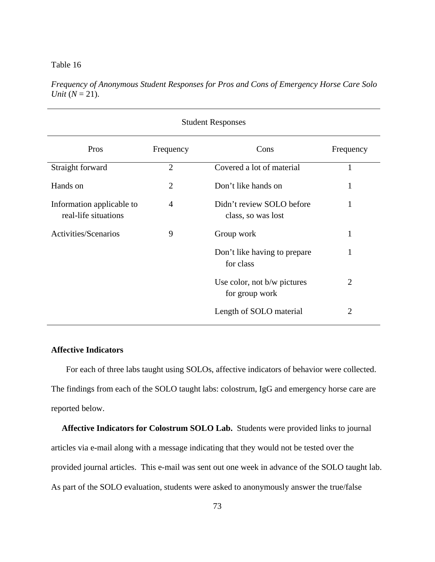| <b>Student Responses</b>                          |                |                                                 |                |  |  |  |
|---------------------------------------------------|----------------|-------------------------------------------------|----------------|--|--|--|
| Pros                                              | Frequency      | Cons                                            | Frequency      |  |  |  |
| Straight forward                                  | $\overline{2}$ | Covered a lot of material                       | 1              |  |  |  |
| Hands on                                          | $\overline{2}$ | Don't like hands on                             | 1              |  |  |  |
| Information applicable to<br>real-life situations | 4              | Didn't review SOLO before<br>class, so was lost |                |  |  |  |
| Activities/Scenarios                              | 9              | Group work                                      | 1              |  |  |  |
|                                                   |                | Don't like having to prepare<br>for class       | 1              |  |  |  |
|                                                   |                | Use color, not b/w pictures<br>for group work   | $\overline{2}$ |  |  |  |
|                                                   |                | Length of SOLO material                         | $\overline{2}$ |  |  |  |

*Frequency of Anonymous Student Responses for Pros and Cons of Emergency Horse Care Solo Unit*  $(N = 21)$ .

# **Affective Indicators**

 For each of three labs taught using SOLOs, affective indicators of behavior were collected. The findings from each of the SOLO taught labs: colostrum, IgG and emergency horse care are reported below.

 **Affective Indicators for Colostrum SOLO Lab.**Students were provided links to journal articles via e-mail along with a message indicating that they would not be tested over the provided journal articles. This e-mail was sent out one week in advance of the SOLO taught lab. As part of the SOLO evaluation, students were asked to anonymously answer the true/false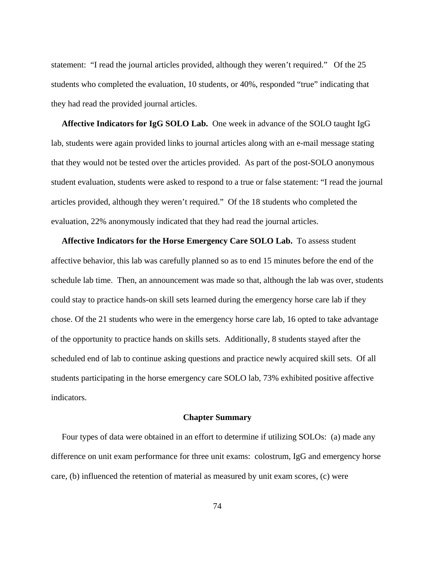statement: "I read the journal articles provided, although they weren't required." Of the 25 students who completed the evaluation, 10 students, or 40%, responded "true" indicating that they had read the provided journal articles.

 **Affective Indicators for IgG SOLO Lab.** One week in advance of the SOLO taught IgG lab, students were again provided links to journal articles along with an e-mail message stating that they would not be tested over the articles provided. As part of the post-SOLO anonymous student evaluation, students were asked to respond to a true or false statement: "I read the journal articles provided, although they weren't required." Of the 18 students who completed the evaluation, 22% anonymously indicated that they had read the journal articles.

 **Affective Indicators for the Horse Emergency Care SOLO Lab.** To assess student affective behavior, this lab was carefully planned so as to end 15 minutes before the end of the schedule lab time. Then, an announcement was made so that, although the lab was over, students could stay to practice hands-on skill sets learned during the emergency horse care lab if they chose. Of the 21 students who were in the emergency horse care lab, 16 opted to take advantage of the opportunity to practice hands on skills sets. Additionally, 8 students stayed after the scheduled end of lab to continue asking questions and practice newly acquired skill sets. Of all students participating in the horse emergency care SOLO lab, 73% exhibited positive affective indicators.

# **Chapter Summary**

 Four types of data were obtained in an effort to determine if utilizing SOLOs: (a) made any difference on unit exam performance for three unit exams: colostrum, IgG and emergency horse care, (b) influenced the retention of material as measured by unit exam scores, (c) were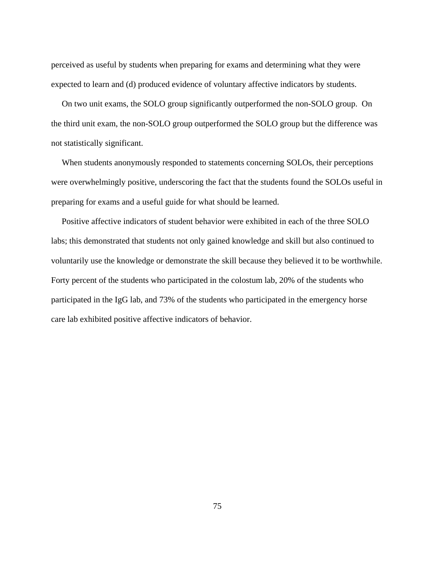perceived as useful by students when preparing for exams and determining what they were expected to learn and (d) produced evidence of voluntary affective indicators by students.

 On two unit exams, the SOLO group significantly outperformed the non-SOLO group. On the third unit exam, the non-SOLO group outperformed the SOLO group but the difference was not statistically significant.

 When students anonymously responded to statements concerning SOLOs, their perceptions were overwhelmingly positive, underscoring the fact that the students found the SOLOs useful in preparing for exams and a useful guide for what should be learned.

 Positive affective indicators of student behavior were exhibited in each of the three SOLO labs; this demonstrated that students not only gained knowledge and skill but also continued to voluntarily use the knowledge or demonstrate the skill because they believed it to be worthwhile. Forty percent of the students who participated in the colostum lab, 20% of the students who participated in the IgG lab, and 73% of the students who participated in the emergency horse care lab exhibited positive affective indicators of behavior.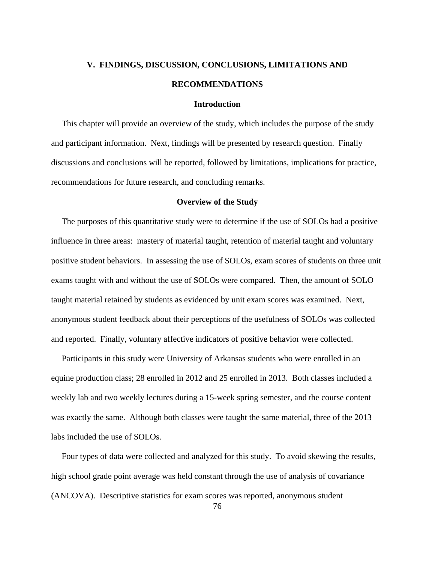# **V. FINDINGS, DISCUSSION, CONCLUSIONS, LIMITATIONS AND RECOMMENDATIONS**

# **Introduction**

 This chapter will provide an overview of the study, which includes the purpose of the study and participant information. Next, findings will be presented by research question. Finally discussions and conclusions will be reported, followed by limitations, implications for practice, recommendations for future research, and concluding remarks.

# **Overview of the Study**

 The purposes of this quantitative study were to determine if the use of SOLOs had a positive influence in three areas: mastery of material taught, retention of material taught and voluntary positive student behaviors. In assessing the use of SOLOs, exam scores of students on three unit exams taught with and without the use of SOLOs were compared. Then, the amount of SOLO taught material retained by students as evidenced by unit exam scores was examined. Next, anonymous student feedback about their perceptions of the usefulness of SOLOs was collected and reported. Finally, voluntary affective indicators of positive behavior were collected.

 Participants in this study were University of Arkansas students who were enrolled in an equine production class; 28 enrolled in 2012 and 25 enrolled in 2013. Both classes included a weekly lab and two weekly lectures during a 15-week spring semester, and the course content was exactly the same. Although both classes were taught the same material, three of the 2013 labs included the use of SOLOs.

 Four types of data were collected and analyzed for this study. To avoid skewing the results, high school grade point average was held constant through the use of analysis of covariance (ANCOVA). Descriptive statistics for exam scores was reported, anonymous student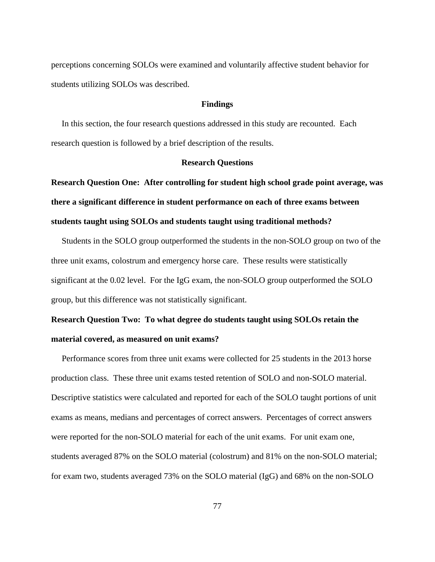perceptions concerning SOLOs were examined and voluntarily affective student behavior for students utilizing SOLOs was described.

#### **Findings**

 In this section, the four research questions addressed in this study are recounted. Each research question is followed by a brief description of the results.

#### **Research Questions**

**Research Question One: After controlling for student high school grade point average, was there a significant difference in student performance on each of three exams between students taught using SOLOs and students taught using traditional methods?** 

 Students in the SOLO group outperformed the students in the non-SOLO group on two of the three unit exams, colostrum and emergency horse care. These results were statistically significant at the 0.02 level. For the IgG exam, the non-SOLO group outperformed the SOLO group, but this difference was not statistically significant.

# **Research Question Two: To what degree do students taught using SOLOs retain the material covered, as measured on unit exams?**

 Performance scores from three unit exams were collected for 25 students in the 2013 horse production class. These three unit exams tested retention of SOLO and non-SOLO material. Descriptive statistics were calculated and reported for each of the SOLO taught portions of unit exams as means, medians and percentages of correct answers. Percentages of correct answers were reported for the non-SOLO material for each of the unit exams. For unit exam one, students averaged 87% on the SOLO material (colostrum) and 81% on the non-SOLO material; for exam two, students averaged 73% on the SOLO material (IgG) and 68% on the non-SOLO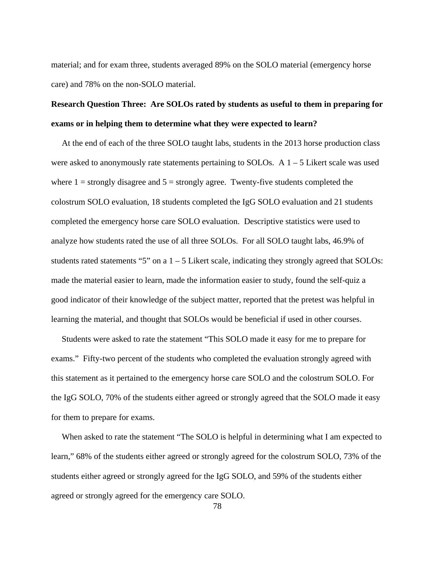material; and for exam three, students averaged 89% on the SOLO material (emergency horse care) and 78% on the non-SOLO material.

# **Research Question Three: Are SOLOs rated by students as useful to them in preparing for exams or in helping them to determine what they were expected to learn?**

 At the end of each of the three SOLO taught labs, students in the 2013 horse production class were asked to anonymously rate statements pertaining to SOLOs. A  $1 - 5$  Likert scale was used where  $1 =$  strongly disagree and  $5 =$  strongly agree. Twenty-five students completed the colostrum SOLO evaluation, 18 students completed the IgG SOLO evaluation and 21 students completed the emergency horse care SOLO evaluation. Descriptive statistics were used to analyze how students rated the use of all three SOLOs. For all SOLO taught labs, 46.9% of students rated statements "5" on a  $1 - 5$  Likert scale, indicating they strongly agreed that SOLOs: made the material easier to learn, made the information easier to study, found the self-quiz a good indicator of their knowledge of the subject matter, reported that the pretest was helpful in learning the material, and thought that SOLOs would be beneficial if used in other courses.

 Students were asked to rate the statement "This SOLO made it easy for me to prepare for exams." Fifty-two percent of the students who completed the evaluation strongly agreed with this statement as it pertained to the emergency horse care SOLO and the colostrum SOLO. For the IgG SOLO, 70% of the students either agreed or strongly agreed that the SOLO made it easy for them to prepare for exams.

When asked to rate the statement "The SOLO is helpful in determining what I am expected to learn," 68% of the students either agreed or strongly agreed for the colostrum SOLO, 73% of the students either agreed or strongly agreed for the IgG SOLO, and 59% of the students either agreed or strongly agreed for the emergency care SOLO.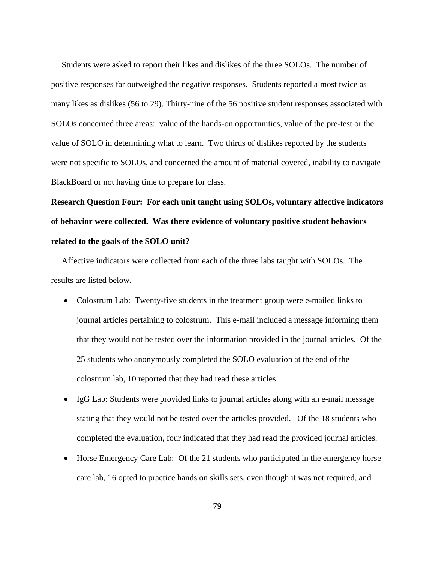Students were asked to report their likes and dislikes of the three SOLOs. The number of positive responses far outweighed the negative responses. Students reported almost twice as many likes as dislikes (56 to 29). Thirty-nine of the 56 positive student responses associated with SOLOs concerned three areas: value of the hands-on opportunities, value of the pre-test or the value of SOLO in determining what to learn. Two thirds of dislikes reported by the students were not specific to SOLOs, and concerned the amount of material covered, inability to navigate BlackBoard or not having time to prepare for class.

**Research Question Four: For each unit taught using SOLOs, voluntary affective indicators of behavior were collected. Was there evidence of voluntary positive student behaviors related to the goals of the SOLO unit?** 

 Affective indicators were collected from each of the three labs taught with SOLOs. The results are listed below.

- Colostrum Lab: Twenty-five students in the treatment group were e-mailed links to journal articles pertaining to colostrum. This e-mail included a message informing them that they would not be tested over the information provided in the journal articles. Of the 25 students who anonymously completed the SOLO evaluation at the end of the colostrum lab, 10 reported that they had read these articles.
- IgG Lab: Students were provided links to journal articles along with an e-mail message stating that they would not be tested over the articles provided. Of the 18 students who completed the evaluation, four indicated that they had read the provided journal articles.
- Horse Emergency Care Lab: Of the 21 students who participated in the emergency horse care lab, 16 opted to practice hands on skills sets, even though it was not required, and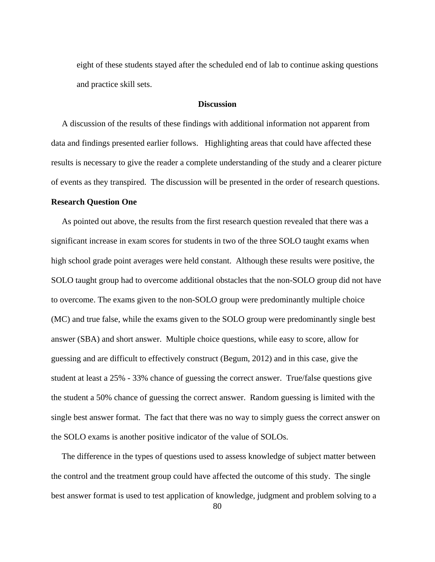eight of these students stayed after the scheduled end of lab to continue asking questions and practice skill sets.

## **Discussion**

A discussion of the results of these findings with additional information not apparent from data and findings presented earlier follows. Highlighting areas that could have affected these results is necessary to give the reader a complete understanding of the study and a clearer picture of events as they transpired. The discussion will be presented in the order of research questions.

#### **Research Question One**

 As pointed out above, the results from the first research question revealed that there was a significant increase in exam scores for students in two of the three SOLO taught exams when high school grade point averages were held constant. Although these results were positive, the SOLO taught group had to overcome additional obstacles that the non-SOLO group did not have to overcome. The exams given to the non-SOLO group were predominantly multiple choice (MC) and true false, while the exams given to the SOLO group were predominantly single best answer (SBA) and short answer. Multiple choice questions, while easy to score, allow for guessing and are difficult to effectively construct (Begum, 2012) and in this case, give the student at least a 25% - 33% chance of guessing the correct answer. True/false questions give the student a 50% chance of guessing the correct answer. Random guessing is limited with the single best answer format. The fact that there was no way to simply guess the correct answer on the SOLO exams is another positive indicator of the value of SOLOs.

 The difference in the types of questions used to assess knowledge of subject matter between the control and the treatment group could have affected the outcome of this study. The single best answer format is used to test application of knowledge, judgment and problem solving to a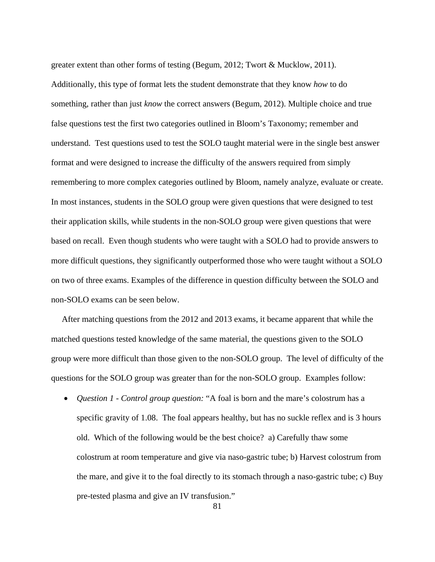greater extent than other forms of testing (Begum, 2012; Twort & Mucklow, 2011). Additionally, this type of format lets the student demonstrate that they know *how* to do something, rather than just *know* the correct answers (Begum, 2012). Multiple choice and true false questions test the first two categories outlined in Bloom's Taxonomy; remember and understand. Test questions used to test the SOLO taught material were in the single best answer format and were designed to increase the difficulty of the answers required from simply remembering to more complex categories outlined by Bloom, namely analyze, evaluate or create. In most instances, students in the SOLO group were given questions that were designed to test their application skills, while students in the non-SOLO group were given questions that were based on recall. Even though students who were taught with a SOLO had to provide answers to more difficult questions, they significantly outperformed those who were taught without a SOLO on two of three exams. Examples of the difference in question difficulty between the SOLO and non-SOLO exams can be seen below.

 After matching questions from the 2012 and 2013 exams, it became apparent that while the matched questions tested knowledge of the same material, the questions given to the SOLO group were more difficult than those given to the non-SOLO group. The level of difficulty of the questions for the SOLO group was greater than for the non-SOLO group. Examples follow:

 *Question 1 - Control group question:* "A foal is born and the mare's colostrum has a specific gravity of 1.08. The foal appears healthy, but has no suckle reflex and is 3 hours old. Which of the following would be the best choice? a) Carefully thaw some colostrum at room temperature and give via naso-gastric tube; b) Harvest colostrum from the mare, and give it to the foal directly to its stomach through a naso-gastric tube; c) Buy pre-tested plasma and give an IV transfusion."

81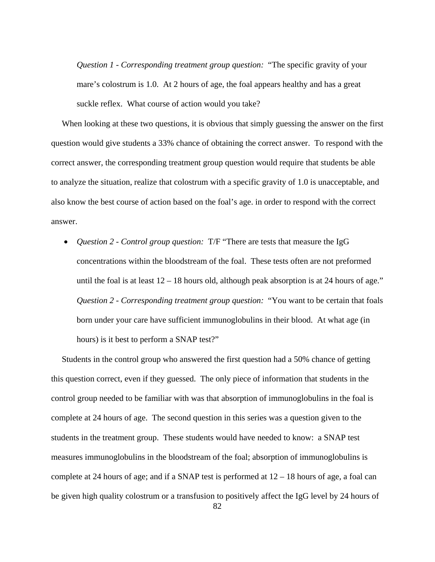*Question 1 - Corresponding treatment group question:* "The specific gravity of your mare's colostrum is 1.0. At 2 hours of age, the foal appears healthy and has a great suckle reflex. What course of action would you take?

 When looking at these two questions, it is obvious that simply guessing the answer on the first question would give students a 33% chance of obtaining the correct answer. To respond with the correct answer, the corresponding treatment group question would require that students be able to analyze the situation, realize that colostrum with a specific gravity of 1.0 is unacceptable, and also know the best course of action based on the foal's age. in order to respond with the correct answer.

 *Question 2 - Control group question:* T/F "There are tests that measure the IgG concentrations within the bloodstream of the foal. These tests often are not preformed until the foal is at least  $12 - 18$  hours old, although peak absorption is at 24 hours of age." *Question 2 - Corresponding treatment group question:* "You want to be certain that foals born under your care have sufficient immunoglobulins in their blood. At what age (in hours) is it best to perform a SNAP test?"

Students in the control group who answered the first question had a 50% chance of getting this question correct, even if they guessed. The only piece of information that students in the control group needed to be familiar with was that absorption of immunoglobulins in the foal is complete at 24 hours of age. The second question in this series was a question given to the students in the treatment group. These students would have needed to know: a SNAP test measures immunoglobulins in the bloodstream of the foal; absorption of immunoglobulins is complete at 24 hours of age; and if a SNAP test is performed at  $12 - 18$  hours of age, a foal can be given high quality colostrum or a transfusion to positively affect the IgG level by 24 hours of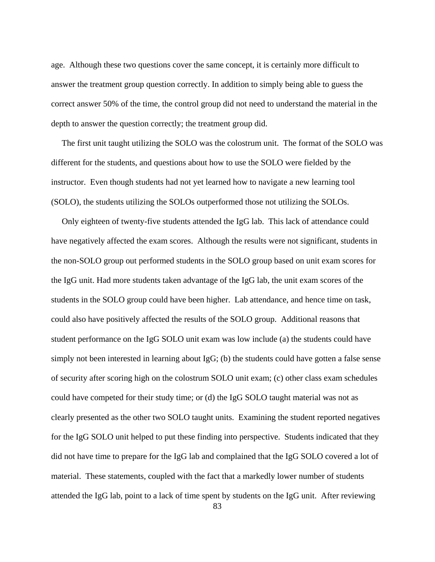age. Although these two questions cover the same concept, it is certainly more difficult to answer the treatment group question correctly. In addition to simply being able to guess the correct answer 50% of the time, the control group did not need to understand the material in the depth to answer the question correctly; the treatment group did.

 The first unit taught utilizing the SOLO was the colostrum unit. The format of the SOLO was different for the students, and questions about how to use the SOLO were fielded by the instructor. Even though students had not yet learned how to navigate a new learning tool (SOLO), the students utilizing the SOLOs outperformed those not utilizing the SOLOs.

 Only eighteen of twenty-five students attended the IgG lab. This lack of attendance could have negatively affected the exam scores. Although the results were not significant, students in the non-SOLO group out performed students in the SOLO group based on unit exam scores for the IgG unit. Had more students taken advantage of the IgG lab, the unit exam scores of the students in the SOLO group could have been higher. Lab attendance, and hence time on task, could also have positively affected the results of the SOLO group. Additional reasons that student performance on the IgG SOLO unit exam was low include (a) the students could have simply not been interested in learning about IgG; (b) the students could have gotten a false sense of security after scoring high on the colostrum SOLO unit exam; (c) other class exam schedules could have competed for their study time; or (d) the IgG SOLO taught material was not as clearly presented as the other two SOLO taught units. Examining the student reported negatives for the IgG SOLO unit helped to put these finding into perspective. Students indicated that they did not have time to prepare for the IgG lab and complained that the IgG SOLO covered a lot of material. These statements, coupled with the fact that a markedly lower number of students attended the IgG lab, point to a lack of time spent by students on the IgG unit. After reviewing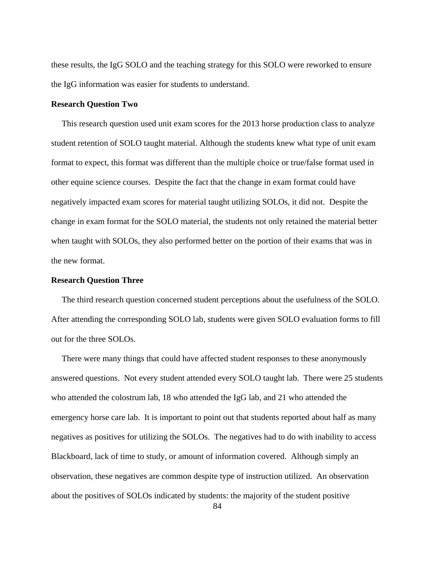these results, the IgG SOLO and the teaching strategy for this SOLO were reworked to ensure the IgG information was easier for students to understand.

#### **Research Question Two**

 This research question used unit exam scores for the 2013 horse production class to analyze student retention of SOLO taught material. Although the students knew what type of unit exam format to expect, this format was different than the multiple choice or true/false format used in other equine science courses. Despite the fact that the change in exam format could have negatively impacted exam scores for material taught utilizing SOLOs, it did not. Despite the change in exam format for the SOLO material, the students not only retained the material better when taught with SOLOs, they also performed better on the portion of their exams that was in the new format.

## **Research Question Three**

 The third research question concerned student perceptions about the usefulness of the SOLO. After attending the corresponding SOLO lab, students were given SOLO evaluation forms to fill out for the three SOLOs.

 There were many things that could have affected student responses to these anonymously answered questions. Not every student attended every SOLO taught lab. There were 25 students who attended the colostrum lab, 18 who attended the IgG lab, and 21 who attended the emergency horse care lab. It is important to point out that students reported about half as many negatives as positives for utilizing the SOLOs. The negatives had to do with inability to access Blackboard, lack of time to study, or amount of information covered. Although simply an observation, these negatives are common despite type of instruction utilized. An observation about the positives of SOLOs indicated by students: the majority of the student positive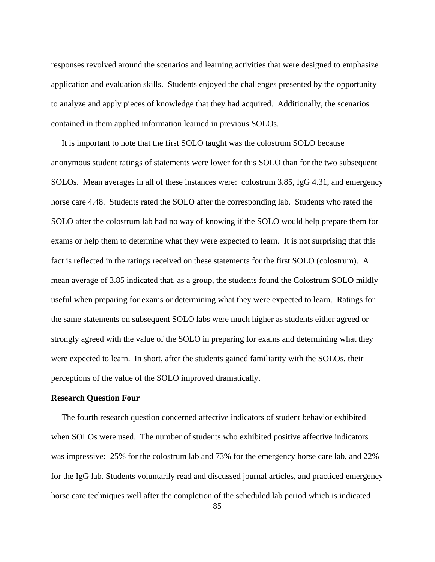responses revolved around the scenarios and learning activities that were designed to emphasize application and evaluation skills. Students enjoyed the challenges presented by the opportunity to analyze and apply pieces of knowledge that they had acquired. Additionally, the scenarios contained in them applied information learned in previous SOLOs.

 It is important to note that the first SOLO taught was the colostrum SOLO because anonymous student ratings of statements were lower for this SOLO than for the two subsequent SOLOs. Mean averages in all of these instances were: colostrum 3.85, IgG 4.31, and emergency horse care 4.48. Students rated the SOLO after the corresponding lab. Students who rated the SOLO after the colostrum lab had no way of knowing if the SOLO would help prepare them for exams or help them to determine what they were expected to learn. It is not surprising that this fact is reflected in the ratings received on these statements for the first SOLO (colostrum). A mean average of 3.85 indicated that, as a group, the students found the Colostrum SOLO mildly useful when preparing for exams or determining what they were expected to learn. Ratings for the same statements on subsequent SOLO labs were much higher as students either agreed or strongly agreed with the value of the SOLO in preparing for exams and determining what they were expected to learn. In short, after the students gained familiarity with the SOLOs, their perceptions of the value of the SOLO improved dramatically.

# **Research Question Four**

 The fourth research question concerned affective indicators of student behavior exhibited when SOLOs were used. The number of students who exhibited positive affective indicators was impressive: 25% for the colostrum lab and 73% for the emergency horse care lab, and 22% for the IgG lab. Students voluntarily read and discussed journal articles, and practiced emergency horse care techniques well after the completion of the scheduled lab period which is indicated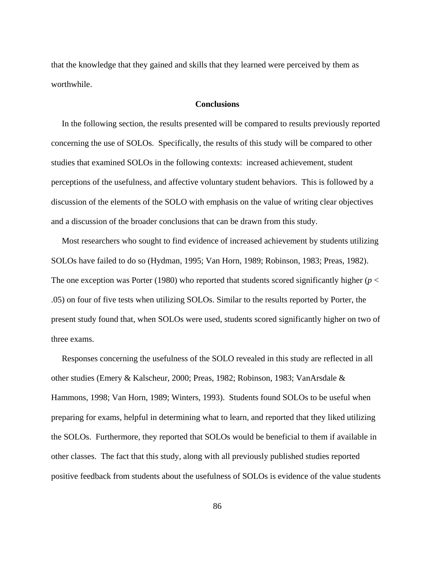that the knowledge that they gained and skills that they learned were perceived by them as worthwhile.

## **Conclusions**

 In the following section, the results presented will be compared to results previously reported concerning the use of SOLOs. Specifically, the results of this study will be compared to other studies that examined SOLOs in the following contexts: increased achievement, student perceptions of the usefulness, and affective voluntary student behaviors. This is followed by a discussion of the elements of the SOLO with emphasis on the value of writing clear objectives and a discussion of the broader conclusions that can be drawn from this study.

 Most researchers who sought to find evidence of increased achievement by students utilizing SOLOs have failed to do so (Hydman, 1995; Van Horn, 1989; Robinson, 1983; Preas, 1982). The one exception was Porter (1980) who reported that students scored significantly higher ( $p <$ .05) on four of five tests when utilizing SOLOs. Similar to the results reported by Porter, the present study found that, when SOLOs were used, students scored significantly higher on two of three exams.

 Responses concerning the usefulness of the SOLO revealed in this study are reflected in all other studies (Emery & Kalscheur, 2000; Preas, 1982; Robinson, 1983; VanArsdale & Hammons, 1998; Van Horn, 1989; Winters, 1993). Students found SOLOs to be useful when preparing for exams, helpful in determining what to learn, and reported that they liked utilizing the SOLOs. Furthermore, they reported that SOLOs would be beneficial to them if available in other classes. The fact that this study, along with all previously published studies reported positive feedback from students about the usefulness of SOLOs is evidence of the value students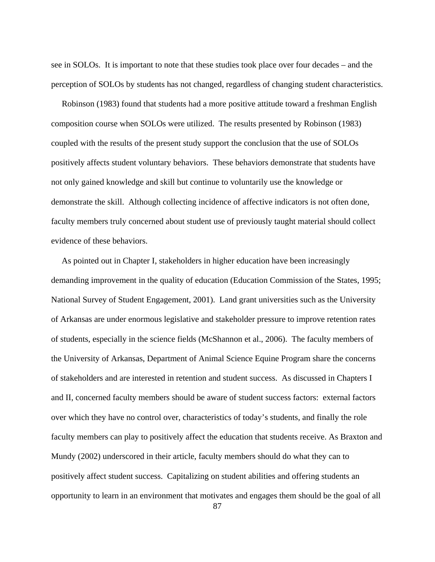see in SOLOs. It is important to note that these studies took place over four decades – and the perception of SOLOs by students has not changed, regardless of changing student characteristics.

Robinson (1983) found that students had a more positive attitude toward a freshman English composition course when SOLOs were utilized. The results presented by Robinson (1983) coupled with the results of the present study support the conclusion that the use of SOLOs positively affects student voluntary behaviors. These behaviors demonstrate that students have not only gained knowledge and skill but continue to voluntarily use the knowledge or demonstrate the skill. Although collecting incidence of affective indicators is not often done, faculty members truly concerned about student use of previously taught material should collect evidence of these behaviors.

 As pointed out in Chapter I, stakeholders in higher education have been increasingly demanding improvement in the quality of education (Education Commission of the States, 1995; National Survey of Student Engagement, 2001). Land grant universities such as the University of Arkansas are under enormous legislative and stakeholder pressure to improve retention rates of students, especially in the science fields (McShannon et al., 2006). The faculty members of the University of Arkansas, Department of Animal Science Equine Program share the concerns of stakeholders and are interested in retention and student success. As discussed in Chapters I and II, concerned faculty members should be aware of student success factors: external factors over which they have no control over, characteristics of today's students, and finally the role faculty members can play to positively affect the education that students receive. As Braxton and Mundy (2002) underscored in their article, faculty members should do what they can to positively affect student success. Capitalizing on student abilities and offering students an opportunity to learn in an environment that motivates and engages them should be the goal of all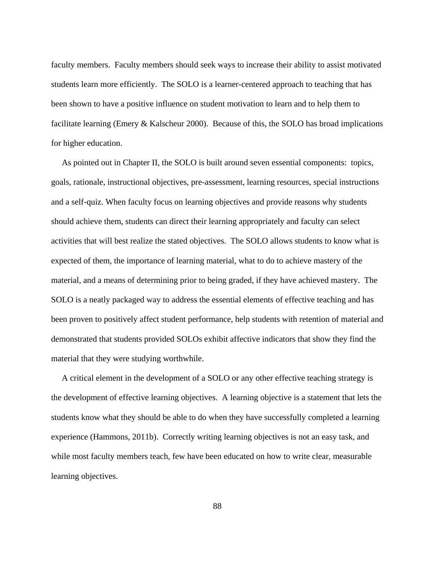faculty members. Faculty members should seek ways to increase their ability to assist motivated students learn more efficiently. The SOLO is a learner-centered approach to teaching that has been shown to have a positive influence on student motivation to learn and to help them to facilitate learning (Emery & Kalscheur 2000). Because of this, the SOLO has broad implications for higher education.

 As pointed out in Chapter II, the SOLO is built around seven essential components: topics, goals, rationale, instructional objectives, pre-assessment, learning resources, special instructions and a self-quiz. When faculty focus on learning objectives and provide reasons why students should achieve them, students can direct their learning appropriately and faculty can select activities that will best realize the stated objectives. The SOLO allows students to know what is expected of them, the importance of learning material, what to do to achieve mastery of the material, and a means of determining prior to being graded, if they have achieved mastery. The SOLO is a neatly packaged way to address the essential elements of effective teaching and has been proven to positively affect student performance, help students with retention of material and demonstrated that students provided SOLOs exhibit affective indicators that show they find the material that they were studying worthwhile.

 A critical element in the development of a SOLO or any other effective teaching strategy is the development of effective learning objectives. A learning objective is a statement that lets the students know what they should be able to do when they have successfully completed a learning experience (Hammons, 2011b). Correctly writing learning objectives is not an easy task, and while most faculty members teach, few have been educated on how to write clear, measurable learning objectives.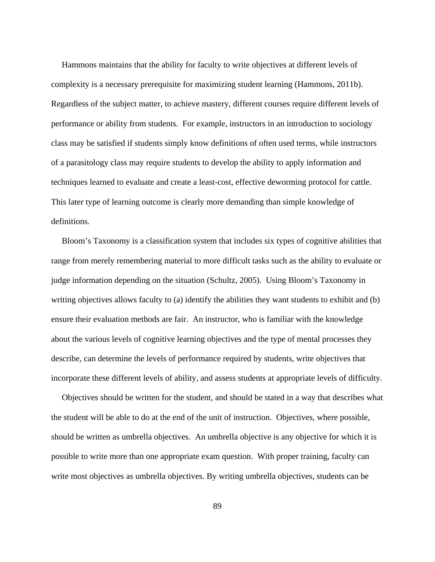Hammons maintains that the ability for faculty to write objectives at different levels of complexity is a necessary prerequisite for maximizing student learning (Hammons, 2011b). Regardless of the subject matter, to achieve mastery, different courses require different levels of performance or ability from students. For example, instructors in an introduction to sociology class may be satisfied if students simply know definitions of often used terms, while instructors of a parasitology class may require students to develop the ability to apply information and techniques learned to evaluate and create a least-cost, effective deworming protocol for cattle. This later type of learning outcome is clearly more demanding than simple knowledge of definitions.

 Bloom's Taxonomy is a classification system that includes six types of cognitive abilities that range from merely remembering material to more difficult tasks such as the ability to evaluate or judge information depending on the situation (Schultz, 2005). Using Bloom's Taxonomy in writing objectives allows faculty to (a) identify the abilities they want students to exhibit and (b) ensure their evaluation methods are fair. An instructor, who is familiar with the knowledge about the various levels of cognitive learning objectives and the type of mental processes they describe, can determine the levels of performance required by students, write objectives that incorporate these different levels of ability, and assess students at appropriate levels of difficulty.

 Objectives should be written for the student, and should be stated in a way that describes what the student will be able to do at the end of the unit of instruction. Objectives, where possible, should be written as umbrella objectives. An umbrella objective is any objective for which it is possible to write more than one appropriate exam question. With proper training, faculty can write most objectives as umbrella objectives. By writing umbrella objectives, students can be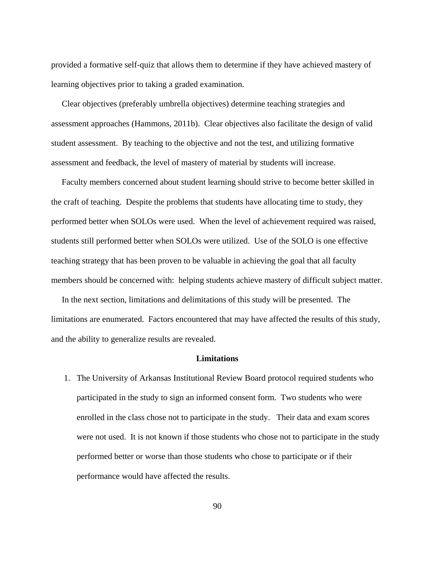provided a formative self-quiz that allows them to determine if they have achieved mastery of learning objectives prior to taking a graded examination.

 Clear objectives (preferably umbrella objectives) determine teaching strategies and assessment approaches (Hammons, 2011b). Clear objectives also facilitate the design of valid student assessment. By teaching to the objective and not the test, and utilizing formative assessment and feedback, the level of mastery of material by students will increase.

 Faculty members concerned about student learning should strive to become better skilled in the craft of teaching. Despite the problems that students have allocating time to study, they performed better when SOLOs were used. When the level of achievement required was raised, students still performed better when SOLOs were utilized. Use of the SOLO is one effective teaching strategy that has been proven to be valuable in achieving the goal that all faculty members should be concerned with: helping students achieve mastery of difficult subject matter.

 In the next section, limitations and delimitations of this study will be presented. The limitations are enumerated. Factors encountered that may have affected the results of this study, and the ability to generalize results are revealed.

## **Limitations**

1. The University of Arkansas Institutional Review Board protocol required students who participated in the study to sign an informed consent form. Two students who were enrolled in the class chose not to participate in the study. Their data and exam scores were not used. It is not known if those students who chose not to participate in the study performed better or worse than those students who chose to participate or if their performance would have affected the results.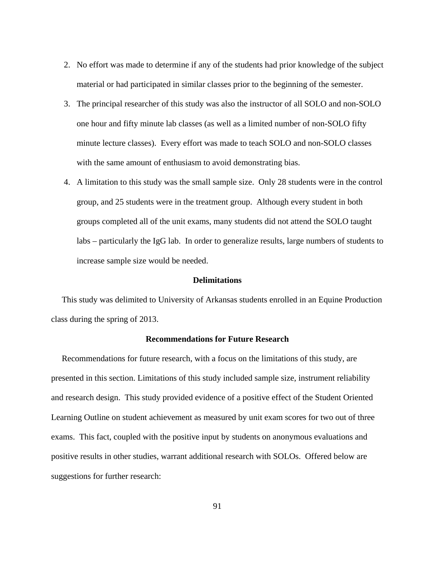- 2. No effort was made to determine if any of the students had prior knowledge of the subject material or had participated in similar classes prior to the beginning of the semester.
- 3. The principal researcher of this study was also the instructor of all SOLO and non-SOLO one hour and fifty minute lab classes (as well as a limited number of non-SOLO fifty minute lecture classes). Every effort was made to teach SOLO and non-SOLO classes with the same amount of enthusiasm to avoid demonstrating bias.
- 4. A limitation to this study was the small sample size. Only 28 students were in the control group, and 25 students were in the treatment group. Although every student in both groups completed all of the unit exams, many students did not attend the SOLO taught labs – particularly the IgG lab. In order to generalize results, large numbers of students to increase sample size would be needed.

# **Delimitations**

 This study was delimited to University of Arkansas students enrolled in an Equine Production class during the spring of 2013.

## **Recommendations for Future Research**

 Recommendations for future research, with a focus on the limitations of this study, are presented in this section. Limitations of this study included sample size, instrument reliability and research design. This study provided evidence of a positive effect of the Student Oriented Learning Outline on student achievement as measured by unit exam scores for two out of three exams. This fact, coupled with the positive input by students on anonymous evaluations and positive results in other studies, warrant additional research with SOLOs. Offered below are suggestions for further research: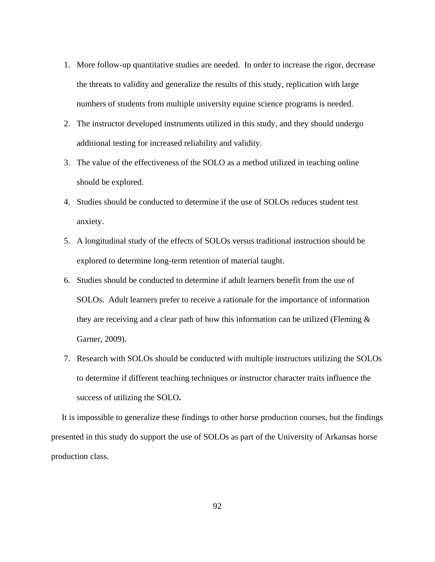- 1. More follow-up quantitative studies are needed. In order to increase the rigor, decrease the threats to validity and generalize the results of this study, replication with large numbers of students from multiple university equine science programs is needed.
- 2. The instructor developed instruments utilized in this study, and they should undergo additional testing for increased reliability and validity.
- 3. The value of the effectiveness of the SOLO as a method utilized in teaching online should be explored.
- 4. Studies should be conducted to determine if the use of SOLOs reduces student test anxiety.
- 5. A longitudinal study of the effects of SOLOs versus traditional instruction should be explored to determine long-term retention of material taught.
- 6. Studies should be conducted to determine if adult learners benefit from the use of SOLOs. Adult learners prefer to receive a rationale for the importance of information they are receiving and a clear path of how this information can be utilized (Fleming  $\&$ Garner, 2009).
- 7. Research with SOLOs should be conducted with multiple instructors utilizing the SOLOs to determine if different teaching techniques or instructor character traits influence the success of utilizing the SOLO**.**

 It is impossible to generalize these findings to other horse production courses, but the findings presented in this study do support the use of SOLOs as part of the University of Arkansas horse production class.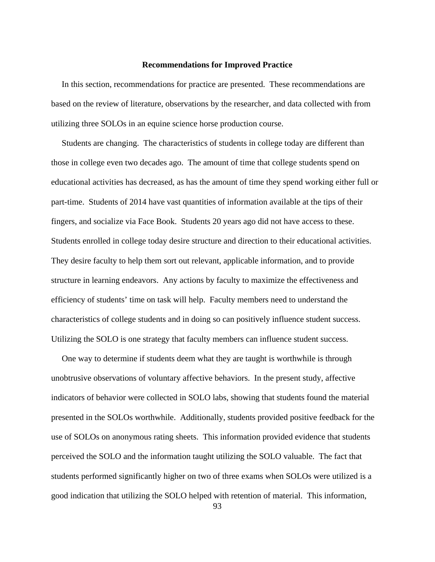## **Recommendations for Improved Practice**

 In this section, recommendations for practice are presented. These recommendations are based on the review of literature, observations by the researcher, and data collected with from utilizing three SOLOs in an equine science horse production course.

 Students are changing. The characteristics of students in college today are different than those in college even two decades ago. The amount of time that college students spend on educational activities has decreased, as has the amount of time they spend working either full or part-time. Students of 2014 have vast quantities of information available at the tips of their fingers, and socialize via Face Book. Students 20 years ago did not have access to these. Students enrolled in college today desire structure and direction to their educational activities. They desire faculty to help them sort out relevant, applicable information, and to provide structure in learning endeavors. Any actions by faculty to maximize the effectiveness and efficiency of students' time on task will help. Faculty members need to understand the characteristics of college students and in doing so can positively influence student success. Utilizing the SOLO is one strategy that faculty members can influence student success.

 One way to determine if students deem what they are taught is worthwhile is through unobtrusive observations of voluntary affective behaviors. In the present study, affective indicators of behavior were collected in SOLO labs, showing that students found the material presented in the SOLOs worthwhile. Additionally, students provided positive feedback for the use of SOLOs on anonymous rating sheets. This information provided evidence that students perceived the SOLO and the information taught utilizing the SOLO valuable. The fact that students performed significantly higher on two of three exams when SOLOs were utilized is a good indication that utilizing the SOLO helped with retention of material. This information,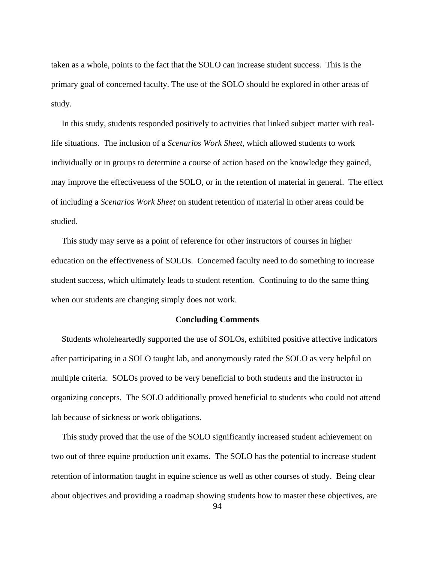taken as a whole, points to the fact that the SOLO can increase student success. This is the primary goal of concerned faculty. The use of the SOLO should be explored in other areas of study.

 In this study, students responded positively to activities that linked subject matter with reallife situations. The inclusion of a *Scenarios Work Sheet,* which allowed students to work individually or in groups to determine a course of action based on the knowledge they gained, may improve the effectiveness of the SOLO, or in the retention of material in general. The effect of including a *Scenarios Work Sheet* on student retention of material in other areas could be studied.

 This study may serve as a point of reference for other instructors of courses in higher education on the effectiveness of SOLOs. Concerned faculty need to do something to increase student success, which ultimately leads to student retention. Continuing to do the same thing when our students are changing simply does not work.

# **Concluding Comments**

 Students wholeheartedly supported the use of SOLOs, exhibited positive affective indicators after participating in a SOLO taught lab, and anonymously rated the SOLO as very helpful on multiple criteria. SOLOs proved to be very beneficial to both students and the instructor in organizing concepts. The SOLO additionally proved beneficial to students who could not attend lab because of sickness or work obligations.

 This study proved that the use of the SOLO significantly increased student achievement on two out of three equine production unit exams. The SOLO has the potential to increase student retention of information taught in equine science as well as other courses of study. Being clear about objectives and providing a roadmap showing students how to master these objectives, are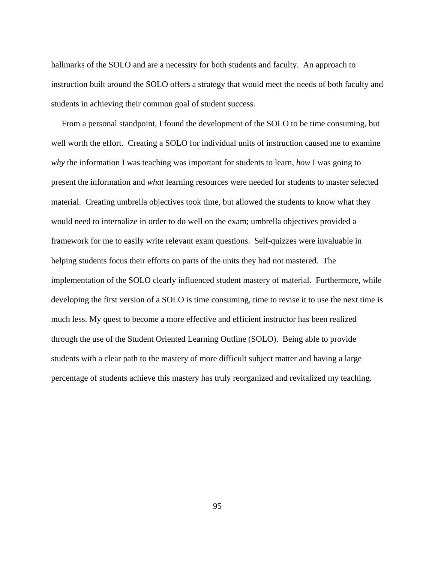hallmarks of the SOLO and are a necessity for both students and faculty. An approach to instruction built around the SOLO offers a strategy that would meet the needs of both faculty and students in achieving their common goal of student success.

 From a personal standpoint, I found the development of the SOLO to be time consuming, but well worth the effort. Creating a SOLO for individual units of instruction caused me to examine *why* the information I was teaching was important for students to learn, *how* I was going to present the information and *what* learning resources were needed for students to master selected material. Creating umbrella objectives took time, but allowed the students to know what they would need to internalize in order to do well on the exam; umbrella objectives provided a framework for me to easily write relevant exam questions. Self-quizzes were invaluable in helping students focus their efforts on parts of the units they had not mastered. The implementation of the SOLO clearly influenced student mastery of material. Furthermore, while developing the first version of a SOLO is time consuming, time to revise it to use the next time is much less. My quest to become a more effective and efficient instructor has been realized through the use of the Student Oriented Learning Outline (SOLO). Being able to provide students with a clear path to the mastery of more difficult subject matter and having a large percentage of students achieve this mastery has truly reorganized and revitalized my teaching.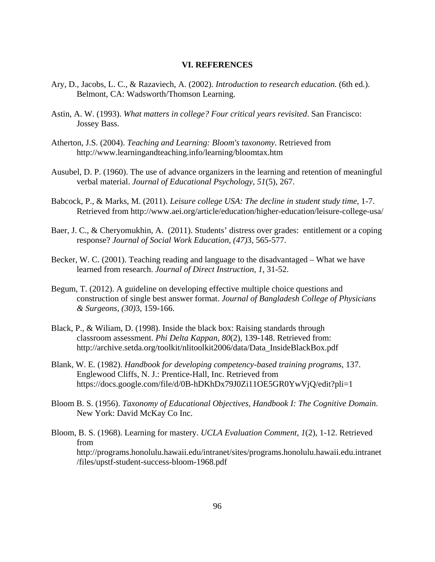# **VI. REFERENCES**

- Ary, D., Jacobs, L. C., & Razaviech, A. (2002). *Introduction to research education.* (6th ed.). Belmont, CA: Wadsworth/Thomson Learning.
- Astin, A. W. (1993). *What matters in college? Four critical years revisited*. San Francisco: Jossey Bass.
- Atherton, J.S. (2004). *Teaching and Learning: Bloom's taxonomy*. Retrieved from http://www.learningandteaching.info/learning/bloomtax.htm
- Ausubel, D. P. (1960). The use of advance organizers in the learning and retention of meaningful verbal material. *Journal of Educational Psychology, 51*(5), 267.
- Babcock, P., & Marks, M. (2011). *Leisure college USA: The decline in student study time*, 1-7. Retrieved from http://www.aei.org/article/education/higher-education/leisure-college-usa/
- Baer, J. C., & Cheryomukhin, A. (2011). Students' distress over grades: entitlement or a coping response? *Journal of Social Work Education, (47)*3, 565-577.
- Becker, W. C. (2001). Teaching reading and language to the disadvantaged What we have learned from research. *Journal of Direct Instruction, 1*, 31-52.
- Begum, T. (2012). A guideline on developing effective multiple choice questions and construction of single best answer format. *Journal of Bangladesh College of Physicians & Surgeons, (30)*3, 159-166.
- Black, P., & Wiliam, D. (1998). Inside the black box: Raising standards through classroom assessment. *Phi Delta Kappan, 80*(2), 139-148. Retrieved from: http://archive.setda.org/toolkit/nlitoolkit2006/data/Data\_InsideBlackBox.pdf
- Blank, W. E. (1982). *Handbook for developing competency-based training programs*, 137. Englewood Cliffs, N. J.: Prentice-Hall, Inc. Retrieved from https://docs.google.com/file/d/0B-hDKhDx79J0Zi11OE5GR0YwVjQ/edit?pli=1
- Bloom B. S. (1956). *Taxonomy of Educational Objectives, Handbook I: The Cognitive Domain*. New York: David McKay Co Inc.
- Bloom, B. S. (1968). Learning for mastery. *UCLA Evaluation Comment, 1*(2), 1-12. Retrieved from http://programs.honolulu.hawaii.edu/intranet/sites/programs.honolulu.hawaii.edu.intranet /files/upstf-student-success-bloom-1968.pdf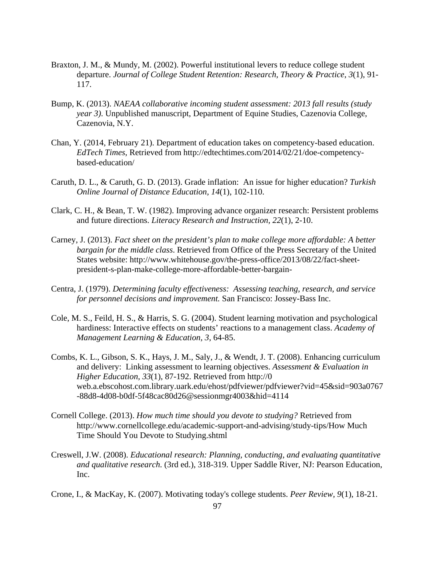- Braxton, J. M., & Mundy, M. (2002). Powerful institutional levers to reduce college student departure. *Journal of College Student Retention: Research, Theory & Practice*, *3*(1), 91- 117.
- Bump, K. (2013). *NAEAA collaborative incoming student assessment: 2013 fall results (study year 3)*. Unpublished manuscript, Department of Equine Studies, Cazenovia College, Cazenovia, N.Y.
- Chan, Y. (2014, February 21). Department of education takes on competency-based education. *EdTech Times*, Retrieved from http://edtechtimes.com/2014/02/21/doe-competencybased-education/
- Caruth, D. L., & Caruth, G. D. (2013). Grade inflation: An issue for higher education? *Turkish Online Journal of Distance Education, 14*(1), 102-110.
- Clark, C. H., & Bean, T. W. (1982). Improving advance organizer research: Persistent problems and future directions. *Literacy Research and Instruction, 22*(1), 2-10.
- Carney, J. (2013). *Fact sheet on the president's plan to make college more affordable: A better bargain for the middle class*. Retrieved from Office of the Press Secretary of the United States website: http://www.whitehouse.gov/the-press-office/2013/08/22/fact-sheetpresident-s-plan-make-college-more-affordable-better-bargain-
- Centra, J. (1979). *Determining faculty effectiveness: Assessing teaching, research, and service for personnel decisions and improvement.* San Francisco: Jossey-Bass Inc.
- Cole, M. S., Feild, H. S., & Harris, S. G. (2004). Student learning motivation and psychological hardiness: Interactive effects on students' reactions to a management class. *Academy of Management Learning & Education, 3*, 64-85.
- Combs, K. L., Gibson, S. K., Hays, J. M., Saly, J., & Wendt, J. T. (2008). Enhancing curriculum and delivery: Linking assessment to learning objectives. *Assessment & Evaluation in Higher Education, 33*(1), 87-192. Retrieved from http://0 web.a.ebscohost.com.library.uark.edu/ehost/pdfviewer/pdfviewer?vid=45&sid=903a0767 -88d8-4d08-b0df-5f48cac80d26@sessionmgr4003&hid=4114
- Cornell College. (2013). *How much time should you devote to studying?* Retrieved from http://www.cornellcollege.edu/academic-support-and-advising/study-tips/How Much Time Should You Devote to Studying.shtml
- Creswell, J.W. (2008). *Educational research: Planning, conducting, and evaluating quantitative and qualitative research*. (3rd ed.), 318-319. Upper Saddle River, NJ: Pearson Education, Inc.
- Crone, I., & MacKay, K. (2007). Motivating today's college students. *Peer Review, 9*(1), 18-21.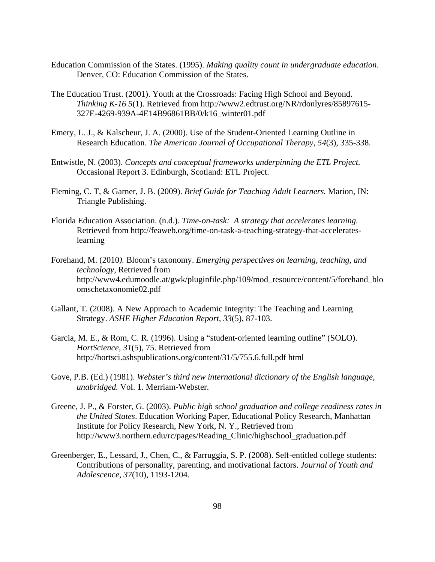- Education Commission of the States. (1995). *Making quality count in undergraduate education*. Denver, CO: Education Commission of the States.
- The Education Trust. (2001). Youth at the Crossroads: Facing High School and Beyond. *Thinking K-16 5*(1). Retrieved from http://www2.edtrust.org/NR/rdonlyres/85897615- 327E-4269-939A-4E14B96861BB/0/k16\_winter01.pdf
- Emery, L. J., & Kalscheur, J. A. (2000). Use of the Student-Oriented Learning Outline in Research Education. *The American Journal of Occupational Therapy, 54*(3), 335-338.
- Entwistle, N. (2003). *Concepts and conceptual frameworks underpinning the ETL Project.* Occasional Report 3. Edinburgh, Scotland: ETL Project.
- Fleming, C. T, & Garner, J. B. (2009). *Brief Guide for Teaching Adult Learners.* Marion, IN: Triangle Publishing.
- Florida Education Association. (n.d.). *Time-on-task: A strategy that accelerates learning.* Retrieved from http://feaweb.org/time-on-task-a-teaching-strategy-that-accelerateslearning
- Forehand, M. (2010*).* Bloom's taxonomy. *Emerging perspectives on learning, teaching, and technology*, Retrieved from http://www4.edumoodle.at/gwk/pluginfile.php/109/mod\_resource/content/5/forehand\_blo omschetaxonomie02.pdf
- Gallant, T. (2008). A New Approach to Academic Integrity: The Teaching and Learning Strategy. *ASHE Higher Education Report, 33*(5), 87-103.
- Garcia, M. E., & Rom, C. R. (1996). Using a "student-oriented learning outline" (SOLO). *HortScience, 31*(5), 75. Retrieved from http://hortsci.ashspublications.org/content/31/5/755.6.full.pdf html
- Gove, P.B. (Ed.) (1981). *Webster's third new international dictionary of the English language, unabridged.* Vol. 1. Merriam-Webster.
- Greene, J. P., & Forster, G. (2003). *Public high school graduation and college readiness rates in the United States*. Education Working Paper, Educational Policy Research, Manhattan Institute for Policy Research, New York, N. Y., Retrieved from http://www3.northern.edu/rc/pages/Reading\_Clinic/highschool\_graduation.pdf
- Greenberger, E., Lessard, J., Chen, C., & Farruggia, S. P. (2008). Self-entitled college students: Contributions of personality, parenting, and motivational factors. *Journal of Youth and Adolescence, 37*(10), 1193-1204.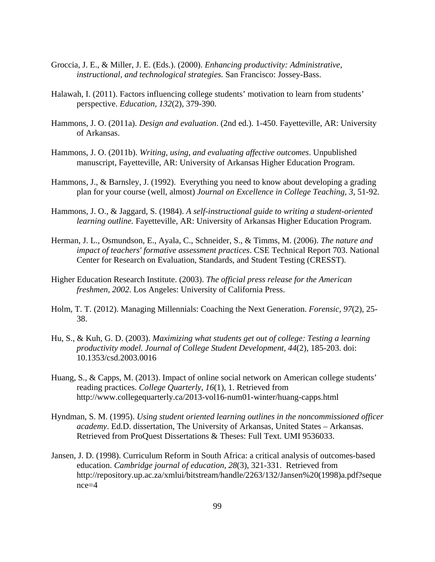- Groccia, J. E., & Miller, J. E. (Eds.). (2000). *Enhancing productivity: Administrative, instructional, and technological strategies.* San Francisco: Jossey-Bass.
- Halawah, I. (2011). Factors influencing college students' motivation to learn from students' perspective. *Education, 132*(2), 379-390.
- Hammons, J. O. (2011a). *Design and evaluation*. (2nd ed.). 1-450. Fayetteville, AR: University of Arkansas.
- Hammons, J. O. (2011b). *Writing, using, and evaluating affective outcomes*. Unpublished manuscript, Fayetteville, AR: University of Arkansas Higher Education Program.
- Hammons, J., & Barnsley, J. (1992). Everything you need to know about developing a grading plan for your course (well, almost) *Journal on Excellence in College Teaching, 3*, 51-92.
- Hammons, J. O., & Jaggard, S. (1984). *A self-instructional guide to writing a student-oriented learning outline.* Fayetteville, AR: University of Arkansas Higher Education Program.
- Herman, J. L., Osmundson, E., Ayala, C., Schneider, S., & Timms, M. (2006). *The nature and impact of teachers' formative assessment practices*. CSE Technical Report 703. National Center for Research on Evaluation, Standards, and Student Testing (CRESST).
- Higher Education Research Institute. (2003). *The official press release for the American freshmen, 2002*. Los Angeles: University of California Press.
- Holm, T. T. (2012). Managing Millennials: Coaching the Next Generation. *Forensic, 97*(2), 25- 38.
- Hu, S., & Kuh, G. D. (2003). *Maximizing what students get out of college: Testing a learning productivity model. Journal of College Student Development, 44*(2), 185-203. doi: 10.1353/csd.2003.0016
- Huang, S., & Capps, M. (2013). Impact of online social network on American college students' reading practices. *College Quarterly*, *16*(1), 1. Retrieved from http://www.collegequarterly.ca/2013-vol16-num01-winter/huang-capps.html
- Hyndman, S. M. (1995). *Using student oriented learning outlines in the noncommissioned officer academy*. Ed.D. dissertation, The University of Arkansas, United States – Arkansas. Retrieved from ProQuest Dissertations & Theses: Full Text. UMI 9536033.
- Jansen, J. D. (1998). Curriculum Reform in South Africa: a critical analysis of outcomes-based education. *Cambridge journal of education*, *28*(3), 321-331. Retrieved from http://repository.up.ac.za/xmlui/bitstream/handle/2263/132/Jansen%20(1998)a.pdf?seque  $nce=4$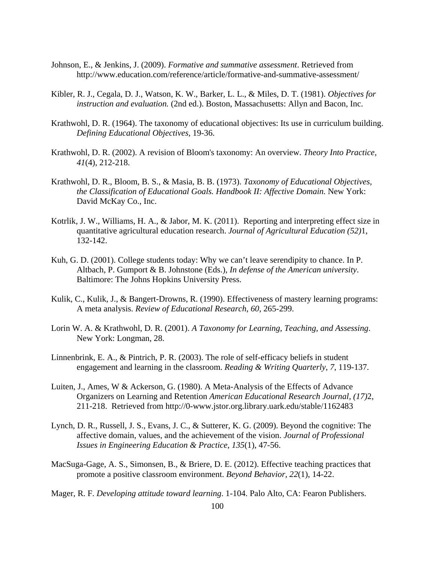- Johnson, E., & Jenkins, J. (2009). *Formative and summative assessment*. Retrieved from http://www.education.com/reference/article/formative-and-summative-assessment/
- Kibler, R. J., Cegala, D. J., Watson, K. W., Barker, L. L., & Miles, D. T. (1981). *Objectives for instruction and evaluation.* (2nd ed.). Boston, Massachusetts: Allyn and Bacon, Inc.
- Krathwohl, D. R. (1964). The taxonomy of educational objectives: Its use in curriculum building. *Defining Educational Objectives,* 19-36.
- Krathwohl, D. R. (2002). A revision of Bloom's taxonomy: An overview. *Theory Into Practice, 41*(4), 212-218.
- Krathwohl, D. R., Bloom, B. S., & Masia, B. B. (1973). *Taxonomy of Educational Objectives, the Classification of Educational Goals. Handbook II: Affective Domain.* New York: David McKay Co., Inc.
- Kotrlik, J. W., Williams, H. A., & Jabor, M. K. (2011). Reporting and interpreting effect size in quantitative agricultural education research. *Journal of Agricultural Education (52)*1, 132-142.
- Kuh, G. D. (2001). College students today: Why we can't leave serendipity to chance. In P. Altbach, P. Gumport & B. Johnstone (Eds.), *In defense of the American university*. Baltimore: The Johns Hopkins University Press.
- Kulik, C., Kulik, J., & Bangert-Drowns, R. (1990). Effectiveness of mastery learning programs: A meta analysis. *Review of Educational Research*, *60*, 265-299.
- Lorin W. A. & Krathwohl, D. R. (2001). *A Taxonomy for Learning, Teaching, and Assessing*. New York: Longman, 28.
- Linnenbrink, E. A., & Pintrich, P. R. (2003). The role of self-efficacy beliefs in student engagement and learning in the classroom. *Reading & Writing Quarterly*, *7*, 119-137.
- Luiten, J., Ames, W & Ackerson, G. (1980). A Meta-Analysis of the Effects of Advance Organizers on Learning and Retention *American Educational Research Journal, (17)*2, 211-218. Retrieved from http://0-www.jstor.org.library.uark.edu/stable/1162483
- Lynch, D. R., Russell, J. S., Evans, J. C., & Sutterer, K. G. (2009). Beyond the cognitive: The affective domain, values, and the achievement of the vision. *Journal of Professional Issues in Engineering Education & Practice*, *135*(1), 47-56.
- MacSuga-Gage, A. S., Simonsen, B., & Briere, D. E. (2012). Effective teaching practices that promote a positive classroom environment. *Beyond Behavior, 22*(1), 14-22.
- Mager, R. F. *Developing attitude toward learning*. 1-104. Palo Alto, CA: Fearon Publishers.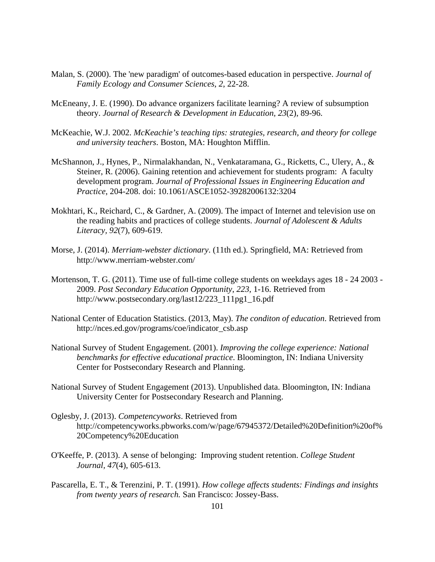- Malan, S. (2000). The 'new paradigm' of outcomes-based education in perspective. *Journal of Family Ecology and Consumer Sciences*, *2*, 22-28.
- McEneany, J. E. (1990). Do advance organizers facilitate learning? A review of subsumption theory. *Journal of Research & Development in Education, 23*(2), 89-96.
- McKeachie, W.J. 2002. *McKeachie's teaching tips: strategies, research, and theory for college and university teachers*. Boston, MA: Houghton Mifflin.
- McShannon, J., Hynes, P., Nirmalakhandan, N., Venkataramana, G., Ricketts, C., Ulery, A., & Steiner, R. (2006). Gaining retention and achievement for students program: A faculty development program. *Journal of Professional Issues in Engineering Education and Practice*, 204-208. doi: 10.1061/ASCE1052-39282006132:3204
- Mokhtari, K., Reichard, C., & Gardner, A. (2009). The impact of Internet and television use on the reading habits and practices of college students. *Journal of Adolescent & Adults Literacy, 92*(7), 609-619.
- Morse, J. (2014). *Merriam-webster dictionary*. (11th ed.). Springfield, MA: Retrieved from http://www.merriam-webster.com/
- Mortenson, T. G. (2011). Time use of full-time college students on weekdays ages 18 24 2003 2009. *Post Secondary Education Opportunity*, *223*, 1-16. Retrieved from http://www.postsecondary.org/last12/223\_111pg1\_16.pdf
- National Center of Education Statistics. (2013, May). *The conditon of education*. Retrieved from http://nces.ed.gov/programs/coe/indicator\_csb.asp
- National Survey of Student Engagement. (2001). *Improving the college experience: National benchmarks for effective educational practice*. Bloomington, IN: Indiana University Center for Postsecondary Research and Planning.
- National Survey of Student Engagement (2013). Unpublished data. Bloomington, IN: Indiana University Center for Postsecondary Research and Planning.
- Oglesby, J. (2013). *Competencyworks*. Retrieved from http://competencyworks.pbworks.com/w/page/67945372/Detailed%20Definition%20of% 20Competency%20Education
- O'Keeffe, P. (2013). A sense of belonging: Improving student retention. *College Student Journal, 47*(4), 605-613.
- Pascarella, E. T., & Terenzini, P. T. (1991). *How college affects students: Findings and insights from twenty years of research.* San Francisco: Jossey-Bass.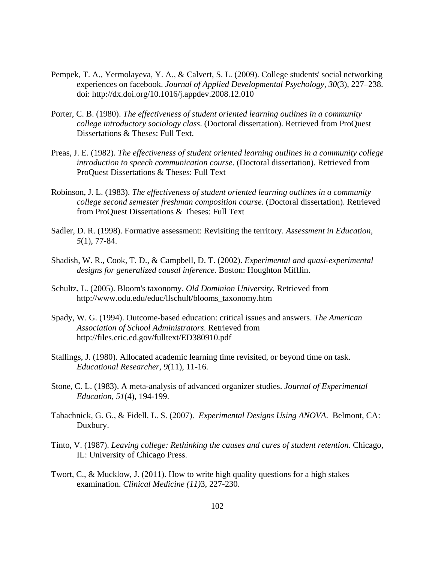- Pempek, T. A., Yermolayeva, Y. A., & Calvert, S. L. (2009). College students' social networking experiences on facebook. *Journal of Applied Developmental Psychology, 30*(3), 227–238. doi: http://dx.doi.org/10.1016/j.appdev.2008.12.010
- Porter, C. B. (1980). *The effectiveness of student oriented learning outlines in a community college introductory sociology class*. (Doctoral dissertation). Retrieved from ProQuest Dissertations & Theses: Full Text.
- Preas, J. E. (1982). *The effectiveness of student oriented learning outlines in a community college introduction to speech communication course*. (Doctoral dissertation). Retrieved from ProQuest Dissertations & Theses: Full Text
- Robinson, J. L. (1983). *The effectiveness of student oriented learning outlines in a community college second semester freshman composition course*. (Doctoral dissertation). Retrieved from ProQuest Dissertations & Theses: Full Text
- Sadler, D. R. (1998). Formative assessment: Revisiting the territory. *Assessment in Education, 5*(1), 77-84.
- Shadish, W. R., Cook, T. D., & Campbell, D. T. (2002). *Experimental and quasi-experimental designs for generalized causal inference*. Boston: Houghton Mifflin.
- Schultz, L. (2005). Bloom's taxonomy. *Old Dominion University.* Retrieved from http://www.odu.edu/educ/llschult/blooms\_taxonomy.htm
- Spady, W. G. (1994). Outcome-based education: critical issues and answers. *The American Association of School Administrators*. Retrieved from http://files.eric.ed.gov/fulltext/ED380910.pdf
- Stallings, J. (1980). Allocated academic learning time revisited, or beyond time on task. *Educational Researcher, 9*(11), 11-16.
- Stone, C. L. (1983). A meta-analysis of advanced organizer studies. *Journal of Experimental Education, 51*(4), 194-199.
- Tabachnick, G. G., & Fidell, L. S. (2007). *Experimental Designs Using ANOVA*. Belmont, CA: Duxbury.
- Tinto, V. (1987). *Leaving college: Rethinking the causes and cures of student retention*. Chicago, IL: University of Chicago Press.
- Twort, C., & Mucklow, J. (2011). How to write high quality questions for a high stakes examination. *Clinical Medicine (11)*3, 227-230.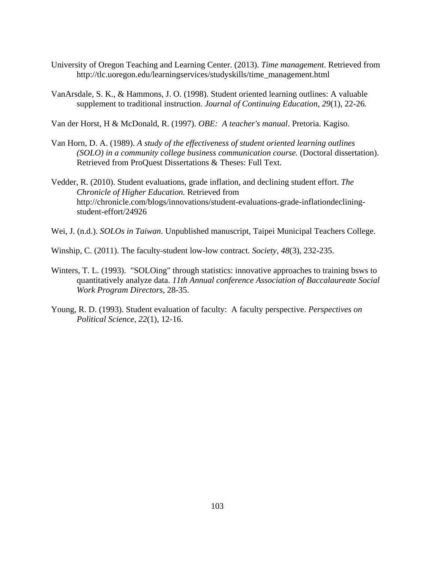- University of Oregon Teaching and Learning Center. (2013). *Time management*. Retrieved from http://tlc.uoregon.edu/learningservices/studyskills/time\_management.html
- VanArsdale, S. K., & Hammons, J. O. (1998). Student oriented learning outlines: A valuable supplement to traditional instruction. *Journal of Continuing Education*, *29*(1), 22-26.

Van der Horst, H & McDonald, R. (1997). *OBE: A teacher's manual*. Pretoria. Kagiso.

- Van Horn, D. A. (1989). *A study of the effectiveness of student oriented learning outlines (SOLO) in a community college business communication course.* (Doctoral dissertation). Retrieved from ProQuest Dissertations & Theses: Full Text.
- Vedder, R. (2010). Student evaluations, grade inflation, and declining student effort. *The Chronicle of Higher Education.* Retrieved from http://chronicle.com/blogs/innovations/student-evaluations-grade-inflationdecliningstudent-effort/24926
- Wei, J. (n.d.). *SOLOs in Taiwan*. Unpublished manuscript, Taipei Municipal Teachers College.
- Winship, C. (2011). The faculty-student low-low contract. *Society*, *48*(3), 232-235.
- Winters, T. L. (1993). "SOLOing" through statistics: innovative approaches to training bsws to quantitatively analyze data. *11th Annual conference Association of Baccalaureate Social Work Program Directors*, 28-35.
- Young, R. D. (1993). Student evaluation of faculty: A faculty perspective. *Perspectives on Political Science, 22*(1), 12-16.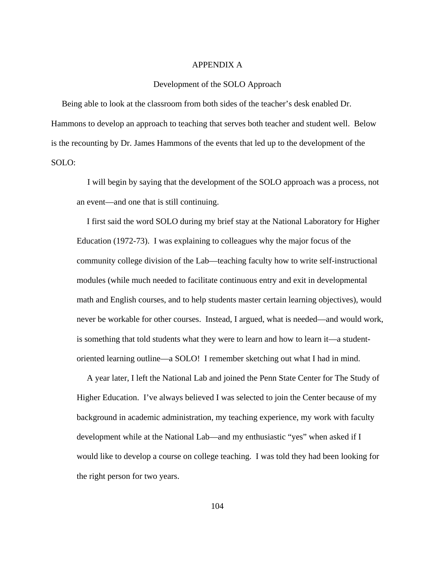#### APPENDIX A

#### Development of the SOLO Approach

 Being able to look at the classroom from both sides of the teacher's desk enabled Dr. Hammons to develop an approach to teaching that serves both teacher and student well. Below is the recounting by Dr. James Hammons of the events that led up to the development of the SOLO:

 I will begin by saying that the development of the SOLO approach was a process, not an event—and one that is still continuing.

I first said the word SOLO during my brief stay at the National Laboratory for Higher Education (1972-73). I was explaining to colleagues why the major focus of the community college division of the Lab—teaching faculty how to write self-instructional modules (while much needed to facilitate continuous entry and exit in developmental math and English courses, and to help students master certain learning objectives), would never be workable for other courses. Instead, I argued, what is needed—and would work, is something that told students what they were to learn and how to learn it—a studentoriented learning outline—a SOLO! I remember sketching out what I had in mind.

A year later, I left the National Lab and joined the Penn State Center for The Study of Higher Education. I've always believed I was selected to join the Center because of my background in academic administration, my teaching experience, my work with faculty development while at the National Lab—and my enthusiastic "yes" when asked if I would like to develop a course on college teaching. I was told they had been looking for the right person for two years.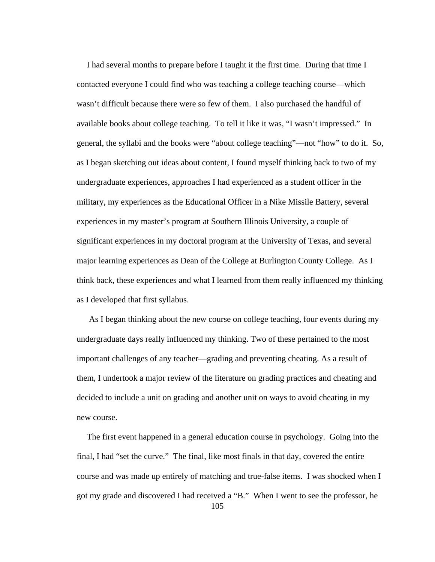I had several months to prepare before I taught it the first time. During that time I contacted everyone I could find who was teaching a college teaching course—which wasn't difficult because there were so few of them. I also purchased the handful of available books about college teaching. To tell it like it was, "I wasn't impressed." In general, the syllabi and the books were "about college teaching"—not "how" to do it. So, as I began sketching out ideas about content, I found myself thinking back to two of my undergraduate experiences, approaches I had experienced as a student officer in the military, my experiences as the Educational Officer in a Nike Missile Battery, several experiences in my master's program at Southern Illinois University, a couple of significant experiences in my doctoral program at the University of Texas, and several major learning experiences as Dean of the College at Burlington County College. As I think back, these experiences and what I learned from them really influenced my thinking as I developed that first syllabus.

As I began thinking about the new course on college teaching, four events during my undergraduate days really influenced my thinking. Two of these pertained to the most important challenges of any teacher—grading and preventing cheating. As a result of them, I undertook a major review of the literature on grading practices and cheating and decided to include a unit on grading and another unit on ways to avoid cheating in my new course.

105 The first event happened in a general education course in psychology. Going into the final, I had "set the curve." The final, like most finals in that day, covered the entire course and was made up entirely of matching and true-false items. I was shocked when I got my grade and discovered I had received a "B." When I went to see the professor, he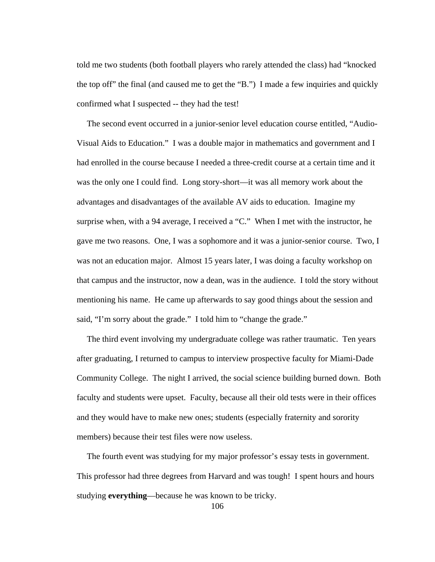told me two students (both football players who rarely attended the class) had "knocked the top off" the final (and caused me to get the "B.") I made a few inquiries and quickly confirmed what I suspected -- they had the test!

The second event occurred in a junior-senior level education course entitled, "Audio-Visual Aids to Education." I was a double major in mathematics and government and I had enrolled in the course because I needed a three-credit course at a certain time and it was the only one I could find. Long story-short—it was all memory work about the advantages and disadvantages of the available AV aids to education. Imagine my surprise when, with a 94 average, I received a "C." When I met with the instructor, he gave me two reasons. One, I was a sophomore and it was a junior-senior course. Two, I was not an education major. Almost 15 years later, I was doing a faculty workshop on that campus and the instructor, now a dean, was in the audience. I told the story without mentioning his name. He came up afterwards to say good things about the session and said, "I'm sorry about the grade." I told him to "change the grade."

The third event involving my undergraduate college was rather traumatic. Ten years after graduating, I returned to campus to interview prospective faculty for Miami-Dade Community College. The night I arrived, the social science building burned down. Both faculty and students were upset. Faculty, because all their old tests were in their offices and they would have to make new ones; students (especially fraternity and sorority members) because their test files were now useless.

The fourth event was studying for my major professor's essay tests in government. This professor had three degrees from Harvard and was tough! I spent hours and hours studying **everything**—because he was known to be tricky.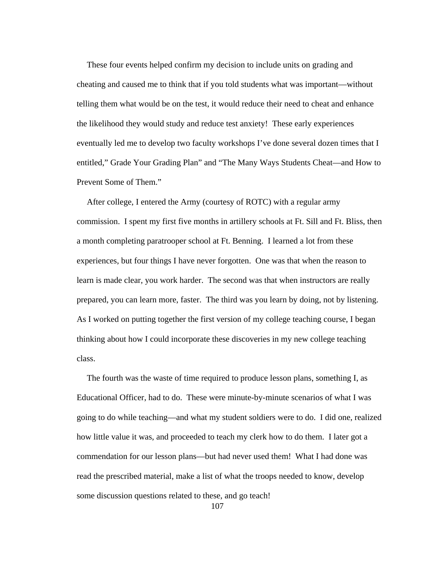These four events helped confirm my decision to include units on grading and cheating and caused me to think that if you told students what was important—without telling them what would be on the test, it would reduce their need to cheat and enhance the likelihood they would study and reduce test anxiety! These early experiences eventually led me to develop two faculty workshops I've done several dozen times that I entitled," Grade Your Grading Plan" and "The Many Ways Students Cheat—and How to Prevent Some of Them."

After college, I entered the Army (courtesy of ROTC) with a regular army commission. I spent my first five months in artillery schools at Ft. Sill and Ft. Bliss, then a month completing paratrooper school at Ft. Benning. I learned a lot from these experiences, but four things I have never forgotten. One was that when the reason to learn is made clear, you work harder. The second was that when instructors are really prepared, you can learn more, faster. The third was you learn by doing, not by listening. As I worked on putting together the first version of my college teaching course, I began thinking about how I could incorporate these discoveries in my new college teaching class.

The fourth was the waste of time required to produce lesson plans, something I, as Educational Officer, had to do. These were minute-by-minute scenarios of what I was going to do while teaching—and what my student soldiers were to do. I did one, realized how little value it was, and proceeded to teach my clerk how to do them. I later got a commendation for our lesson plans—but had never used them! What I had done was read the prescribed material, make a list of what the troops needed to know, develop some discussion questions related to these, and go teach!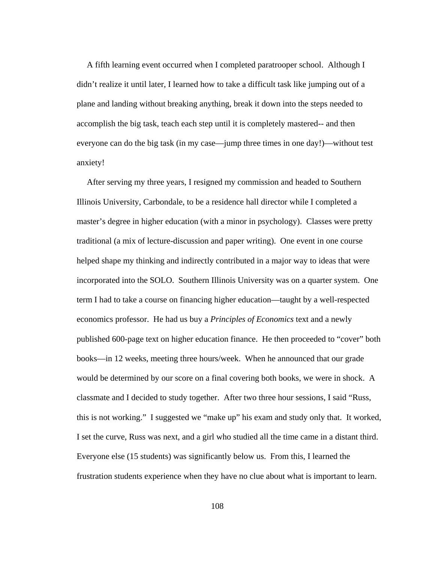A fifth learning event occurred when I completed paratrooper school. Although I didn't realize it until later, I learned how to take a difficult task like jumping out of a plane and landing without breaking anything, break it down into the steps needed to accomplish the big task, teach each step until it is completely mastered-- and then everyone can do the big task (in my case—jump three times in one day!)—without test anxiety!

After serving my three years, I resigned my commission and headed to Southern Illinois University, Carbondale, to be a residence hall director while I completed a master's degree in higher education (with a minor in psychology). Classes were pretty traditional (a mix of lecture-discussion and paper writing). One event in one course helped shape my thinking and indirectly contributed in a major way to ideas that were incorporated into the SOLO. Southern Illinois University was on a quarter system. One term I had to take a course on financing higher education—taught by a well-respected economics professor. He had us buy a *Principles of Economics* text and a newly published 600-page text on higher education finance. He then proceeded to "cover" both books—in 12 weeks, meeting three hours/week. When he announced that our grade would be determined by our score on a final covering both books, we were in shock. A classmate and I decided to study together. After two three hour sessions, I said "Russ, this is not working." I suggested we "make up" his exam and study only that. It worked, I set the curve, Russ was next, and a girl who studied all the time came in a distant third. Everyone else (15 students) was significantly below us. From this, I learned the frustration students experience when they have no clue about what is important to learn.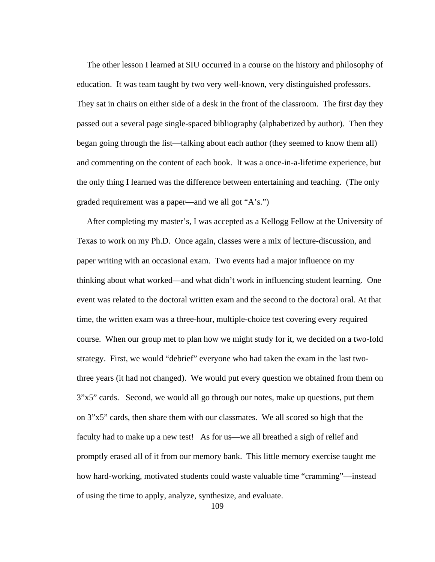The other lesson I learned at SIU occurred in a course on the history and philosophy of education. It was team taught by two very well-known, very distinguished professors. They sat in chairs on either side of a desk in the front of the classroom. The first day they passed out a several page single-spaced bibliography (alphabetized by author). Then they began going through the list—talking about each author (they seemed to know them all) and commenting on the content of each book. It was a once-in-a-lifetime experience, but the only thing I learned was the difference between entertaining and teaching. (The only graded requirement was a paper—and we all got "A's.")

After completing my master's, I was accepted as a Kellogg Fellow at the University of Texas to work on my Ph.D. Once again, classes were a mix of lecture-discussion, and paper writing with an occasional exam. Two events had a major influence on my thinking about what worked—and what didn't work in influencing student learning. One event was related to the doctoral written exam and the second to the doctoral oral. At that time, the written exam was a three-hour, multiple-choice test covering every required course. When our group met to plan how we might study for it, we decided on a two-fold strategy. First, we would "debrief" everyone who had taken the exam in the last twothree years (it had not changed). We would put every question we obtained from them on 3"x5" cards. Second, we would all go through our notes, make up questions, put them on 3"x5" cards, then share them with our classmates. We all scored so high that the faculty had to make up a new test! As for us—we all breathed a sigh of relief and promptly erased all of it from our memory bank. This little memory exercise taught me how hard-working, motivated students could waste valuable time "cramming"—instead of using the time to apply, analyze, synthesize, and evaluate.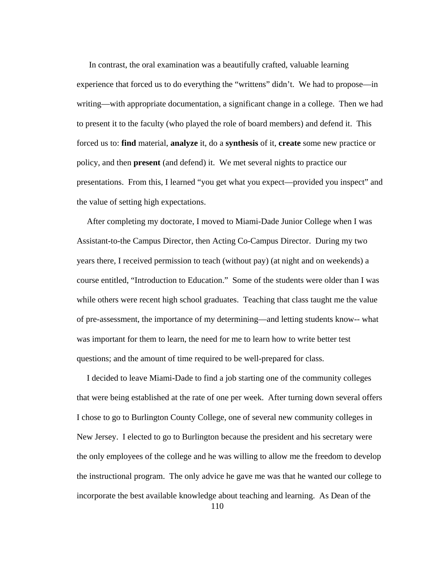In contrast, the oral examination was a beautifully crafted, valuable learning experience that forced us to do everything the "writtens" didn't. We had to propose—in writing—with appropriate documentation, a significant change in a college. Then we had to present it to the faculty (who played the role of board members) and defend it. This forced us to: **find** material, **analyze** it, do a **synthesis** of it, **create** some new practice or policy, and then **present** (and defend) it. We met several nights to practice our presentations. From this, I learned "you get what you expect—provided you inspect" and the value of setting high expectations.

After completing my doctorate, I moved to Miami-Dade Junior College when I was Assistant-to-the Campus Director, then Acting Co-Campus Director. During my two years there, I received permission to teach (without pay) (at night and on weekends) a course entitled, "Introduction to Education." Some of the students were older than I was while others were recent high school graduates. Teaching that class taught me the value of pre-assessment, the importance of my determining—and letting students know-- what was important for them to learn, the need for me to learn how to write better test questions; and the amount of time required to be well-prepared for class.

I decided to leave Miami-Dade to find a job starting one of the community colleges that were being established at the rate of one per week. After turning down several offers I chose to go to Burlington County College, one of several new community colleges in New Jersey. I elected to go to Burlington because the president and his secretary were the only employees of the college and he was willing to allow me the freedom to develop the instructional program. The only advice he gave me was that he wanted our college to incorporate the best available knowledge about teaching and learning. As Dean of the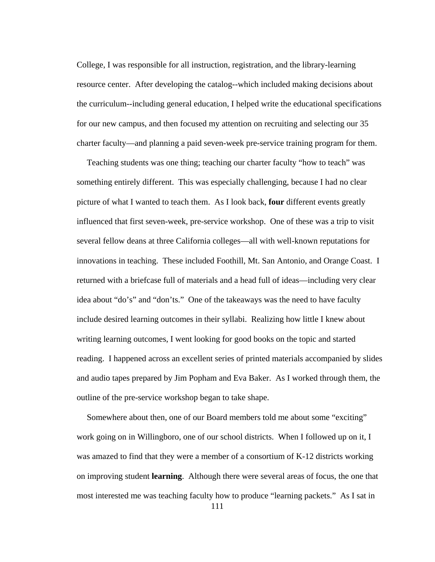College, I was responsible for all instruction, registration, and the library-learning resource center. After developing the catalog--which included making decisions about the curriculum--including general education, I helped write the educational specifications for our new campus, and then focused my attention on recruiting and selecting our 35 charter faculty—and planning a paid seven-week pre-service training program for them.

Teaching students was one thing; teaching our charter faculty "how to teach" was something entirely different. This was especially challenging, because I had no clear picture of what I wanted to teach them. As I look back, **four** different events greatly influenced that first seven-week, pre-service workshop. One of these was a trip to visit several fellow deans at three California colleges—all with well-known reputations for innovations in teaching. These included Foothill, Mt. San Antonio, and Orange Coast. I returned with a briefcase full of materials and a head full of ideas—including very clear idea about "do's" and "don'ts." One of the takeaways was the need to have faculty include desired learning outcomes in their syllabi. Realizing how little I knew about writing learning outcomes, I went looking for good books on the topic and started reading. I happened across an excellent series of printed materials accompanied by slides and audio tapes prepared by Jim Popham and Eva Baker. As I worked through them, the outline of the pre-service workshop began to take shape.

Somewhere about then, one of our Board members told me about some "exciting" work going on in Willingboro, one of our school districts. When I followed up on it, I was amazed to find that they were a member of a consortium of K-12 districts working on improving student **learning**. Although there were several areas of focus, the one that most interested me was teaching faculty how to produce "learning packets." As I sat in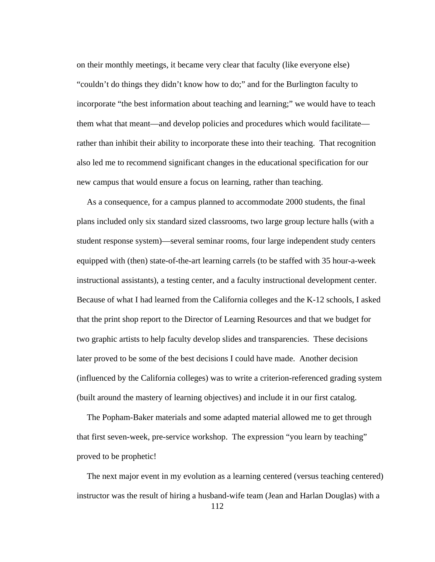on their monthly meetings, it became very clear that faculty (like everyone else) "couldn't do things they didn't know how to do;" and for the Burlington faculty to incorporate "the best information about teaching and learning;" we would have to teach them what that meant—and develop policies and procedures which would facilitate rather than inhibit their ability to incorporate these into their teaching. That recognition also led me to recommend significant changes in the educational specification for our new campus that would ensure a focus on learning, rather than teaching.

As a consequence, for a campus planned to accommodate 2000 students, the final plans included only six standard sized classrooms, two large group lecture halls (with a student response system)—several seminar rooms, four large independent study centers equipped with (then) state-of-the-art learning carrels (to be staffed with 35 hour-a-week instructional assistants), a testing center, and a faculty instructional development center. Because of what I had learned from the California colleges and the K-12 schools, I asked that the print shop report to the Director of Learning Resources and that we budget for two graphic artists to help faculty develop slides and transparencies. These decisions later proved to be some of the best decisions I could have made. Another decision (influenced by the California colleges) was to write a criterion-referenced grading system (built around the mastery of learning objectives) and include it in our first catalog.

The Popham-Baker materials and some adapted material allowed me to get through that first seven-week, pre-service workshop. The expression "you learn by teaching" proved to be prophetic!

The next major event in my evolution as a learning centered (versus teaching centered) instructor was the result of hiring a husband-wife team (Jean and Harlan Douglas) with a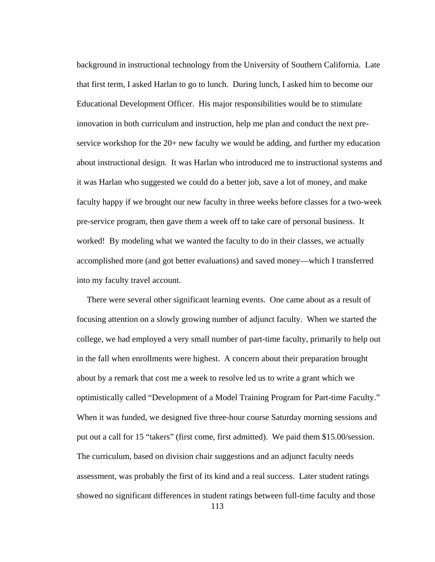background in instructional technology from the University of Southern California. Late that first term, I asked Harlan to go to lunch. During lunch, I asked him to become our Educational Development Officer. His major responsibilities would be to stimulate innovation in both curriculum and instruction, help me plan and conduct the next preservice workshop for the 20+ new faculty we would be adding, and further my education about instructional design. It was Harlan who introduced me to instructional systems and it was Harlan who suggested we could do a better job, save a lot of money, and make faculty happy if we brought our new faculty in three weeks before classes for a two-week pre-service program, then gave them a week off to take care of personal business. It worked! By modeling what we wanted the faculty to do in their classes, we actually accomplished more (and got better evaluations) and saved money—which I transferred into my faculty travel account.

There were several other significant learning events. One came about as a result of focusing attention on a slowly growing number of adjunct faculty. When we started the college, we had employed a very small number of part-time faculty, primarily to help out in the fall when enrollments were highest. A concern about their preparation brought about by a remark that cost me a week to resolve led us to write a grant which we optimistically called "Development of a Model Training Program for Part-time Faculty." When it was funded, we designed five three-hour course Saturday morning sessions and put out a call for 15 "takers" (first come, first admitted). We paid them \$15.00/session. The curriculum, based on division chair suggestions and an adjunct faculty needs assessment, was probably the first of its kind and a real success. Later student ratings showed no significant differences in student ratings between full-time faculty and those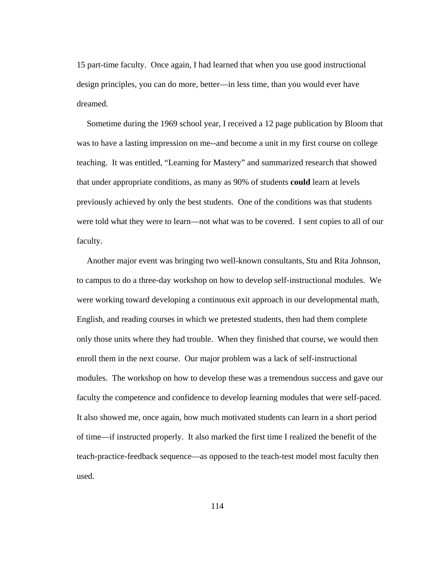15 part-time faculty. Once again, I had learned that when you use good instructional design principles, you can do more, better—in less time, than you would ever have dreamed.

Sometime during the 1969 school year, I received a 12 page publication by Bloom that was to have a lasting impression on me--and become a unit in my first course on college teaching. It was entitled, "Learning for Mastery" and summarized research that showed that under appropriate conditions, as many as 90% of students **could** learn at levels previously achieved by only the best students. One of the conditions was that students were told what they were to learn—not what was to be covered. I sent copies to all of our faculty.

Another major event was bringing two well-known consultants, Stu and Rita Johnson, to campus to do a three-day workshop on how to develop self-instructional modules. We were working toward developing a continuous exit approach in our developmental math, English, and reading courses in which we pretested students, then had them complete only those units where they had trouble. When they finished that course, we would then enroll them in the next course. Our major problem was a lack of self-instructional modules. The workshop on how to develop these was a tremendous success and gave our faculty the competence and confidence to develop learning modules that were self-paced. It also showed me, once again, how much motivated students can learn in a short period of time—if instructed properly. It also marked the first time I realized the benefit of the teach-practice-feedback sequence—as opposed to the teach-test model most faculty then used.

114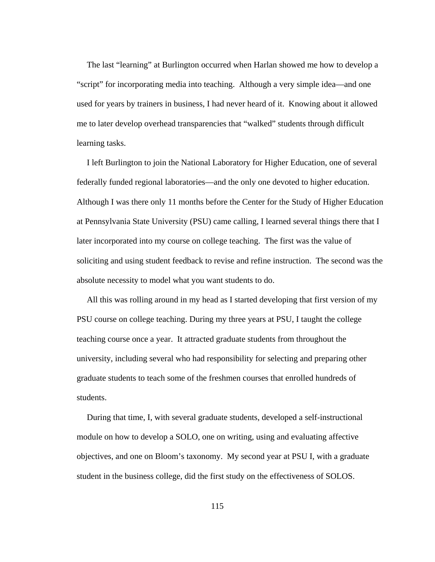The last "learning" at Burlington occurred when Harlan showed me how to develop a "script" for incorporating media into teaching. Although a very simple idea—and one used for years by trainers in business, I had never heard of it. Knowing about it allowed me to later develop overhead transparencies that "walked" students through difficult learning tasks.

I left Burlington to join the National Laboratory for Higher Education, one of several federally funded regional laboratories—and the only one devoted to higher education. Although I was there only 11 months before the Center for the Study of Higher Education at Pennsylvania State University (PSU) came calling, I learned several things there that I later incorporated into my course on college teaching. The first was the value of soliciting and using student feedback to revise and refine instruction. The second was the absolute necessity to model what you want students to do.

All this was rolling around in my head as I started developing that first version of my PSU course on college teaching. During my three years at PSU, I taught the college teaching course once a year. It attracted graduate students from throughout the university, including several who had responsibility for selecting and preparing other graduate students to teach some of the freshmen courses that enrolled hundreds of students.

During that time, I, with several graduate students, developed a self-instructional module on how to develop a SOLO, one on writing, using and evaluating affective objectives, and one on Bloom's taxonomy. My second year at PSU I, with a graduate student in the business college, did the first study on the effectiveness of SOLOS.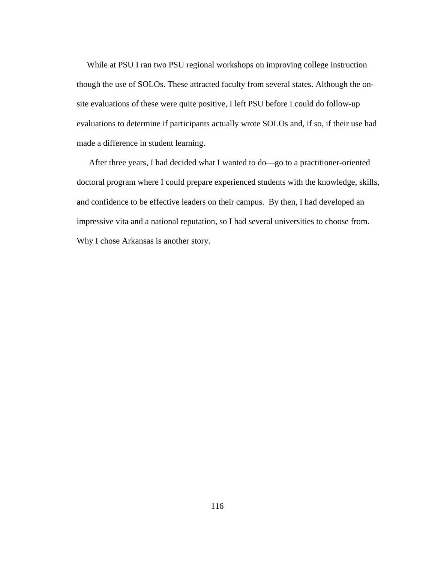While at PSU I ran two PSU regional workshops on improving college instruction though the use of SOLOs. These attracted faculty from several states. Although the onsite evaluations of these were quite positive, I left PSU before I could do follow-up evaluations to determine if participants actually wrote SOLOs and, if so, if their use had made a difference in student learning.

After three years, I had decided what I wanted to do—go to a practitioner-oriented doctoral program where I could prepare experienced students with the knowledge, skills, and confidence to be effective leaders on their campus. By then, I had developed an impressive vita and a national reputation, so I had several universities to choose from. Why I chose Arkansas is another story.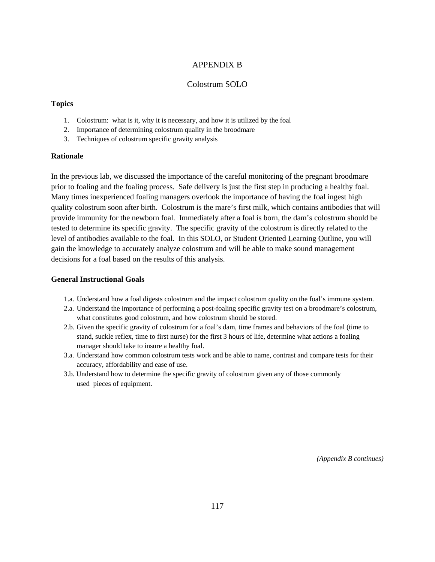### APPENDIX B

### Colostrum SOLO

#### **Topics**

- 1. Colostrum: what is it, why it is necessary, and how it is utilized by the foal
- 2. Importance of determining colostrum quality in the broodmare
- 3. Techniques of colostrum specific gravity analysis

### **Rationale**

In the previous lab, we discussed the importance of the careful monitoring of the pregnant broodmare prior to foaling and the foaling process. Safe delivery is just the first step in producing a healthy foal. Many times inexperienced foaling managers overlook the importance of having the foal ingest high quality colostrum soon after birth. Colostrum is the mare's first milk, which contains antibodies that will provide immunity for the newborn foal. Immediately after a foal is born, the dam's colostrum should be tested to determine its specific gravity. The specific gravity of the colostrum is directly related to the level of antibodies available to the foal. In this SOLO, or Student Oriented Learning Outline, you will gain the knowledge to accurately analyze colostrum and will be able to make sound management decisions for a foal based on the results of this analysis.

#### **General Instructional Goals**

- 1.a. Understand how a foal digests colostrum and the impact colostrum quality on the foal's immune system.
- 2.a. Understand the importance of performing a post-foaling specific gravity test on a broodmare's colostrum, what constitutes good colostrum, and how colostrum should be stored.
- 2.b. Given the specific gravity of colostrum for a foal's dam, time frames and behaviors of the foal (time to stand, suckle reflex, time to first nurse) for the first 3 hours of life, determine what actions a foaling manager should take to insure a healthy foal.
- 3.a. Understand how common colostrum tests work and be able to name, contrast and compare tests for their accuracy, affordability and ease of use.
- 3.b. Understand how to determine the specific gravity of colostrum given any of those commonly used pieces of equipment.

*(Appendix B continues)*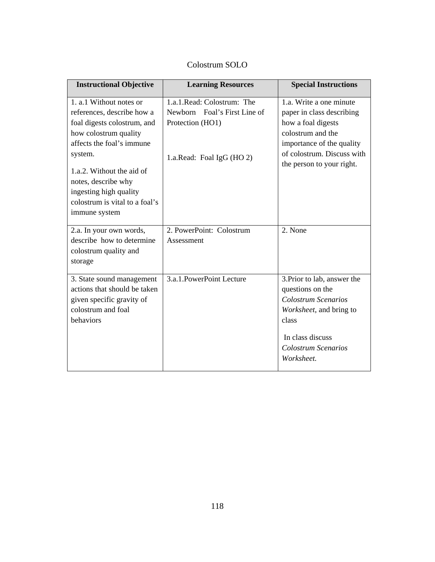| <b>Instructional Objective</b>                                                                                                                                                                                                                                                         | <b>Learning Resources</b>                                                                                    | <b>Special Instructions</b>                                                                                                                                                             |
|----------------------------------------------------------------------------------------------------------------------------------------------------------------------------------------------------------------------------------------------------------------------------------------|--------------------------------------------------------------------------------------------------------------|-----------------------------------------------------------------------------------------------------------------------------------------------------------------------------------------|
| 1. a.1 Without notes or<br>references, describe how a<br>foal digests colostrum, and<br>how colostrum quality<br>affects the foal's immune<br>system.<br>1.a.2. Without the aid of<br>notes, describe why<br>ingesting high quality<br>colostrum is vital to a foal's<br>immune system | 1.a.1. Read: Colostrum: The<br>Newborn Foal's First Line of<br>Protection (HO1)<br>1.a.Read: Foal IgG (HO 2) | 1.a. Write a one minute<br>paper in class describing<br>how a foal digests<br>colostrum and the<br>importance of the quality<br>of colostrum. Discuss with<br>the person to your right. |
| 2.a. In your own words,<br>describe how to determine<br>colostrum quality and<br>storage                                                                                                                                                                                               | 2. PowerPoint: Colostrum<br>Assessment                                                                       | 2. None                                                                                                                                                                                 |
| 3. State sound management<br>actions that should be taken<br>given specific gravity of<br>colostrum and foal<br>behaviors                                                                                                                                                              | 3.a.1. PowerPoint Lecture                                                                                    | 3. Prior to lab, answer the<br>questions on the<br>Colostrum Scenarios<br>Worksheet, and bring to<br>class<br>In class discuss<br>Colostrum Scenarios<br>Worksheet.                     |

# Colostrum SOLO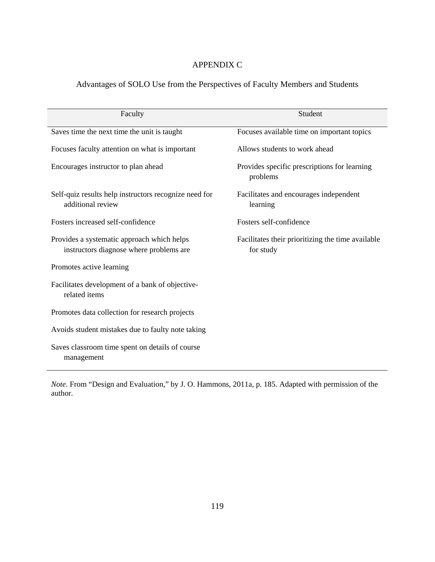# APPENDIX C

# Advantages of SOLO Use from the Perspectives of Faculty Members and Students

| Faculty                                                                               | Student                                                        |  |  |  |
|---------------------------------------------------------------------------------------|----------------------------------------------------------------|--|--|--|
| Saves time the next time the unit is taught                                           | Focuses available time on important topics                     |  |  |  |
| Focuses faculty attention on what is important                                        | Allows students to work ahead                                  |  |  |  |
| Encourages instructor to plan ahead                                                   | Provides specific prescriptions for learning<br>problems       |  |  |  |
| Self-quiz results help instructors recognize need for<br>additional review            | Facilitates and encourages independent<br>learning             |  |  |  |
| Fosters increased self-confidence                                                     | Fosters self-confidence                                        |  |  |  |
| Provides a systematic approach which helps<br>instructors diagnose where problems are | Facilitates their prioritizing the time available<br>for study |  |  |  |
| Promotes active learning                                                              |                                                                |  |  |  |
| Facilitates development of a bank of objective-<br>related items                      |                                                                |  |  |  |
| Promotes data collection for research projects                                        |                                                                |  |  |  |
| Avoids student mistakes due to faulty note taking                                     |                                                                |  |  |  |
| Saves classroom time spent on details of course<br>management                         |                                                                |  |  |  |

*Note.* From "Design and Evaluation," by J. O. Hammons, 2011a, p. 185. Adapted with permission of the author.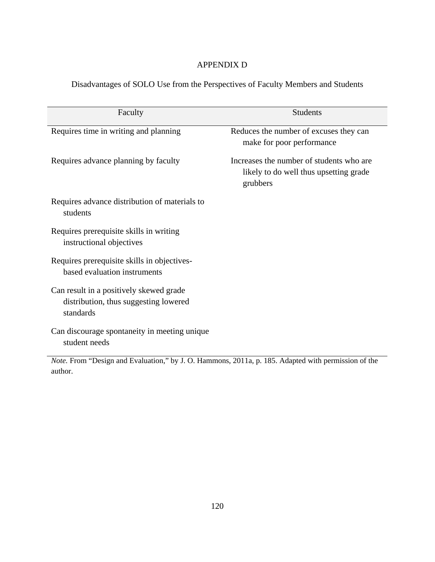# APPENDIX D

Disadvantages of SOLO Use from the Perspectives of Faculty Members and Students

| Faculty                                                                                             | <b>Students</b>                                                                                |
|-----------------------------------------------------------------------------------------------------|------------------------------------------------------------------------------------------------|
| Requires time in writing and planning                                                               | Reduces the number of excuses they can<br>make for poor performance                            |
| Requires advance planning by faculty                                                                | Increases the number of students who are<br>likely to do well thus upsetting grade<br>grubbers |
| Requires advance distribution of materials to<br>students                                           |                                                                                                |
| Requires prerequisite skills in writing<br>instructional objectives                                 |                                                                                                |
| Requires prerequisite skills in objectives-<br>based evaluation instruments                         |                                                                                                |
| Can result in a positively skewed grade<br>distribution, thus suggesting lowered<br>standards       |                                                                                                |
| Can discourage spontaneity in meeting unique<br>student needs                                       |                                                                                                |
| $Note From "Design and Evaluation" by I. O. Homman's 2011a, n. 185. Adaptad with permission of the$ |                                                                                                |

*Note.* From "Design and Evaluation," by J. O. Hammons, 2011a, p. 185. Adapted with permission of the author.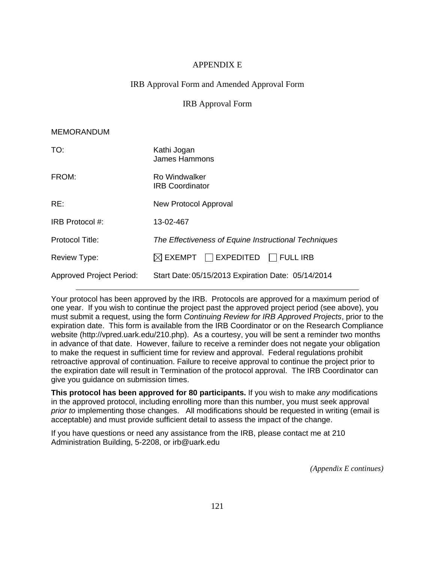## APPENDIX E

## IRB Approval Form and Amended Approval Form

### IRB Approval Form

### MEMORANDUM

| TO:                             | Kathi Jogan<br>James Hammons                                |  |  |
|---------------------------------|-------------------------------------------------------------|--|--|
| FROM:                           | <b>Ro Windwalker</b><br><b>IRB Coordinator</b>              |  |  |
| RE:                             | New Protocol Approval                                       |  |  |
| IRB Protocol #:                 | 13-02-467                                                   |  |  |
| Protocol Title:                 | The Effectiveness of Equine Instructional Techniques        |  |  |
| Review Type:                    | $\boxtimes$ exempt $\;\;\Box$ expedited $\;\;\Box$ full irb |  |  |
| <b>Approved Project Period:</b> | Start Date: 05/15/2013 Expiration Date: 05/14/2014          |  |  |

Your protocol has been approved by the IRB. Protocols are approved for a maximum period of one year. If you wish to continue the project past the approved project period (see above), you must submit a request, using the form *Continuing Review for IRB Approved Projects*, prior to the expiration date. This form is available from the IRB Coordinator or on the Research Compliance website (http://vpred.uark.edu/210.php). As a courtesy, you will be sent a reminder two months in advance of that date. However, failure to receive a reminder does not negate your obligation to make the request in sufficient time for review and approval. Federal regulations prohibit retroactive approval of continuation. Failure to receive approval to continue the project prior to the expiration date will result in Termination of the protocol approval. The IRB Coordinator can give you guidance on submission times.

**This protocol has been approved for 80 participants.** If you wish to make *any* modifications in the approved protocol, including enrolling more than this number, you must seek approval *prior to* implementing those changes. All modifications should be requested in writing (email is acceptable) and must provide sufficient detail to assess the impact of the change.

If you have questions or need any assistance from the IRB, please contact me at 210 Administration Building, 5-2208, or irb@uark.edu

*(Appendix E continues)*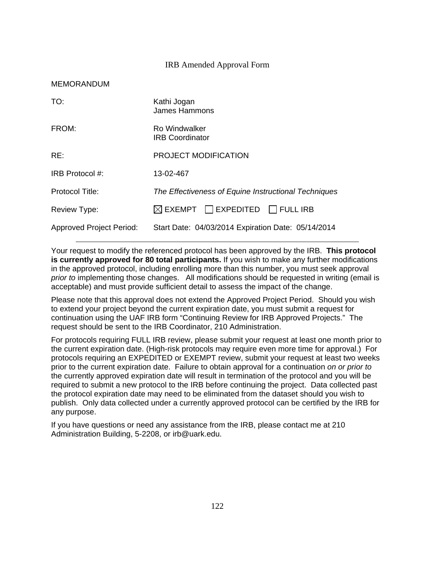### IRB Amended Approval Form

| <b>MEMORANDUM</b>               |                                                      |  |  |
|---------------------------------|------------------------------------------------------|--|--|
| TO:                             | Kathi Jogan<br>James Hammons                         |  |  |
| FROM:                           | Ro Windwalker<br><b>IRB Coordinator</b>              |  |  |
| RE:                             | <b>PROJECT MODIFICATION</b>                          |  |  |
| IRB Protocol #:                 | 13-02-467                                            |  |  |
| Protocol Title:                 | The Effectiveness of Equine Instructional Techniques |  |  |
| <b>Review Type:</b>             | $\boxtimes$ exempt $\Box$ expedited $\Box$ full irb  |  |  |
| <b>Approved Project Period:</b> | Start Date: 04/03/2014 Expiration Date: 05/14/2014   |  |  |

 $M$ 

Your request to modify the referenced protocol has been approved by the IRB. **This protocol is currently approved for 80 total participants.** If you wish to make any further modifications in the approved protocol, including enrolling more than this number, you must seek approval *prior to* implementing those changes. All modifications should be requested in writing (email is acceptable) and must provide sufficient detail to assess the impact of the change.

Please note that this approval does not extend the Approved Project Period. Should you wish to extend your project beyond the current expiration date, you must submit a request for continuation using the UAF IRB form "Continuing Review for IRB Approved Projects." The request should be sent to the IRB Coordinator, 210 Administration.

For protocols requiring FULL IRB review, please submit your request at least one month prior to the current expiration date. (High-risk protocols may require even more time for approval.) For protocols requiring an EXPEDITED or EXEMPT review, submit your request at least two weeks prior to the current expiration date. Failure to obtain approval for a continuation *on or prior to* the currently approved expiration date will result in termination of the protocol and you will be required to submit a new protocol to the IRB before continuing the project. Data collected past the protocol expiration date may need to be eliminated from the dataset should you wish to publish. Only data collected under a currently approved protocol can be certified by the IRB for any purpose.

If you have questions or need any assistance from the IRB, please contact me at 210 Administration Building, 5-2208, or irb@uark.edu.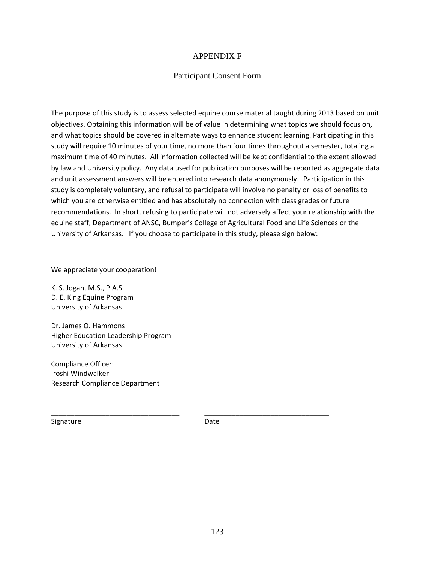## APPENDIX F

### Participant Consent Form

The purpose of this study is to assess selected equine course material taught during 2013 based on unit objectives. Obtaining this information will be of value in determining what topics we should focus on, and what topics should be covered in alternate ways to enhance student learning. Participating in this study will require 10 minutes of your time, no more than four times throughout a semester, totaling a maximum time of 40 minutes.All information collected will be kept confidential to the extent allowed by law and University policy. Any data used for publication purposes will be reported as aggregate data and unit assessment answers will be entered into research data anonymously. Participation in this study is completely voluntary, and refusal to participate will involve no penalty or loss of benefits to which you are otherwise entitled and has absolutely no connection with class grades or future recommendations. In short, refusing to participate will not adversely affect your relationship with the equine staff, Department of ANSC, Bumper's College of Agricultural Food and Life Sciences or the University of Arkansas. If you choose to participate in this study, please sign below:

We appreciate your cooperation!

K. S. Jogan, M.S., P.A.S. D. E. King Equine Program University of Arkansas

Dr. James O. Hammons Higher Education Leadership Program University of Arkansas

Compliance Officer: Iroshi Windwalker Research Compliance Department

Signature Date

\_\_\_\_\_\_\_\_\_\_\_\_\_\_\_\_\_\_\_\_\_\_\_\_\_\_\_\_\_\_\_\_\_ \_\_\_\_\_\_\_\_\_\_\_\_\_\_\_\_\_\_\_\_\_\_\_\_\_\_\_\_\_\_\_\_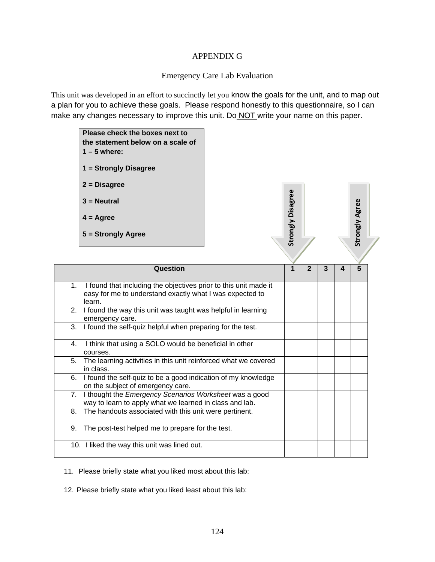## APPENDIX G

## Emergency Care Lab Evaluation

This unit was developed in an effort to succinctly let you know the goals for the unit, and to map out a plan for you to achieve these goals. Please respond honestly to this questionnaire, so I can make any changes necessary to improve this unit. Do NOT write your name on this paper.

|    | Please check the boxes next to<br>the statement below on a scale of<br>$1 - 5$ where:<br>1 = Strongly Disagree<br>$2 = Disagree$       |  |                   |                |                         |   |                         |  |
|----|----------------------------------------------------------------------------------------------------------------------------------------|--|-------------------|----------------|-------------------------|---|-------------------------|--|
|    | $3 =$ Neutral                                                                                                                          |  |                   |                |                         |   |                         |  |
|    | $4 = \text{Agree}$                                                                                                                     |  |                   |                |                         |   |                         |  |
|    | 5 = Strongly Agree                                                                                                                     |  | Strongly Disagree |                |                         |   | Strongly Agree          |  |
|    |                                                                                                                                        |  |                   |                |                         |   |                         |  |
|    | Question                                                                                                                               |  | $\overline{1}$    | $\overline{2}$ | $\overline{\mathbf{3}}$ | 4 | $\overline{\mathbf{5}}$ |  |
| 1. | I found that including the objectives prior to this unit made it<br>easy for me to understand exactly what I was expected to<br>learn. |  |                   |                |                         |   |                         |  |
| 2. | I found the way this unit was taught was helpful in learning<br>emergency care.                                                        |  |                   |                |                         |   |                         |  |
| 3. | I found the self-quiz helpful when preparing for the test.                                                                             |  |                   |                |                         |   |                         |  |
| 4. | I think that using a SOLO would be beneficial in other<br>courses.                                                                     |  |                   |                |                         |   |                         |  |
| 5. | The learning activities in this unit reinforced what we covered<br>in class.                                                           |  |                   |                |                         |   |                         |  |
| 6. | I found the self-quiz to be a good indication of my knowledge<br>on the subject of emergency care.                                     |  |                   |                |                         |   |                         |  |
| 7. | I thought the Emergency Scenarios Worksheet was a good<br>way to learn to apply what we learned in class and lab.                      |  |                   |                |                         |   |                         |  |
| 8. | The handouts associated with this unit were pertinent.                                                                                 |  |                   |                |                         |   |                         |  |
| 9. | The post-test helped me to prepare for the test.                                                                                       |  |                   |                |                         |   |                         |  |
|    | 10. I liked the way this unit was lined out.                                                                                           |  |                   |                |                         |   |                         |  |

11. Please briefly state what you liked most about this lab:

12. Please briefly state what you liked least about this lab: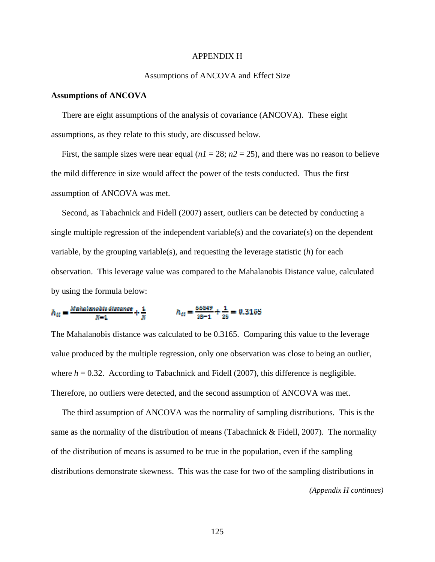#### APPENDIX H

### Assumptions of ANCOVA and Effect Size

#### **Assumptions of ANCOVA**

There are eight assumptions of the analysis of covariance (ANCOVA). These eight assumptions, as they relate to this study, are discussed below.

First, the sample sizes were near equal  $(n1 = 28; n2 = 25)$ , and there was no reason to believe the mild difference in size would affect the power of the tests conducted. Thus the first assumption of ANCOVA was met.

 Second, as Tabachnick and Fidell (2007) assert, outliers can be detected by conducting a single multiple regression of the independent variable(s) and the covariate(s) on the dependent variable, by the grouping variable(s), and requesting the leverage statistic (*h*) for each observation. This leverage value was compared to the Mahalanobis Distance value, calculated by using the formula below:

 $h_{tt} = \frac{N \alpha h a$ ianobts distance  $h_{tt} = \frac{66849}{28 - 1} + \frac{1}{28} = 0.3165$ 

The Mahalanobis distance was calculated to be 0.3165. Comparing this value to the leverage value produced by the multiple regression, only one observation was close to being an outlier, where  $h = 0.32$ . According to Tabachnick and Fidell (2007), this difference is negligible. Therefore, no outliers were detected, and the second assumption of ANCOVA was met.

 The third assumption of ANCOVA was the normality of sampling distributions. This is the same as the normality of the distribution of means (Tabachnick  $\&$  Fidell, 2007). The normality of the distribution of means is assumed to be true in the population, even if the sampling distributions demonstrate skewness. This was the case for two of the sampling distributions in

*(Appendix H continues)*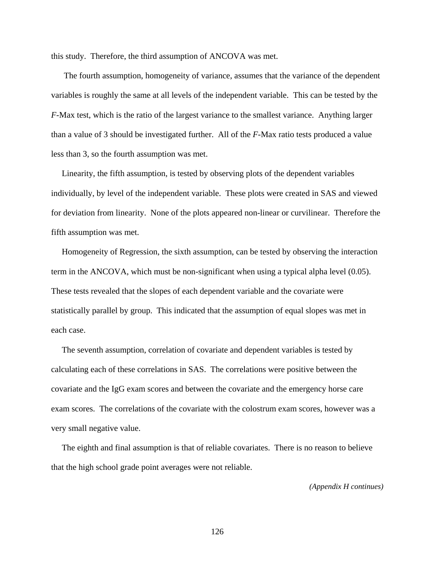this study. Therefore, the third assumption of ANCOVA was met.

 The fourth assumption, homogeneity of variance, assumes that the variance of the dependent variables is roughly the same at all levels of the independent variable. This can be tested by the *F*-Max test, which is the ratio of the largest variance to the smallest variance. Anything larger than a value of 3 should be investigated further. All of the *F*-Max ratio tests produced a value less than 3, so the fourth assumption was met.

 Linearity, the fifth assumption, is tested by observing plots of the dependent variables individually, by level of the independent variable. These plots were created in SAS and viewed for deviation from linearity. None of the plots appeared non-linear or curvilinear. Therefore the fifth assumption was met.

 Homogeneity of Regression, the sixth assumption, can be tested by observing the interaction term in the ANCOVA, which must be non-significant when using a typical alpha level (0.05). These tests revealed that the slopes of each dependent variable and the covariate were statistically parallel by group. This indicated that the assumption of equal slopes was met in each case.

 The seventh assumption, correlation of covariate and dependent variables is tested by calculating each of these correlations in SAS. The correlations were positive between the covariate and the IgG exam scores and between the covariate and the emergency horse care exam scores. The correlations of the covariate with the colostrum exam scores, however was a very small negative value.

 The eighth and final assumption is that of reliable covariates. There is no reason to believe that the high school grade point averages were not reliable.

*(Appendix H continues)*